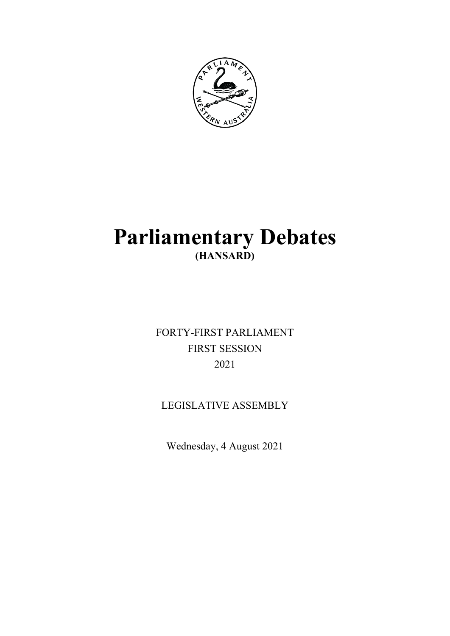

# **Parliamentary Debates (HANSARD)**

FORTY-FIRST PARLIAMENT FIRST SESSION 2021

# LEGISLATIVE ASSEMBLY

Wednesday, 4 August 2021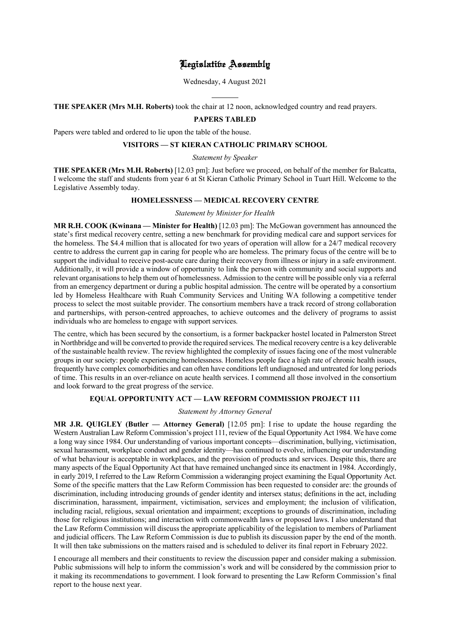# Legislative Assembly

Wednesday, 4 August 2021

 $\overline{a}$ **THE SPEAKER (Mrs M.H. Roberts)** took the chair at 12 noon, acknowledged country and read prayers.

# **PAPERS TABLED**

Papers were tabled and ordered to lie upon the table of the house.

# **VISITORS — ST KIERAN CATHOLIC PRIMARY SCHOOL**

# *Statement by Speaker*

**THE SPEAKER (Mrs M.H. Roberts)** [12.03 pm]: Just before we proceed, on behalf of the member for Balcatta, I welcome the staff and students from year 6 at St Kieran Catholic Primary School in Tuart Hill. Welcome to the Legislative Assembly today.

# **HOMELESSNESS — MEDICAL RECOVERY CENTRE**

#### *Statement by Minister for Health*

**MR R.H. COOK (Kwinana — Minister for Health)** [12.03 pm]: The McGowan government has announced the state's first medical recovery centre, setting a new benchmark for providing medical care and support services for the homeless. The \$4.4 million that is allocated for two years of operation will allow for a 24/7 medical recovery centre to address the current gap in caring for people who are homeless. The primary focus of the centre will be to support the individual to receive post-acute care during their recovery from illness or injury in a safe environment. Additionally, it will provide a window of opportunity to link the person with community and social supports and relevant organisations to help them out of homelessness. Admission to the centre will be possible only via a referral from an emergency department or during a public hospital admission. The centre will be operated by a consortium led by Homeless Healthcare with Ruah Community Services and Uniting WA following a competitive tender process to select the most suitable provider. The consortium members have a track record of strong collaboration and partnerships, with person-centred approaches, to achieve outcomes and the delivery of programs to assist individuals who are homeless to engage with support services.

The centre, which has been secured by the consortium, is a former backpacker hostel located in Palmerston Street in Northbridge and will be converted to provide the required services. The medical recovery centre is a key deliverable of the sustainable health review. The review highlighted the complexity of issues facing one of the most vulnerable groups in our society: people experiencing homelessness. Homeless people face a high rate of chronic health issues, frequently have complex comorbidities and can often have conditions left undiagnosed and untreated for long periods of time. This results in an over-reliance on acute health services. I commend all those involved in the consortium and look forward to the great progress of the service.

# **EQUAL OPPORTUNITY ACT — LAW REFORM COMMISSION PROJECT 111**

# *Statement by Attorney General*

**MR J.R. QUIGLEY (Butler — Attorney General)** [12.05 pm]: I rise to update the house regarding the Western Australian Law Reform Commission's project 111, review of the Equal Opportunity Act 1984. We have come a long way since 1984. Our understanding of various important concepts—discrimination, bullying, victimisation, sexual harassment, workplace conduct and gender identity—has continued to evolve, influencing our understanding of what behaviour is acceptable in workplaces, and the provision of products and services. Despite this, there are many aspects of the Equal Opportunity Act that have remained unchanged since its enactment in 1984. Accordingly, in early 2019, I referred to the Law Reform Commission a wideranging project examining the Equal Opportunity Act. Some of the specific matters that the Law Reform Commission has been requested to consider are: the grounds of discrimination, including introducing grounds of gender identity and intersex status; definitions in the act, including discrimination, harassment, impairment, victimisation, services and employment; the inclusion of vilification, including racial, religious, sexual orientation and impairment; exceptions to grounds of discrimination, including those for religious institutions; and interaction with commonwealth laws or proposed laws. I also understand that the Law Reform Commission will discuss the appropriate applicability of the legislation to members of Parliament and judicial officers. The Law Reform Commission is due to publish its discussion paper by the end of the month. It will then take submissions on the matters raised and is scheduled to deliver its final report in February 2022.

I encourage all members and their constituents to review the discussion paper and consider making a submission. Public submissions will help to inform the commission's work and will be considered by the commission prior to it making its recommendations to government. I look forward to presenting the Law Reform Commission's final report to the house next year.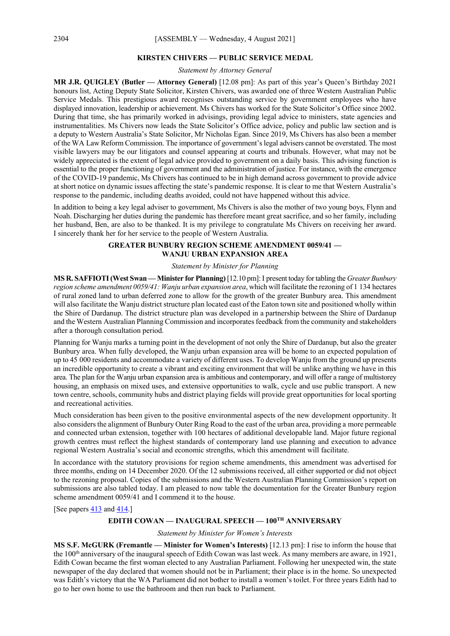#### **KIRSTEN CHIVERS — PUBLIC SERVICE MEDAL**

*Statement by Attorney General*

**MR J.R. QUIGLEY (Butler — Attorney General)** [12.08 pm]: As part of this year's Queen's Birthday 2021 honours list, Acting Deputy State Solicitor, Kirsten Chivers, was awarded one of three Western Australian Public Service Medals. This prestigious award recognises outstanding service by government employees who have displayed innovation, leadership or achievement. Ms Chivers has worked for the State Solicitor's Office since 2002. During that time, she has primarily worked in advisings, providing legal advice to ministers, state agencies and instrumentalities. Ms Chivers now leads the State Solicitor's Office advice, policy and public law section and is a deputy to Western Australia's State Solicitor, Mr Nicholas Egan. Since 2019, Ms Chivers has also been a member of the WA Law Reform Commission. The importance of government's legal advisers cannot be overstated. The most visible lawyers may be our litigators and counsel appearing at courts and tribunals. However, what may not be widely appreciated is the extent of legal advice provided to government on a daily basis. This advising function is essential to the proper functioning of government and the administration of justice. For instance, with the emergence of the COVID-19 pandemic, Ms Chivers has continued to be in high demand across government to provide advice at short notice on dynamic issues affecting the state's pandemic response. It is clear to me that Western Australia's response to the pandemic, including deaths avoided, could not have happened without this advice.

In addition to being a key legal adviser to government, Ms Chivers is also the mother of two young boys, Flynn and Noah. Discharging her duties during the pandemic has therefore meant great sacrifice, and so her family, including her husband, Ben, are also to be thanked. It is my privilege to congratulate Ms Chivers on receiving her award. I sincerely thank her for her service to the people of Western Australia.

# **GREATER BUNBURY REGION SCHEME AMENDMENT 0059/41 — WANJU URBAN EXPANSION AREA**

#### *Statement by Minister for Planning*

**MS R. SAFFIOTI(West Swan —Minister for Planning)**[12.10 pm]:I present today for tabling the *Greater Bunbury region scheme amendment 0059/41: Wanju urban expansion area*, which will facilitate the rezoning of 1 134 hectares of rural zoned land to urban deferred zone to allow for the growth of the greater Bunbury area. This amendment will also facilitate the Wanju district structure plan located east of the Eaton town site and positioned wholly within the Shire of Dardanup. The district structure plan was developed in a partnership between the Shire of Dardanup and the Western Australian Planning Commission and incorporates feedback from the community and stakeholders after a thorough consultation period.

Planning for Wanju marks a turning point in the development of not only the Shire of Dardanup, but also the greater Bunbury area. When fully developed, the Wanju urban expansion area will be home to an expected population of up to 45 000 residents and accommodate a variety of different uses. To develop Wanju from the ground up presents an incredible opportunity to create a vibrant and exciting environment that will be unlike anything we have in this area. The plan for the Wanju urban expansion area is ambitious and contemporary, and will offer a range of multistorey housing, an emphasis on mixed uses, and extensive opportunities to walk, cycle and use public transport. A new town centre, schools, community hubs and district playing fields will provide great opportunities for local sporting and recreational activities.

Much consideration has been given to the positive environmental aspects of the new development opportunity. It also considers the alignment of Bunbury Outer Ring Road to the east of the urban area, providing a more permeable and connected urban extension, together with 100 hectares of additional developable land. Major future regional growth centres must reflect the highest standards of contemporary land use planning and execution to advance regional Western Australia's social and economic strengths, which this amendment will facilitate.

In accordance with the statutory provisions for region scheme amendments, this amendment was advertised for three months, ending on 14 December 2020. Of the 12 submissions received, all either supported or did not object to the rezoning proposal. Copies of the submissions and the Western Australian Planning Commission's report on submissions are also tabled today. I am pleased to now table the documentation for the Greater Bunbury region scheme amendment 0059/41 and I commend it to the house.

[See papers  $\frac{413}{2}$  and  $\frac{414}{2}$ ]

# **EDITH COWAN — INAUGURAL SPEECH — 100TH ANNIVERSARY**

*Statement by Minister for Women's Interests*

**MS S.F. McGURK (Fremantle — Minister for Women's Interests)** [12.13 pm]: I rise to inform the house that the 100<sup>th</sup> anniversary of the inaugural speech of Edith Cowan was last week. As many members are aware, in 1921, Edith Cowan became the first woman elected to any Australian Parliament. Following her unexpected win, the state newspaper of the day declared that women should not be in Parliament; their place is in the home. So unexpected was Edith's victory that the WA Parliament did not bother to install a women's toilet. For three years Edith had to go to her own home to use the bathroom and then run back to Parliament.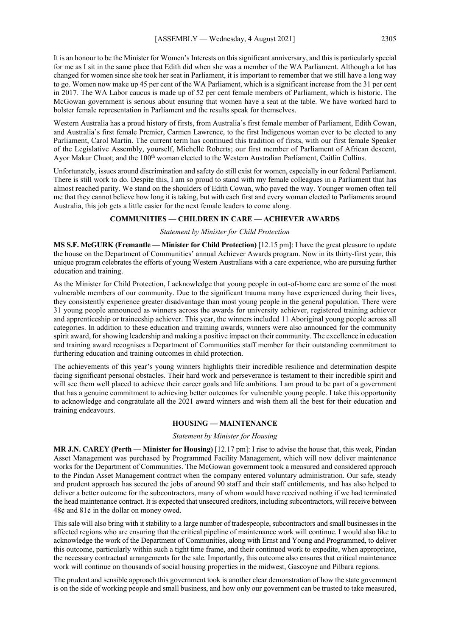It is an honour to be the Minister for Women's Interests on this significant anniversary, and this is particularly special for me as I sit in the same place that Edith did when she was a member of the WA Parliament. Although a lot has changed for women since she took her seat in Parliament, it is important to remember that we still have a long way to go. Women now make up 45 per cent of the WA Parliament, which is a significant increase from the 31 per cent in 2017. The WA Labor caucus is made up of 52 per cent female members of Parliament, which is historic. The McGowan government is serious about ensuring that women have a seat at the table. We have worked hard to bolster female representation in Parliament and the results speak for themselves.

Western Australia has a proud history of firsts, from Australia's first female member of Parliament, Edith Cowan, and Australia's first female Premier, Carmen Lawrence, to the first Indigenous woman ever to be elected to any Parliament, Carol Martin. The current term has continued this tradition of firsts, with our first female Speaker of the Legislative Assembly, yourself, Michelle Roberts; our first member of Parliament of African descent, Ayor Makur Chuot; and the 100<sup>th</sup> woman elected to the Western Australian Parliament, Caitlin Collins.

Unfortunately, issues around discrimination and safety do still exist for women, especially in our federal Parliament. There is still work to do. Despite this, I am so proud to stand with my female colleagues in a Parliament that has almost reached parity. We stand on the shoulders of Edith Cowan, who paved the way. Younger women often tell me that they cannot believe how long it is taking, but with each first and every woman elected to Parliaments around Australia, this job gets a little easier for the next female leaders to come along.

# **COMMUNITIES — CHILDREN IN CARE — ACHIEVER AWARDS**

#### *Statement by Minister for Child Protection*

**MS S.F. McGURK (Fremantle — Minister for Child Protection)** [12.15 pm]: I have the great pleasure to update the house on the Department of Communities' annual Achiever Awards program. Now in its thirty-first year, this unique program celebrates the efforts of young Western Australians with a care experience, who are pursuing further education and training.

As the Minister for Child Protection, I acknowledge that young people in out-of-home care are some of the most vulnerable members of our community. Due to the significant trauma many have experienced during their lives, they consistently experience greater disadvantage than most young people in the general population. There were 31 young people announced as winners across the awards for university achiever, registered training achiever and apprenticeship or traineeship achiever. This year, the winners included 11 Aboriginal young people across all categories. In addition to these education and training awards, winners were also announced for the community spirit award, for showing leadership and making a positive impact on their community. The excellence in education and training award recognises a Department of Communities staff member for their outstanding commitment to furthering education and training outcomes in child protection.

The achievements of this year's young winners highlights their incredible resilience and determination despite facing significant personal obstacles. Their hard work and perseverance is testament to their incredible spirit and will see them well placed to achieve their career goals and life ambitions. I am proud to be part of a government that has a genuine commitment to achieving better outcomes for vulnerable young people. I take this opportunity to acknowledge and congratulate all the 2021 award winners and wish them all the best for their education and training endeavours.

#### **HOUSING — MAINTENANCE**

#### *Statement by Minister for Housing*

**MR J.N. CAREY (Perth — Minister for Housing)** [12.17 pm]: I rise to advise the house that, this week, Pindan Asset Management was purchased by Programmed Facility Management, which will now deliver maintenance works for the Department of Communities. The McGowan government took a measured and considered approach to the Pindan Asset Management contract when the company entered voluntary administration. Our safe, steady and prudent approach has secured the jobs of around 90 staff and their staff entitlements, and has also helped to deliver a better outcome for the subcontractors, many of whom would have received nothing if we had terminated the head maintenance contract. It is expected that unsecured creditors, including subcontractors, will receive between  $48¢$  and  $81¢$  in the dollar on money owed.

This sale will also bring with it stability to a large number of tradespeople, subcontractors and small businesses in the affected regions who are ensuring that the critical pipeline of maintenance work will continue. I would also like to acknowledge the work of the Department of Communities, along with Ernst and Young and Programmed, to deliver this outcome, particularly within such a tight time frame, and their continued work to expedite, when appropriate, the necessary contractual arrangements for the sale. Importantly, this outcome also ensures that critical maintenance work will continue on thousands of social housing properties in the midwest, Gascoyne and Pilbara regions.

The prudent and sensible approach this government took is another clear demonstration of how the state government is on the side of working people and small business, and how only our government can be trusted to take measured,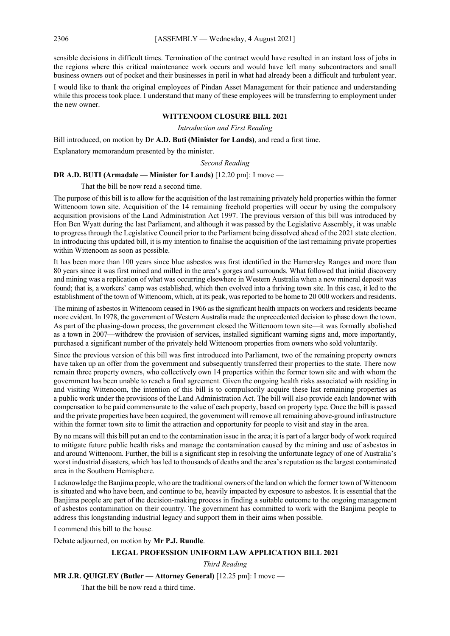sensible decisions in difficult times. Termination of the contract would have resulted in an instant loss of jobs in the regions where this critical maintenance work occurs and would have left many subcontractors and small business owners out of pocket and their businesses in peril in what had already been a difficult and turbulent year.

I would like to thank the original employees of Pindan Asset Management for their patience and understanding while this process took place. I understand that many of these employees will be transferring to employment under the new owner.

# **WITTENOOM CLOSURE BILL 2021**

*Introduction and First Reading*

Bill introduced, on motion by **Dr A.D. Buti (Minister for Lands)**, and read a first time.

Explanatory memorandum presented by the minister.

*Second Reading*

# **DR A.D. BUTI (Armadale — Minister for Lands)** [12.20 pm]: I move —

That the bill be now read a second time.

The purpose of this bill is to allow for the acquisition of the last remaining privately held properties within the former Wittenoom town site. Acquisition of the 14 remaining freehold properties will occur by using the compulsory acquisition provisions of the Land Administration Act 1997. The previous version of this bill was introduced by Hon Ben Wyatt during the last Parliament, and although it was passed by the Legislative Assembly, it was unable to progress through the Legislative Council prior to the Parliament being dissolved ahead of the 2021 state election. In introducing this updated bill, it is my intention to finalise the acquisition of the last remaining private properties within Wittenoom as soon as possible.

It has been more than 100 years since blue asbestos was first identified in the Hamersley Ranges and more than 80 years since it was first mined and milled in the area's gorges and surrounds. What followed that initial discovery and mining was a replication of what was occurring elsewhere in Western Australia when a new mineral deposit was found; that is, a workers' camp was established, which then evolved into a thriving town site. In this case, it led to the establishment of the town of Wittenoom, which, at its peak, was reported to be home to 20 000 workers and residents.

The mining of asbestos in Wittenoom ceased in 1966 as the significant health impacts on workers and residents became more evident. In 1978, the government of Western Australia made the unprecedented decision to phase down the town. As part of the phasing-down process, the government closed the Wittenoom town site—it was formally abolished as a town in 2007—withdrew the provision of services, installed significant warning signs and, more importantly, purchased a significant number of the privately held Wittenoom properties from owners who sold voluntarily.

Since the previous version of this bill was first introduced into Parliament, two of the remaining property owners have taken up an offer from the government and subsequently transferred their properties to the state. There now remain three property owners, who collectively own 14 properties within the former town site and with whom the government has been unable to reach a final agreement. Given the ongoing health risks associated with residing in and visiting Wittenoom, the intention of this bill is to compulsorily acquire these last remaining properties as a public work under the provisions of the Land Administration Act. The bill will also provide each landowner with compensation to be paid commensurate to the value of each property, based on property type. Once the bill is passed and the private properties have been acquired, the government will remove all remaining above-ground infrastructure within the former town site to limit the attraction and opportunity for people to visit and stay in the area.

By no means will this bill put an end to the contamination issue in the area; it is part of a larger body of work required to mitigate future public health risks and manage the contamination caused by the mining and use of asbestos in and around Wittenoom. Further, the bill is a significant step in resolving the unfortunate legacy of one of Australia's worst industrial disasters, which has led to thousands of deaths and the area's reputation as the largest contaminated area in the Southern Hemisphere.

I acknowledge the Banjima people, who are the traditional owners of the land on which the former town of Wittenoom is situated and who have been, and continue to be, heavily impacted by exposure to asbestos. It is essential that the Banjima people are part of the decision-making process in finding a suitable outcome to the ongoing management of asbestos contamination on their country. The government has committed to work with the Banjima people to address this longstanding industrial legacy and support them in their aims when possible.

I commend this bill to the house.

Debate adjourned, on motion by **Mr P.J. Rundle**.

# **LEGAL PROFESSION UNIFORM LAW APPLICATION BILL 2021**

*Third Reading*

**MR J.R. QUIGLEY (Butler — Attorney General)** [12.25 pm]: I move —

That the bill be now read a third time.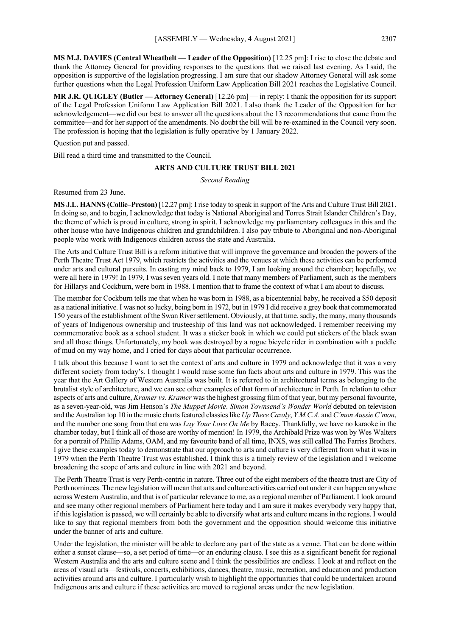**MS M.J. DAVIES (Central Wheatbelt — Leader of the Opposition)** [12.25 pm]: I rise to close the debate and thank the Attorney General for providing responses to the questions that we raised last evening. As I said, the opposition is supportive of the legislation progressing. I am sure that our shadow Attorney General will ask some further questions when the Legal Profession Uniform Law Application Bill 2021 reaches the Legislative Council.

**MR J.R. QUIGLEY (Butler — Attorney General)** [12.26 pm] — in reply: I thank the opposition for its support of the Legal Profession Uniform Law Application Bill 2021. I also thank the Leader of the Opposition for her acknowledgement—we did our best to answer all the questions about the 13 recommendations that came from the committee—and for her support of the amendments. No doubt the bill will be re-examined in the Council very soon. The profession is hoping that the legislation is fully operative by 1 January 2022.

Question put and passed.

Bill read a third time and transmitted to the Council.

# **ARTS AND CULTURE TRUST BILL 2021**

*Second Reading*

Resumed from 23 June.

**MS J.L. HANNS (Collie–Preston)** [12.27 pm]: I rise today to speak in support of the Arts and Culture Trust Bill 2021. In doing so, and to begin, I acknowledge that today is National Aboriginal and Torres Strait Islander Children's Day, the theme of which is proud in culture, strong in spirit. I acknowledge my parliamentary colleagues in this and the other house who have Indigenous children and grandchildren. I also pay tribute to Aboriginal and non-Aboriginal people who work with Indigenous children across the state and Australia.

The Arts and Culture Trust Bill is a reform initiative that will improve the governance and broaden the powers of the Perth Theatre Trust Act 1979, which restricts the activities and the venues at which these activities can be performed under arts and cultural pursuits. In casting my mind back to 1979, I am looking around the chamber; hopefully, we were all here in 1979! In 1979, I was seven years old. I note that many members of Parliament, such as the members for Hillarys and Cockburn, were born in 1988. I mention that to frame the context of what I am about to discuss.

The member for Cockburn tells me that when he was born in 1988, as a bicentennial baby, he received a \$50 deposit as a national initiative. I was not so lucky, being born in 1972, but in 1979 I did receive a grey book that commemorated 150 years of the establishment of the Swan River settlement. Obviously, at that time, sadly, the many, many thousands of years of Indigenous ownership and trusteeship of this land was not acknowledged. I remember receiving my commemorative book as a school student. It was a sticker book in which we could put stickers of the black swan and all those things. Unfortunately, my book was destroyed by a rogue bicycle rider in combination with a puddle of mud on my way home, and I cried for days about that particular occurrence.

I talk about this because I want to set the context of arts and culture in 1979 and acknowledge that it was a very different society from today's. I thought I would raise some fun facts about arts and culture in 1979. This was the year that the Art Gallery of Western Australia was built. It is referred to in architectural terms as belonging to the brutalist style of architecture, and we can see other examples of that form of architecture in Perth. In relation to other aspects of arts and culture, *Kramer vs. Kramer* was the highest grossing film of that year, but my personal favourite, as a seven-year-old, was Jim Henson's *The Muppet Movie*. *Simon Townsend's Wonder World* debuted on television and the Australian top 10 in the music charts featured classics like *Up There Cazaly*, *Y.M.C.A.* and *C'mon Aussie C'mon*, and the number one song from that era was *Lay Your Love On Me* by Racey. Thankfully, we have no karaoke in the chamber today, but I think all of those are worthy of mention! In 1979, the Archibald Prize was won by Wes Walters for a portrait of Phillip Adams, OAM, and my favourite band of all time, INXS, was still called The Farriss Brothers. I give these examples today to demonstrate that our approach to arts and culture is very different from what it was in 1979 when the Perth Theatre Trust was established. I think this is a timely review of the legislation and I welcome broadening the scope of arts and culture in line with 2021 and beyond.

The Perth Theatre Trust is very Perth-centric in nature. Three out of the eight members of the theatre trust are City of Perth nominees. The new legislation will mean that arts and culture activities carried out under it can happen anywhere across Western Australia, and that is of particular relevance to me, as a regional member of Parliament. I look around and see many other regional members of Parliament here today and I am sure it makes everybody very happy that, if this legislation is passed, we will certainly be able to diversify what arts and culture means in the regions. I would like to say that regional members from both the government and the opposition should welcome this initiative under the banner of arts and culture.

Under the legislation, the minister will be able to declare any part of the state as a venue. That can be done within either a sunset clause—so, a set period of time—or an enduring clause. I see this as a significant benefit for regional Western Australia and the arts and culture scene and I think the possibilities are endless. I look at and reflect on the areas of visual arts—festivals, concerts, exhibitions, dances, theatre, music, recreation, and education and production activities around arts and culture. I particularly wish to highlight the opportunities that could be undertaken around Indigenous arts and culture if these activities are moved to regional areas under the new legislation.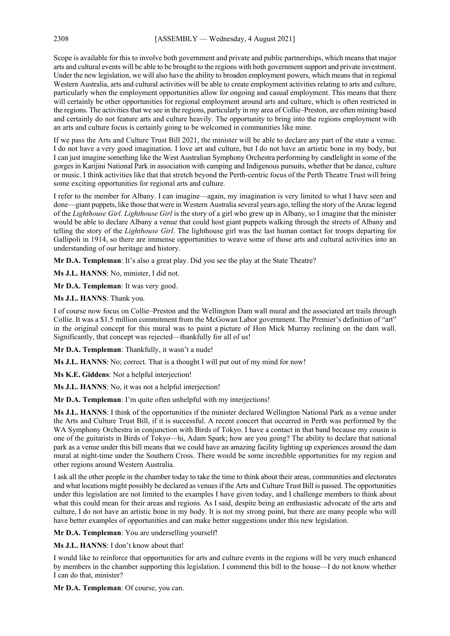Scope is available for this to involve both government and private and public partnerships, which means that major arts and cultural events will be able to be brought to the regions with both government support and private investment. Under the new legislation, we will also have the ability to broaden employment powers, which means that in regional Western Australia, arts and cultural activities will be able to create employment activities relating to arts and culture, particularly when the employment opportunities allow for ongoing and casual employment. This means that there will certainly be other opportunities for regional employment around arts and culture, which is often restricted in the regions. The activities that we see in the regions, particularly in my area of Collie–Preston, are often mining based and certainly do not feature arts and culture heavily. The opportunity to bring into the regions employment with an arts and culture focus is certainly going to be welcomed in communities like mine.

If we pass the Arts and Culture Trust Bill 2021, the minister will be able to declare any part of the state a venue. I do not have a very good imagination. I love art and culture, but I do not have an artistic bone in my body, but I can just imagine something like the West Australian Symphony Orchestra performing by candlelight in some of the gorges in Karijini National Park in association with camping and Indigenous pursuits, whether that be dance, culture or music. I think activities like that that stretch beyond the Perth-centric focus of the Perth Theatre Trust will bring some exciting opportunities for regional arts and culture.

I refer to the member for Albany. I can imagine—again, my imagination is very limited to what I have seen and done—giant puppets, like those that were in Western Australia several years ago, telling the story of the Anzac legend of the *Lighthouse Girl*. *Lighthouse Girl* is the story of a girl who grew up in Albany, so I imagine that the minister would be able to declare Albany a venue that could host giant puppets walking through the streets of Albany and telling the story of the *Lighthouse Girl*. The lighthouse girl was the last human contact for troops departing for Gallipoli in 1914, so there are immense opportunities to weave some of those arts and cultural activities into an understanding of our heritage and history.

**Mr D.A. Templeman**: It's also a great play. Did you see the play at the State Theatre?

**Ms J.L. HANNS**: No, minister, I did not.

**Mr D.A. Templeman**: It was very good.

**Ms J.L. HANNS**: Thank you.

I of course now focus on Collie–Preston and the Wellington Dam wall mural and the associated art trails through Collie. It was a \$1.5 million commitment from the McGowan Labor government. The Premier's definition of "art" in the original concept for this mural was to paint a picture of Hon Mick Murray reclining on the dam wall. Significantly, that concept was rejected—thankfully for all of us!

**Mr D.A. Templeman**: Thankfully, it wasn't a nude!

**Ms J.L. HANNS**: No; correct. That is a thought I will put out of my mind for now!

**Ms K.E. Giddens**: Not a helpful interjection!

**Ms J.L. HANNS**: No, it was not a helpful interjection!

**Mr D.A. Templeman**: I'm quite often unhelpful with my interjections!

**Ms J.L. HANNS**: I think of the opportunities if the minister declared Wellington National Park as a venue under the Arts and Culture Trust Bill, if it is successful. A recent concert that occurred in Perth was performed by the WA Symphony Orchestra in conjunction with Birds of Tokyo. I have a contact in that band because my cousin is one of the guitarists in Birds of Tokyo—hi, Adam Spark; how are you going? The ability to declare that national park as a venue under this bill means that we could have an amazing facility lighting up experiences around the dam mural at night-time under the Southern Cross. There would be some incredible opportunities for my region and other regions around Western Australia.

I ask all the other people in the chamber today to take the time to think about their areas, communities and electorates and what locations might possibly be declared as venues if the Arts and Culture Trust Bill is passed. The opportunities under this legislation are not limited to the examples I have given today, and I challenge members to think about what this could mean for their areas and regions. As I said, despite being an enthusiastic advocate of the arts and culture, I do not have an artistic bone in my body. It is not my strong point, but there are many people who will have better examples of opportunities and can make better suggestions under this new legislation.

**Mr D.A. Templeman**: You are underselling yourself!

**Ms J.L. HANNS**: I don't know about that!

I would like to reinforce that opportunities for arts and culture events in the regions will be very much enhanced by members in the chamber supporting this legislation. I commend this bill to the house—I do not know whether I can do that, minister?

**Mr D.A. Templeman**: Of course, you can.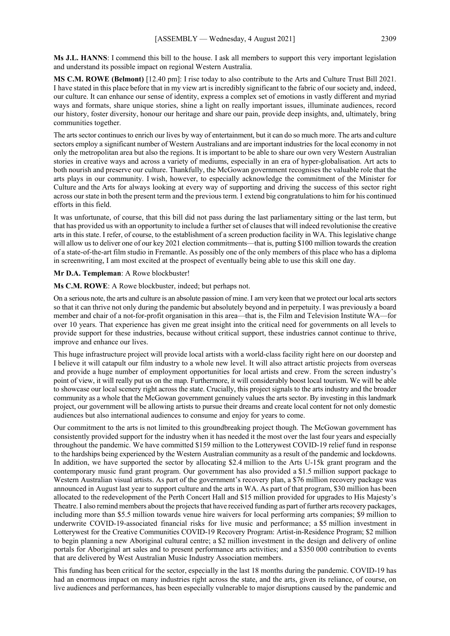**Ms J.L. HANNS**: I commend this bill to the house. I ask all members to support this very important legislation and understand its possible impact on regional Western Australia.

**MS C.M. ROWE (Belmont)** [12.40 pm]: I rise today to also contribute to the Arts and Culture Trust Bill 2021. I have stated in this place before that in my view art is incredibly significant to the fabric of our society and, indeed, our culture. It can enhance our sense of identity, express a complex set of emotions in vastly different and myriad ways and formats, share unique stories, shine a light on really important issues, illuminate audiences, record our history, foster diversity, honour our heritage and share our pain, provide deep insights, and, ultimately, bring communities together.

The arts sector continues to enrich our lives by way of entertainment, but it can do so much more. The arts and culture sectors employ a significant number of Western Australians and are important industries for the local economy in not only the metropolitan area but also the regions. It is important to be able to share our own very Western Australian stories in creative ways and across a variety of mediums, especially in an era of hyper-globalisation. Art acts to both nourish and preserve our culture. Thankfully, the McGowan government recognises the valuable role that the arts plays in our community. I wish, however, to especially acknowledge the commitment of the Minister for Culture and the Arts for always looking at every way of supporting and driving the success of this sector right across our state in both the present term and the previous term. I extend big congratulations to him for his continued efforts in this field.

It was unfortunate, of course, that this bill did not pass during the last parliamentary sitting or the last term, but that has provided us with an opportunity to include a further set of clauses that will indeed revolutionise the creative arts in this state. I refer, of course, to the establishment of a screen production facility in WA. This legislative change will allow us to deliver one of our key 2021 election commitments—that is, putting \$100 million towards the creation of a state-of-the-art film studio in Fremantle. As possibly one of the only members of this place who has a diploma in screenwriting, I am most excited at the prospect of eventually being able to use this skill one day.

**Mr D.A. Templeman**: A Rowe blockbuster!

**Ms C.M. ROWE**: A Rowe blockbuster, indeed; but perhaps not.

On a serious note, the arts and culture is an absolute passion of mine. I am very keen that we protect our local arts sectors so that it can thrive not only during the pandemic but absolutely beyond and in perpetuity. I was previously a board member and chair of a not-for-profit organisation in this area—that is, the Film and Television Institute WA—for over 10 years. That experience has given me great insight into the critical need for governments on all levels to provide support for these industries, because without critical support, these industries cannot continue to thrive, improve and enhance our lives.

This huge infrastructure project will provide local artists with a world-class facility right here on our doorstep and I believe it will catapult our film industry to a whole new level. It will also attract artistic projects from overseas and provide a huge number of employment opportunities for local artists and crew. From the screen industry's point of view, it will really put us on the map. Furthermore, it will considerably boost local tourism. We will be able to showcase our local scenery right across the state. Crucially, this project signals to the arts industry and the broader community as a whole that the McGowan government genuinely values the arts sector. By investing in this landmark project, our government will be allowing artists to pursue their dreams and create local content for not only domestic audiences but also international audiences to consume and enjoy for years to come.

Our commitment to the arts is not limited to this groundbreaking project though. The McGowan government has consistently provided support for the industry when it has needed it the most over the last four years and especially throughout the pandemic. We have committed \$159 million to the Lotterywest COVID-19 relief fund in response to the hardships being experienced by the Western Australian community as a result of the pandemic and lockdowns. In addition, we have supported the sector by allocating \$2.4 million to the Arts U-15k grant program and the contemporary music fund grant program. Our government has also provided a \$1.5 million support package to Western Australian visual artists. As part of the government's recovery plan, a \$76 million recovery package was announced in August last year to support culture and the arts in WA. As part of that program, \$30 million has been allocated to the redevelopment of the Perth Concert Hall and \$15 million provided for upgrades to His Majesty's Theatre. I also remind members about the projects that have received funding as part of further arts recovery packages, including more than \$5.5 million towards venue hire waivers for local performing arts companies; \$9 million to underwrite COVID-19-associated financial risks for live music and performance; a \$5 million investment in Lotterywest for the Creative Communities COVID-19 Recovery Program: Artist-in-Residence Program; \$2 million to begin planning a new Aboriginal cultural centre; a \$2 million investment in the design and delivery of online portals for Aboriginal art sales and to present performance arts activities; and a \$350 000 contribution to events that are delivered by West Australian Music Industry Association members.

This funding has been critical for the sector, especially in the last 18 months during the pandemic. COVID-19 has had an enormous impact on many industries right across the state, and the arts, given its reliance, of course, on live audiences and performances, has been especially vulnerable to major disruptions caused by the pandemic and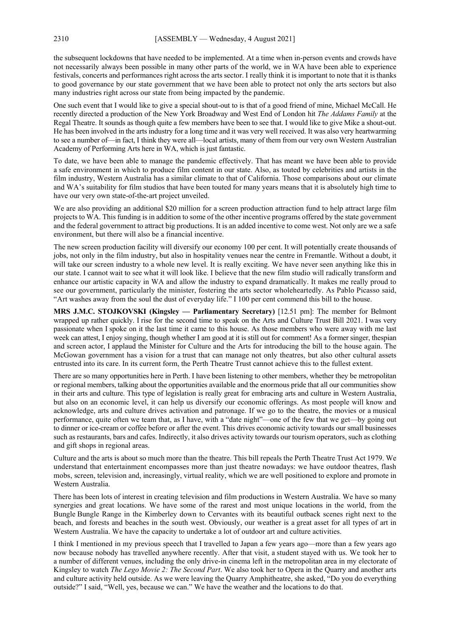the subsequent lockdowns that have needed to be implemented. At a time when in-person events and crowds have not necessarily always been possible in many other parts of the world, we in WA have been able to experience festivals, concerts and performances right across the arts sector. I really think it is important to note that it is thanks to good governance by our state government that we have been able to protect not only the arts sectors but also many industries right across our state from being impacted by the pandemic.

One such event that I would like to give a special shout-out to is that of a good friend of mine, Michael McCall. He recently directed a production of the New York Broadway and West End of London hit *The Addams Family* at the Regal Theatre. It sounds as though quite a few members have been to see that. I would like to give Mike a shout-out. He has been involved in the arts industry for a long time and it was very well received. It was also very heartwarming to see a number of—in fact, I think they were all—local artists, many of them from our very own Western Australian Academy of Performing Arts here in WA, which is just fantastic.

To date, we have been able to manage the pandemic effectively. That has meant we have been able to provide a safe environment in which to produce film content in our state. Also, as touted by celebrities and artists in the film industry, Western Australia has a similar climate to that of California. Those comparisons about our climate and WA's suitability for film studios that have been touted for many years means that it is absolutely high time to have our very own state-of-the-art project unveiled.

We are also providing an additional \$20 million for a screen production attraction fund to help attract large film projects to WA. This funding is in addition to some of the other incentive programs offered by the state government and the federal government to attract big productions. It is an added incentive to come west. Not only are we a safe environment, but there will also be a financial incentive.

The new screen production facility will diversify our economy 100 per cent. It will potentially create thousands of jobs, not only in the film industry, but also in hospitality venues near the centre in Fremantle. Without a doubt, it will take our screen industry to a whole new level. It is really exciting. We have never seen anything like this in our state. I cannot wait to see what it will look like. I believe that the new film studio will radically transform and enhance our artistic capacity in WA and allow the industry to expand dramatically. It makes me really proud to see our government, particularly the minister, fostering the arts sector wholeheartedly. As Pablo Picasso said, "Art washes away from the soul the dust of everyday life." I 100 per cent commend this bill to the house.

**MRS J.M.C. STOJKOVSKI (Kingsley — Parliamentary Secretary)** [12.51 pm]: The member for Belmont wrapped up rather quickly. I rise for the second time to speak on the Arts and Culture Trust Bill 2021. I was very passionate when I spoke on it the last time it came to this house. As those members who were away with me last week can attest, I enjoy singing, though whether I am good at it is still out for comment! As a former singer, thespian and screen actor, I applaud the Minister for Culture and the Arts for introducing the bill to the house again. The McGowan government has a vision for a trust that can manage not only theatres, but also other cultural assets entrusted into its care. In its current form, the Perth Theatre Trust cannot achieve this to the fullest extent.

There are so many opportunities here in Perth. I have been listening to other members, whether they be metropolitan or regional members, talking about the opportunities available and the enormous pride that all our communities show in their arts and culture. This type of legislation is really great for embracing arts and culture in Western Australia, but also on an economic level, it can help us diversify our economic offerings. As most people will know and acknowledge, arts and culture drives activation and patronage. If we go to the theatre, the movies or a musical performance, quite often we team that, as I have, with a "date night"—one of the few that we get—by going out to dinner or ice-cream or coffee before or after the event. This drives economic activity towards our small businesses such as restaurants, bars and cafes. Indirectly, it also drives activity towards our tourism operators, such as clothing and gift shops in regional areas.

Culture and the arts is about so much more than the theatre. This bill repeals the Perth Theatre Trust Act 1979. We understand that entertainment encompasses more than just theatre nowadays: we have outdoor theatres, flash mobs, screen, television and, increasingly, virtual reality, which we are well positioned to explore and promote in Western Australia.

There has been lots of interest in creating television and film productions in Western Australia. We have so many synergies and great locations. We have some of the rarest and most unique locations in the world, from the Bungle Bungle Range in the Kimberley down to Cervantes with its beautiful outback scenes right next to the beach, and forests and beaches in the south west. Obviously, our weather is a great asset for all types of art in Western Australia. We have the capacity to undertake a lot of outdoor art and culture activities.

I think I mentioned in my previous speech that I travelled to Japan a few years ago—more than a few years ago now because nobody has travelled anywhere recently. After that visit, a student stayed with us. We took her to a number of different venues, including the only drive-in cinema left in the metropolitan area in my electorate of Kingsley to watch *The Lego Movie 2: The Second Part*. We also took her to Opera in the Quarry and another arts and culture activity held outside. As we were leaving the Quarry Amphitheatre, she asked, "Do you do everything outside?" I said, "Well, yes, because we can." We have the weather and the locations to do that.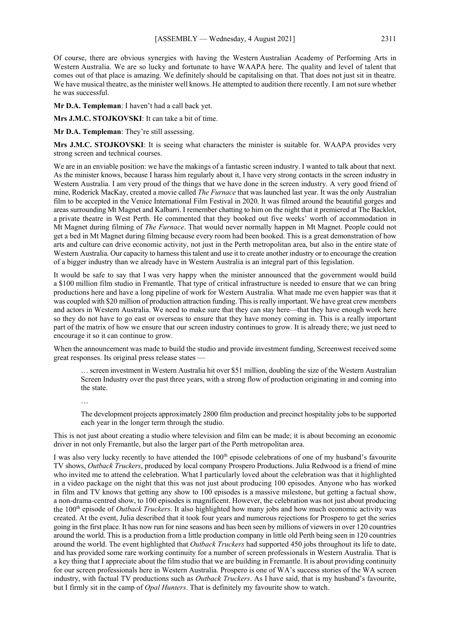Of course, there are obvious synergies with having the Western Australian Academy of Performing Arts in Western Australia. We are so lucky and fortunate to have WAAPA here. The quality and level of talent that comes out of that place is amazing. We definitely should be capitalising on that. That does not just sit in theatre. We have musical theatre, as the minister well knows. He attempted to audition there recently. I am not sure whether he was successful.

**Mr D.A. Templeman**: I haven't had a call back yet.

**Mrs J.M.C. STOJKOVSKI**: It can take a bit of time.

**Mr D.A. Templeman**: They're still assessing.

**Mrs J.M.C. STOJKOVSKI**: It is seeing what characters the minister is suitable for. WAAPA provides very strong screen and technical courses.

We are in an enviable position: we have the makings of a fantastic screen industry. I wanted to talk about that next. As the minister knows, because I harass him regularly about it, I have very strong contacts in the screen industry in Western Australia. I am very proud of the things that we have done in the screen industry. A very good friend of mine, Roderick MacKay, created a movie called *The Furnace* that was launched last year. It was the only Australian film to be accepted in the Venice International Film Festival in 2020. It was filmed around the beautiful gorges and areas surrounding Mt Magnet and Kalbarri. I remember chatting to him on the night that it premiered at The Backlot, a private theatre in West Perth. He commented that they booked out five weeks' worth of accommodation in Mt Magnet during filming of *The Furnace*. That would never normally happen in Mt Magnet. People could not get a bed in Mt Magnet during filming because every room had been booked. This is a great demonstration of how arts and culture can drive economic activity, not just in the Perth metropolitan area, but also in the entire state of Western Australia. Our capacity to harness this talent and use it to create another industry or to encourage the creation of a bigger industry than we already have in Western Australia is an integral part of this legislation.

It would be safe to say that I was very happy when the minister announced that the government would build a \$100 million film studio in Fremantle. That type of critical infrastructure is needed to ensure that we can bring productions here and have a long pipeline of work for Western Australia. What made me even happier was that it was coupled with \$20 million of production attraction funding. This is really important. We have great crew members and actors in Western Australia. We need to make sure that they can stay here—that they have enough work here so they do not have to go east or overseas to ensure that they have money coming in. This is a really important part of the matrix of how we ensure that our screen industry continues to grow. It is already there; we just need to encourage it so it can continue to grow.

When the announcement was made to build the studio and provide investment funding, Screenwest received some great responses. Its original press release states —

… screen investment in Western Australia hit over \$51 million, doubling the size of the Western Australian Screen Industry over the past three years, with a strong flow of production originating in and coming into the state.

…

The development projects approximately 2800 film production and precinct hospitality jobs to be supported each year in the longer term through the studio.

This is not just about creating a studio where television and film can be made; it is about becoming an economic driver in not only Fremantle, but also the larger part of the Perth metropolitan area.

I was also very lucky recently to have attended the 100<sup>th</sup> episode celebrations of one of my husband's favourite TV shows, *Outback Truckers*, produced by local company Prospero Productions. Julia Redwood is a friend of mine who invited me to attend the celebration. What I particularly loved about the celebration was that it highlighted in a video package on the night that this was not just about producing 100 episodes. Anyone who has worked in film and TV knows that getting any show to 100 episodes is a massive milestone, but getting a factual show, a non-drama-centred show, to 100 episodes is magnificent. However, the celebration was not just about producing the 100th episode of *Outback Truckers*. It also highlighted how many jobs and how much economic activity was created. At the event, Julia described that it took four years and numerous rejections for Prospero to get the series going in the first place. It has now run for nine seasons and has been seen by millions of viewers in over 120 countries around the world. This is a production from a little production company in little old Perth being seen in 120 countries around the world. The event highlighted that *Outback Truckers* had supported 450 jobs throughout its life to date, and has provided some rare working continuity for a number of screen professionals in Western Australia. That is a key thing that I appreciate about the film studio that we are building in Fremantle. It is about providing continuity for our screen professionals here in Western Australia. Prospero is one of WA's success stories of the WA screen industry, with factual TV productions such as *Outback Truckers*. As I have said, that is my husband's favourite, but I firmly sit in the camp of *Opal Hunters*. That is definitely my favourite show to watch.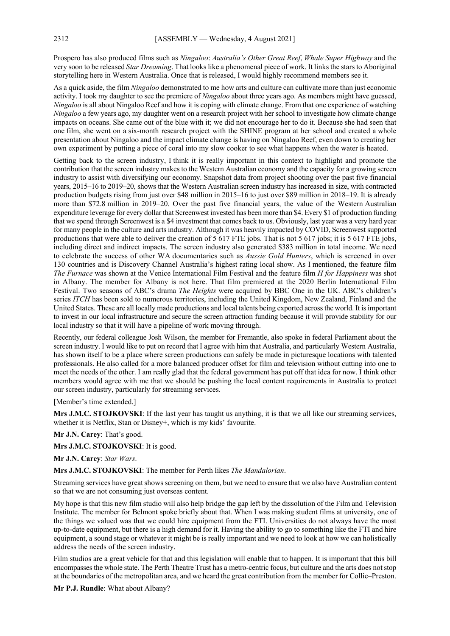Prospero has also produced films such as *Ningaloo*: *Australia's Other Great Reef*, *Whale Super Highway* and the very soon to be released *Star Dreaming*. That looks like a phenomenal piece of work. It links the stars to Aboriginal storytelling here in Western Australia. Once that is released, I would highly recommend members see it.

As a quick aside, the film *Ningaloo* demonstrated to me how arts and culture can cultivate more than just economic activity. I took my daughter to see the premiere of *Ningaloo* about three years ago. As members might have guessed, *Ningaloo* is all about Ningaloo Reef and how it is coping with climate change. From that one experience of watching *Ningaloo* a few years ago, my daughter went on a research project with her school to investigate how climate change impacts on oceans. She came out of the blue with it; we did not encourage her to do it. Because she had seen that one film, she went on a six-month research project with the SHINE program at her school and created a whole presentation about Ningaloo and the impact climate change is having on Ningaloo Reef, even down to creating her own experiment by putting a piece of coral into my slow cooker to see what happens when the water is heated.

Getting back to the screen industry, I think it is really important in this context to highlight and promote the contribution that the screen industry makes to the Western Australian economy and the capacity for a growing screen industry to assist with diversifying our economy. Snapshot data from project shooting over the past five financial years, 2015–16 to 2019–20, shows that the Western Australian screen industry has increased in size, with contracted production budgets rising from just over \$48 million in 2015–16 to just over \$89 million in 2018–19. It is already more than \$72.8 million in 2019–20. Over the past five financial years, the value of the Western Australian expenditure leverage for every dollar that Screenwest invested has been more than \$4. Every \$1 of production funding that we spend through Screenwest is a \$4 investment that comes back to us. Obviously, last year was a very hard year for many people in the culture and arts industry. Although it was heavily impacted by COVID, Screenwest supported productions that were able to deliver the creation of 5 617 FTE jobs. That is not 5 617 jobs; it is 5 617 FTE jobs, including direct and indirect impacts. The screen industry also generated \$383 million in total income. We need to celebrate the success of other WA documentaries such as *Aussie Gold Hunters*, which is screened in over 130 countries and is Discovery Channel Australia's highest rating local show. As I mentioned, the feature film *The Furnace* was shown at the Venice International Film Festival and the feature film *H for Happiness* was shot in Albany. The member for Albany is not here. That film premiered at the 2020 Berlin International Film Festival. Two seasons of ABC's drama *The Heights* were acquired by BBC One in the UK. ABC's children's series *ITCH* has been sold to numerous territories, including the United Kingdom, New Zealand, Finland and the United States. These are all locally made productions and local talents being exported acrossthe world. It is important to invest in our local infrastructure and secure the screen attraction funding because it will provide stability for our local industry so that it will have a pipeline of work moving through.

Recently, our federal colleague Josh Wilson, the member for Fremantle, also spoke in federal Parliament about the screen industry. I would like to put on record that I agree with him that Australia, and particularly Western Australia, has shown itself to be a place where screen productions can safely be made in picturesque locations with talented professionals. He also called for a more balanced producer offset for film and television without cutting into one to meet the needs of the other. I am really glad that the federal government has put off that idea for now. I think other members would agree with me that we should be pushing the local content requirements in Australia to protect our screen industry, particularly for streaming services.

#### [Member's time extended.]

**Mrs J.M.C. STOJKOVSKI**: If the last year has taught us anything, it is that we all like our streaming services, whether it is Netflix, Stan or Disney+, which is my kids' favourite.

**Mr J.N. Carey**: That's good.

**Mrs J.M.C. STOJKOVSKI**: It is good.

**Mr J.N. Carey**: *Star Wars*.

**Mrs J.M.C. STOJKOVSKI**: The member for Perth likes *The Mandalorian*.

Streaming services have great shows screening on them, but we need to ensure that we also have Australian content so that we are not consuming just overseas content.

My hope is that this new film studio will also help bridge the gap left by the dissolution of the Film and Television Institute. The member for Belmont spoke briefly about that. When I was making student films at university, one of the things we valued was that we could hire equipment from the FTI. Universities do not always have the most up-to-date equipment, but there is a high demand for it. Having the ability to go to something like the FTI and hire equipment, a sound stage or whatever it might be is really important and we need to look at how we can holistically address the needs of the screen industry.

Film studios are a great vehicle for that and this legislation will enable that to happen. It is important that this bill encompasses the whole state. The Perth Theatre Trust has a metro-centric focus, but culture and the arts does not stop at the boundaries of the metropolitan area, and we heard the great contribution from the member for Collie–Preston.

**Mr P.J. Rundle**: What about Albany?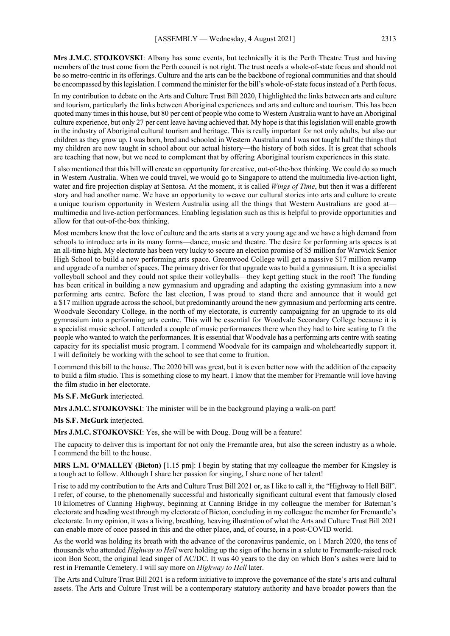**Mrs J.M.C. STOJKOVSKI**: Albany has some events, but technically it is the Perth Theatre Trust and having members of the trust come from the Perth council is not right. The trust needs a whole-of-state focus and should not be so metro-centric in its offerings. Culture and the arts can be the backbone of regional communities and that should be encompassed by this legislation. I commend the minister for the bill's whole-of-state focus instead of a Perth focus.

In my contribution to debate on the Arts and Culture Trust Bill 2020, I highlighted the links between arts and culture and tourism, particularly the links between Aboriginal experiences and arts and culture and tourism. This has been quoted many times in this house, but 80 per cent of people who come to Western Australia want to have an Aboriginal culture experience, but only 27 per cent leave having achieved that. My hope is that this legislation will enable growth in the industry of Aboriginal cultural tourism and heritage. This is really important for not only adults, but also our children as they grow up. I was born, bred and schooled in Western Australia and I was not taught half the things that my children are now taught in school about our actual history—the history of both sides. It is great that schools are teaching that now, but we need to complement that by offering Aboriginal tourism experiences in this state.

I also mentioned that this bill will create an opportunity for creative, out-of-the-box thinking. We could do so much in Western Australia. When we could travel, we would go to Singapore to attend the multimedia live-action light, water and fire projection display at Sentosa. At the moment, it is called *Wings of Time*, but then it was a different story and had another name. We have an opportunity to weave our cultural stories into arts and culture to create a unique tourism opportunity in Western Australia using all the things that Western Australians are good at multimedia and live-action performances. Enabling legislation such as this is helpful to provide opportunities and allow for that out-of-the-box thinking.

Most members know that the love of culture and the arts starts at a very young age and we have a high demand from schools to introduce arts in its many forms—dance, music and theatre. The desire for performing arts spaces is at an all-time high. My electorate has been very lucky to secure an election promise of \$5 million for Warwick Senior High School to build a new performing arts space. Greenwood College will get a massive \$17 million revamp and upgrade of a number of spaces. The primary driver for that upgrade was to build a gymnasium. It is a specialist volleyball school and they could not spike their volleyballs—they kept getting stuck in the roof! The funding has been critical in building a new gymnasium and upgrading and adapting the existing gymnasium into a new performing arts centre. Before the last election, I was proud to stand there and announce that it would get a \$17 million upgrade across the school, but predominantly around the new gymnasium and performing arts centre. Woodvale Secondary College, in the north of my electorate, is currently campaigning for an upgrade to its old gymnasium into a performing arts centre. This will be essential for Woodvale Secondary College because it is a specialist music school. I attended a couple of music performances there when they had to hire seating to fit the people who wanted to watch the performances. It is essential that Woodvale has a performing arts centre with seating capacity for its specialist music program. I commend Woodvale for its campaign and wholeheartedly support it. I will definitely be working with the school to see that come to fruition.

I commend this bill to the house. The 2020 bill was great, but it is even better now with the addition of the capacity to build a film studio. This is something close to my heart. I know that the member for Fremantle will love having the film studio in her electorate.

#### **Ms S.F. McGurk** interjected.

**Mrs J.M.C. STOJKOVSKI**: The minister will be in the background playing a walk-on part!

**Ms S.F. McGurk** interjected.

**Mrs J.M.C. STOJKOVSKI**: Yes, she will be with Doug. Doug will be a feature!

The capacity to deliver this is important for not only the Fremantle area, but also the screen industry as a whole. I commend the bill to the house.

**MRS L.M. O'MALLEY (Bicton)** [1.15 pm]: I begin by stating that my colleague the member for Kingsley is a tough act to follow. Although I share her passion for singing, I share none of her talent!

I rise to add my contribution to the Arts and Culture Trust Bill 2021 or, as I like to call it, the "Highway to Hell Bill". I refer, of course, to the phenomenally successful and historically significant cultural event that famously closed 10 kilometres of Canning Highway, beginning at Canning Bridge in my colleague the member for Bateman's electorate and heading west through my electorate of Bicton, concluding in my colleague the member for Fremantle's electorate. In my opinion, it was a living, breathing, heaving illustration of what the Arts and Culture Trust Bill 2021 can enable more of once passed in this and the other place, and, of course, in a post-COVID world.

As the world was holding its breath with the advance of the coronavirus pandemic, on 1 March 2020, the tens of thousands who attended *Highway to Hell* were holding up the sign of the horns in a salute to Fremantle-raised rock icon Bon Scott, the original lead singer of AC/DC. It was 40 years to the day on which Bon's ashes were laid to rest in Fremantle Cemetery. I will say more on *Highway to Hell* later.

The Arts and Culture Trust Bill 2021 is a reform initiative to improve the governance of the state's arts and cultural assets. The Arts and Culture Trust will be a contemporary statutory authority and have broader powers than the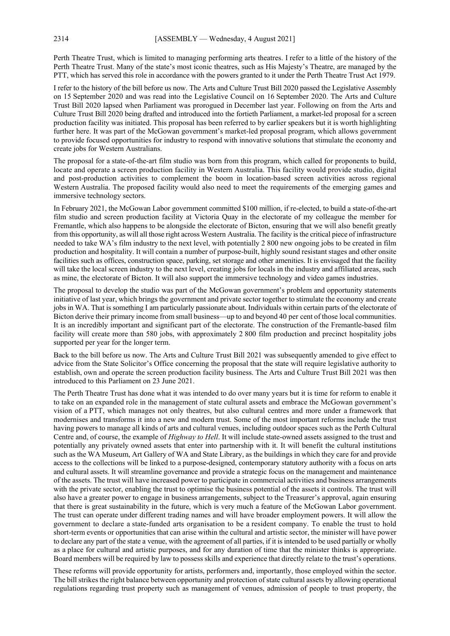Perth Theatre Trust, which is limited to managing performing arts theatres. I refer to a little of the history of the Perth Theatre Trust. Many of the state's most iconic theatres, such as His Majesty's Theatre, are managed by the PTT, which has served this role in accordance with the powers granted to it under the Perth Theatre Trust Act 1979.

I refer to the history of the bill before us now. The Arts and Culture Trust Bill 2020 passed the Legislative Assembly on 15 September 2020 and was read into the Legislative Council on 16 September 2020. The Arts and Culture Trust Bill 2020 lapsed when Parliament was prorogued in December last year. Following on from the Arts and Culture Trust Bill 2020 being drafted and introduced into the fortieth Parliament, a market-led proposal for a screen production facility was initiated. This proposal has been referred to by earlier speakers but it is worth highlighting further here. It was part of the McGowan government's market-led proposal program, which allows government to provide focused opportunities for industry to respond with innovative solutions that stimulate the economy and create jobs for Western Australians.

The proposal for a state-of-the-art film studio was born from this program, which called for proponents to build, locate and operate a screen production facility in Western Australia. This facility would provide studio, digital and post-production activities to complement the boom in location-based screen activities across regional Western Australia. The proposed facility would also need to meet the requirements of the emerging games and immersive technology sectors.

In February 2021, the McGowan Labor government committed \$100 million, if re-elected, to build a state-of-the-art film studio and screen production facility at Victoria Quay in the electorate of my colleague the member for Fremantle, which also happens to be alongside the electorate of Bicton, ensuring that we will also benefit greatly from this opportunity, as will all those right across Western Australia. The facility is the critical piece of infrastructure needed to take WA's film industry to the next level, with potentially 2 800 new ongoing jobs to be created in film production and hospitality. It will contain a number of purpose-built, highly sound resistant stages and other onsite facilities such as offices, construction space, parking, set storage and other amenities. It is envisaged that the facility will take the local screen industry to the next level, creating jobs for locals in the industry and affiliated areas, such as mine, the electorate of Bicton. It will also support the immersive technology and video games industries.

The proposal to develop the studio was part of the McGowan government's problem and opportunity statements initiative of last year, which brings the government and private sector together to stimulate the economy and create jobs in WA. That is something I am particularly passionate about. Individuals within certain parts of the electorate of Bicton derive their primary income from small business—up to and beyond 40 per cent of those local communities. It is an incredibly important and significant part of the electorate. The construction of the Fremantle-based film facility will create more than 580 jobs, with approximately 2 800 film production and precinct hospitality jobs supported per year for the longer term.

Back to the bill before us now. The Arts and Culture Trust Bill 2021 was subsequently amended to give effect to advice from the State Solicitor's Office concerning the proposal that the state will require legislative authority to establish, own and operate the screen production facility business. The Arts and Culture Trust Bill 2021 was then introduced to this Parliament on 23 June 2021.

The Perth Theatre Trust has done what it was intended to do over many years but it is time for reform to enable it to take on an expanded role in the management of state cultural assets and embrace the McGowan government's vision of a PTT, which manages not only theatres, but also cultural centres and more under a framework that modernises and transforms it into a new and modern trust. Some of the most important reforms include the trust having powers to manage all kinds of arts and cultural venues, including outdoor spaces such as the Perth Cultural Centre and, of course, the example of *Highway to Hell*. It will include state-owned assets assigned to the trust and potentially any privately owned assets that enter into partnership with it. It will benefit the cultural institutions such as the WA Museum, Art Gallery of WA and State Library, as the buildings in which they care for and provide access to the collections will be linked to a purpose-designed, contemporary statutory authority with a focus on arts and cultural assets. It will streamline governance and provide a strategic focus on the management and maintenance of the assets. The trust will have increased power to participate in commercial activities and business arrangements with the private sector, enabling the trust to optimise the business potential of the assets it controls. The trust will also have a greater power to engage in business arrangements, subject to the Treasurer's approval, again ensuring that there is great sustainability in the future, which is very much a feature of the McGowan Labor government. The trust can operate under different trading names and will have broader employment powers. It will allow the government to declare a state-funded arts organisation to be a resident company. To enable the trust to hold short-term events or opportunities that can arise within the cultural and artistic sector, the minister will have power to declare any part of the state a venue, with the agreement of all parties, if it is intended to be used partially or wholly as a place for cultural and artistic purposes, and for any duration of time that the minister thinks is appropriate. Board members will be required by law to possess skills and experience that directly relate to the trust's operations.

These reforms will provide opportunity for artists, performers and, importantly, those employed within the sector. The bill strikes the right balance between opportunity and protection of state cultural assets by allowing operational regulations regarding trust property such as management of venues, admission of people to trust property, the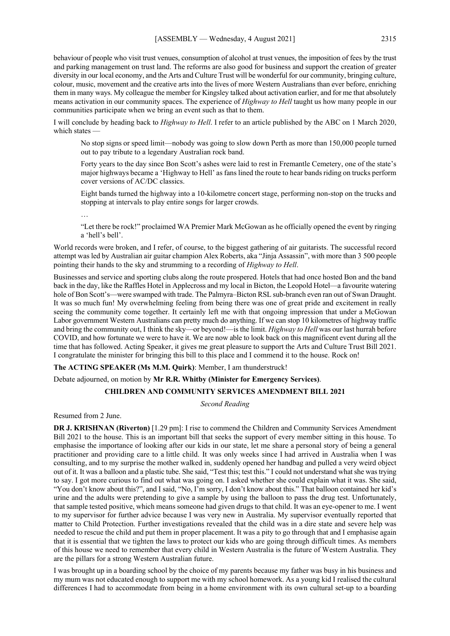behaviour of people who visit trust venues, consumption of alcohol at trust venues, the imposition of fees by the trust and parking management on trust land. The reforms are also good for business and support the creation of greater diversity in our local economy, and the Arts and Culture Trust will be wonderful for our community, bringing culture, colour, music, movement and the creative arts into the lives of more Western Australians than ever before, enriching them in many ways. My colleague the member for Kingsley talked about activation earlier, and for me that absolutely means activation in our community spaces. The experience of *Highway to Hell* taught us how many people in our communities participate when we bring an event such as that to them.

I will conclude by heading back to *Highway to Hell*. I refer to an article published by the ABC on 1 March 2020, which states —

No stop signs or speed limit—nobody was going to slow down Perth as more than 150,000 people turned out to pay tribute to a legendary Australian rock band.

Forty years to the day since Bon Scott's ashes were laid to rest in Fremantle Cemetery, one of the state's major highways became a 'Highway to Hell' as fans lined the route to hear bandsriding on trucks perform cover versions of AC/DC classics.

Eight bands turned the highway into a 10-kilometre concert stage, performing non-stop on the trucks and stopping at intervals to play entire songs for larger crowds.

…

"Let there be rock!" proclaimed WA Premier Mark McGowan as he officially opened the event by ringing a 'hell's bell'.

World records were broken, and I refer, of course, to the biggest gathering of air guitarists. The successful record attempt was led by Australian air guitar champion Alex Roberts, aka "Jinja Assassin", with more than 3 500 people pointing their hands to the sky and strumming to a recording of *Highway to Hell*.

Businesses and service and sporting clubs along the route prospered. Hotels that had once hosted Bon and the band back in the day, like the Raffles Hotel in Applecross and my local in Bicton, the Leopold Hotel—a favourite watering hole of Bon Scott's—were swamped with trade. The Palmyra–Bicton RSL sub-branch even ran out of Swan Draught. It was so much fun! My overwhelming feeling from being there was one of great pride and excitement in really seeing the community come together. It certainly left me with that ongoing impression that under a McGowan Labor government Western Australians can pretty much do anything. If we can stop 10 kilometres of highway traffic and bring the community out, I think the sky—or beyond!—is the limit. *Highway to Hell* was our last hurrah before COVID, and how fortunate we were to have it. We are now able to look back on this magnificent event during all the time that has followed. Acting Speaker, it gives me great pleasure to support the Arts and Culture Trust Bill 2021. I congratulate the minister for bringing this bill to this place and I commend it to the house. Rock on!

**The ACTING SPEAKER (Ms M.M. Quirk)**: Member, I am thunderstruck!

Debate adjourned, on motion by **Mr R.R. Whitby (Minister for Emergency Services)**.

# **CHILDREN AND COMMUNITY SERVICES AMENDMENT BILL 2021**

*Second Reading*

Resumed from 2 June.

**DR J. KRISHNAN (Riverton)** [1.29 pm]: I rise to commend the Children and Community Services Amendment Bill 2021 to the house. This is an important bill that seeks the support of every member sitting in this house. To emphasise the importance of looking after our kids in our state, let me share a personal story of being a general practitioner and providing care to a little child. It was only weeks since I had arrived in Australia when I was consulting, and to my surprise the mother walked in, suddenly opened her handbag and pulled a very weird object out of it. It was a balloon and a plastic tube. She said, "Test this; test this." I could not understand what she was trying to say. I got more curious to find out what was going on. I asked whether she could explain what it was. She said, "You don't know about this?", and I said, "No, I'm sorry, I don't know about this." That balloon contained her kid's urine and the adults were pretending to give a sample by using the balloon to pass the drug test. Unfortunately, that sample tested positive, which means someone had given drugs to that child. It was an eye-opener to me. I went to my supervisor for further advice because I was very new in Australia. My supervisor eventually reported that matter to Child Protection. Further investigations revealed that the child was in a dire state and severe help was needed to rescue the child and put them in proper placement. It was a pity to go through that and I emphasise again that it is essential that we tighten the laws to protect our kids who are going through difficult times. As members of this house we need to remember that every child in Western Australia is the future of Western Australia. They are the pillars for a strong Western Australian future.

I was brought up in a boarding school by the choice of my parents because my father was busy in his business and my mum was not educated enough to support me with my school homework. As a young kid I realised the cultural differences I had to accommodate from being in a home environment with its own cultural set-up to a boarding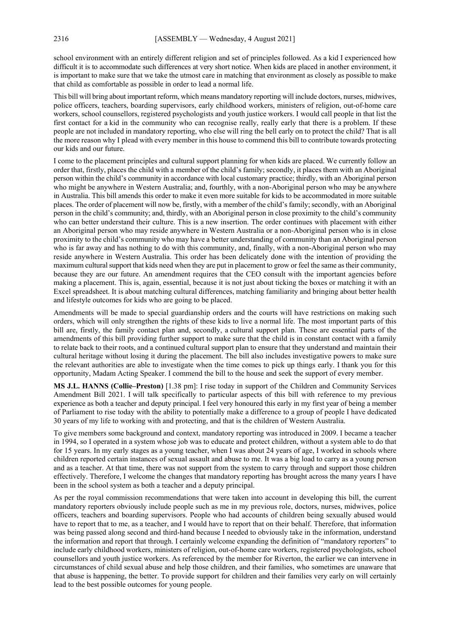school environment with an entirely different religion and set of principles followed. As a kid I experienced how difficult it is to accommodate such differences at very short notice. When kids are placed in another environment, it is important to make sure that we take the utmost care in matching that environment as closely as possible to make that child as comfortable as possible in order to lead a normal life.

This bill will bring about important reform, which means mandatory reporting will include doctors, nurses, midwives, police officers, teachers, boarding supervisors, early childhood workers, ministers of religion, out-of-home care workers, school counsellors, registered psychologists and youth justice workers. I would call people in that list the first contact for a kid in the community who can recognise really, really early that there is a problem. If these people are not included in mandatory reporting, who else will ring the bell early on to protect the child? That is all the more reason why I plead with every member in this house to commend this bill to contribute towards protecting our kids and our future.

I come to the placement principles and cultural support planning for when kids are placed. We currently follow an order that, firstly, places the child with a member of the child's family; secondly, it places them with an Aboriginal person within the child's community in accordance with local customary practice; thirdly, with an Aboriginal person who might be anywhere in Western Australia; and, fourthly, with a non-Aboriginal person who may be anywhere in Australia. This bill amends this order to make it even more suitable for kids to be accommodated in more suitable places. The order of placement will now be, firstly, with a member of the child's family; secondly, with an Aboriginal person in the child's community; and, thirdly, with an Aboriginal person in close proximity to the child's community who can better understand their culture. This is a new insertion. The order continues with placement with either an Aboriginal person who may reside anywhere in Western Australia or a non-Aboriginal person who is in close proximity to the child's community who may have a better understanding of community than an Aboriginal person who is far away and has nothing to do with this community, and, finally, with a non-Aboriginal person who may reside anywhere in Western Australia. This order has been delicately done with the intention of providing the maximum cultural support that kids need when they are put in placement to grow or feel the same as their community, because they are our future. An amendment requires that the CEO consult with the important agencies before making a placement. This is, again, essential, because it is not just about ticking the boxes or matching it with an Excel spreadsheet. It is about matching cultural differences, matching familiarity and bringing about better health and lifestyle outcomes for kids who are going to be placed.

Amendments will be made to special guardianship orders and the courts will have restrictions on making such orders, which will only strengthen the rights of these kids to live a normal life. The most important parts of this bill are, firstly, the family contact plan and, secondly, a cultural support plan. These are essential parts of the amendments of this bill providing further support to make sure that the child is in constant contact with a family to relate back to their roots, and a continued cultural support plan to ensure that they understand and maintain their cultural heritage without losing it during the placement. The bill also includes investigative powers to make sure the relevant authorities are able to investigate when the time comes to pick up things early. I thank you for this opportunity, Madam Acting Speaker. I commend the bill to the house and seek the support of every member.

**MS J.L. HANNS (Collie–Preston)** [1.38 pm]: I rise today in support of the Children and Community Services Amendment Bill 2021. I will talk specifically to particular aspects of this bill with reference to my previous experience as both a teacher and deputy principal. I feel very honoured this early in my first year of being a member of Parliament to rise today with the ability to potentially make a difference to a group of people I have dedicated 30 years of my life to working with and protecting, and that is the children of Western Australia.

To give members some background and context, mandatory reporting was introduced in 2009. I became a teacher in 1994, so I operated in a system whose job was to educate and protect children, without a system able to do that for 15 years. In my early stages as a young teacher, when I was about 24 years of age, I worked in schools where children reported certain instances of sexual assault and abuse to me. It was a big load to carry as a young person and as a teacher. At that time, there was not support from the system to carry through and support those children effectively. Therefore, I welcome the changes that mandatory reporting has brought across the many years I have been in the school system as both a teacher and a deputy principal.

As per the royal commission recommendations that were taken into account in developing this bill, the current mandatory reporters obviously include people such as me in my previous role, doctors, nurses, midwives, police officers, teachers and boarding supervisors. People who had accounts of children being sexually abused would have to report that to me, as a teacher, and I would have to report that on their behalf. Therefore, that information was being passed along second and third-hand because I needed to obviously take in the information, understand the information and report that through. I certainly welcome expanding the definition of "mandatory reporters" to include early childhood workers, ministers of religion, out-of-home care workers, registered psychologists, school counsellors and youth justice workers. As referenced by the member for Riverton, the earlier we can intervene in circumstances of child sexual abuse and help those children, and their families, who sometimes are unaware that that abuse is happening, the better. To provide support for children and their families very early on will certainly lead to the best possible outcomes for young people.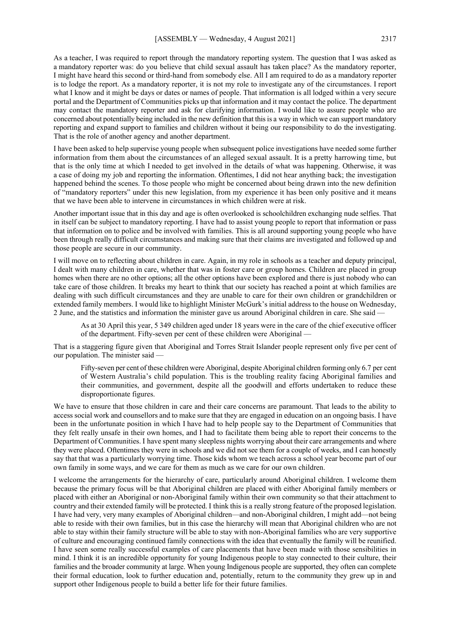As a teacher, I was required to report through the mandatory reporting system. The question that I was asked as a mandatory reporter was: do you believe that child sexual assault has taken place? As the mandatory reporter, I might have heard this second or third-hand from somebody else. All I am required to do as a mandatory reporter is to lodge the report. As a mandatory reporter, it is not my role to investigate any of the circumstances. I report what I know and it might be days or dates or names of people. That information is all lodged within a very secure portal and the Department of Communities picks up that information and it may contact the police. The department may contact the mandatory reporter and ask for clarifying information. I would like to assure people who are concerned about potentially being included in the new definition that this is a way in which we can support mandatory reporting and expand support to families and children without it being our responsibility to do the investigating. That is the role of another agency and another department.

I have been asked to help supervise young people when subsequent police investigations have needed some further information from them about the circumstances of an alleged sexual assault. It is a pretty harrowing time, but that is the only time at which I needed to get involved in the details of what was happening. Otherwise, it was a case of doing my job and reporting the information. Oftentimes, I did not hear anything back; the investigation happened behind the scenes. To those people who might be concerned about being drawn into the new definition of "mandatory reporters" under this new legislation, from my experience it has been only positive and it means that we have been able to intervene in circumstances in which children were at risk.

Another important issue that in this day and age is often overlooked is schoolchildren exchanging nude selfies. That in itself can be subject to mandatory reporting. I have had to assist young people to report that information or pass that information on to police and be involved with families. This is all around supporting young people who have been through really difficult circumstances and making sure that their claims are investigated and followed up and those people are secure in our community.

I will move on to reflecting about children in care. Again, in my role in schools as a teacher and deputy principal, I dealt with many children in care, whether that was in foster care or group homes. Children are placed in group homes when there are no other options; all the other options have been explored and there is just nobody who can take care of those children. It breaks my heart to think that our society has reached a point at which families are dealing with such difficult circumstances and they are unable to care for their own children or grandchildren or extended family members. I would like to highlight Minister McGurk's initial address to the house on Wednesday, 2 June, and the statistics and information the minister gave us around Aboriginal children in care. She said —

As at 30 April this year, 5 349 children aged under 18 years were in the care of the chief executive officer of the department. Fifty-seven per cent of these children were Aboriginal —

That is a staggering figure given that Aboriginal and Torres Strait Islander people represent only five per cent of our population. The minister said —

Fifty-seven per cent of these children were Aboriginal, despite Aboriginal children forming only 6.7 per cent of Western Australia's child population. This is the troubling reality facing Aboriginal families and their communities, and government, despite all the goodwill and efforts undertaken to reduce these disproportionate figures.

We have to ensure that those children in care and their care concerns are paramount. That leads to the ability to access social work and counsellors and to make sure that they are engaged in education on an ongoing basis. I have been in the unfortunate position in which I have had to help people say to the Department of Communities that they felt really unsafe in their own homes, and I had to facilitate them being able to report their concerns to the Department of Communities. I have spent many sleepless nights worrying about their care arrangements and where they were placed. Oftentimes they were in schools and we did not see them for a couple of weeks, and I can honestly say that that was a particularly worrying time. Those kids whom we teach across a school year become part of our own family in some ways, and we care for them as much as we care for our own children.

I welcome the arrangements for the hierarchy of care, particularly around Aboriginal children. I welcome them because the primary focus will be that Aboriginal children are placed with either Aboriginal family members or placed with either an Aboriginal or non-Aboriginal family within their own community so that their attachment to country and their extended family will be protected. I think this is a really strong feature of the proposed legislation. I have had very, very many examples of Aboriginal children—and non-Aboriginal children, I might add—not being able to reside with their own families, but in this case the hierarchy will mean that Aboriginal children who are not able to stay within their family structure will be able to stay with non-Aboriginal families who are very supportive of culture and encouraging continued family connections with the idea that eventually the family will be reunified. I have seen some really successful examples of care placements that have been made with those sensibilities in mind. I think it is an incredible opportunity for young Indigenous people to stay connected to their culture, their families and the broader community at large. When young Indigenous people are supported, they often can complete their formal education, look to further education and, potentially, return to the community they grew up in and support other Indigenous people to build a better life for their future families.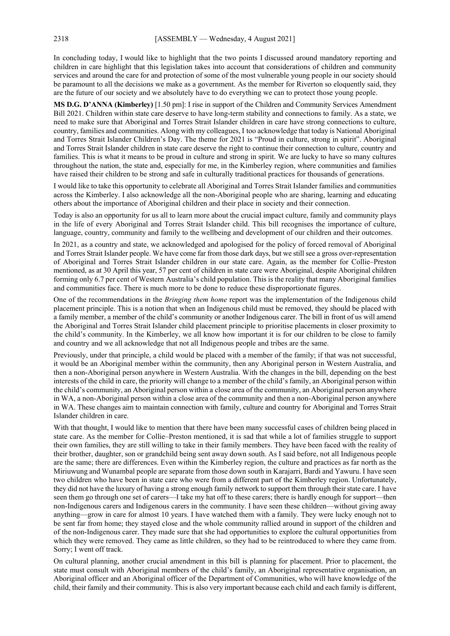In concluding today, I would like to highlight that the two points I discussed around mandatory reporting and children in care highlight that this legislation takes into account that considerations of children and community services and around the care for and protection of some of the most vulnerable young people in our society should be paramount to all the decisions we make as a government. As the member for Riverton so eloquently said, they are the future of our society and we absolutely have to do everything we can to protect those young people.

**MS D.G. D'ANNA (Kimberley)** [1.50 pm]: I rise in support of the Children and Community Services Amendment Bill 2021. Children within state care deserve to have long-term stability and connections to family. As a state, we need to make sure that Aboriginal and Torres Strait Islander children in care have strong connections to culture, country, families and communities. Along with my colleagues, I too acknowledge that today is National Aboriginal and Torres Strait Islander Children's Day. The theme for 2021 is "Proud in culture, strong in spirit". Aboriginal and Torres Strait Islander children in state care deserve the right to continue their connection to culture, country and families. This is what it means to be proud in culture and strong in spirit. We are lucky to have so many cultures throughout the nation, the state and, especially for me, in the Kimberley region, where communities and families have raised their children to be strong and safe in culturally traditional practices for thousands of generations.

I would like to take this opportunity to celebrate all Aboriginal and Torres Strait Islander families and communities across the Kimberley. I also acknowledge all the non-Aboriginal people who are sharing, learning and educating others about the importance of Aboriginal children and their place in society and their connection.

Today is also an opportunity for us all to learn more about the crucial impact culture, family and community plays in the life of every Aboriginal and Torres Strait Islander child. This bill recognises the importance of culture, language, country, community and family to the wellbeing and development of our children and their outcomes.

In 2021, as a country and state, we acknowledged and apologised for the policy of forced removal of Aboriginal and Torres Strait Islander people. We have come far from those dark days, but we still see a gross over-representation of Aboriginal and Torres Strait Islander children in our state care. Again, as the member for Collie–Preston mentioned, as at 30 April this year, 57 per cent of children in state care were Aboriginal, despite Aboriginal children forming only 6.7 per cent of Western Australia's child population. This is the reality that many Aboriginal families and communities face. There is much more to be done to reduce these disproportionate figures.

One of the recommendations in the *Bringing them home* report was the implementation of the Indigenous child placement principle. This is a notion that when an Indigenous child must be removed, they should be placed with a family member, a member of the child's community or another Indigenous carer. The bill in front of us will amend the Aboriginal and Torres Strait Islander child placement principle to prioritise placements in closer proximity to the child's community. In the Kimberley, we all know how important it is for our children to be close to family and country and we all acknowledge that not all Indigenous people and tribes are the same.

Previously, under that principle, a child would be placed with a member of the family; if that was not successful, it would be an Aboriginal member within the community, then any Aboriginal person in Western Australia, and then a non-Aboriginal person anywhere in Western Australia. With the changes in the bill, depending on the best interests of the child in care, the priority will change to a member of the child's family, an Aboriginal person within the child's community, an Aboriginal person within a close area of the community, an Aboriginal person anywhere in WA, a non-Aboriginal person within a close area of the community and then a non-Aboriginal person anywhere in WA. These changes aim to maintain connection with family, culture and country for Aboriginal and Torres Strait Islander children in care.

With that thought, I would like to mention that there have been many successful cases of children being placed in state care. As the member for Collie–Preston mentioned, it is sad that while a lot of families struggle to support their own families, they are still willing to take in their family members. They have been faced with the reality of their brother, daughter, son or grandchild being sent away down south. As I said before, not all Indigenous people are the same; there are differences. Even within the Kimberley region, the culture and practices as far north as the Miriuwung and Wunambal people are separate from those down south in Karajarri, Bardi and Yawuru. I have seen two children who have been in state care who were from a different part of the Kimberley region. Unfortunately, they did not have the luxury of having a strong enough family network to support them through their state care. I have seen them go through one set of carers—I take my hat off to these carers; there is hardly enough for support—then non-Indigenous carers and Indigenous carers in the community. I have seen these children—without giving away anything—grow in care for almost 10 years. I have watched them with a family. They were lucky enough not to be sent far from home; they stayed close and the whole community rallied around in support of the children and of the non-Indigenous carer. They made sure that she had opportunities to explore the cultural opportunities from which they were removed. They came as little children, so they had to be reintroduced to where they came from. Sorry; I went off track.

On cultural planning, another crucial amendment in this bill is planning for placement. Prior to placement, the state must consult with Aboriginal members of the child's family, an Aboriginal representative organisation, an Aboriginal officer and an Aboriginal officer of the Department of Communities, who will have knowledge of the child, their family and their community. This is also very important because each child and each family is different,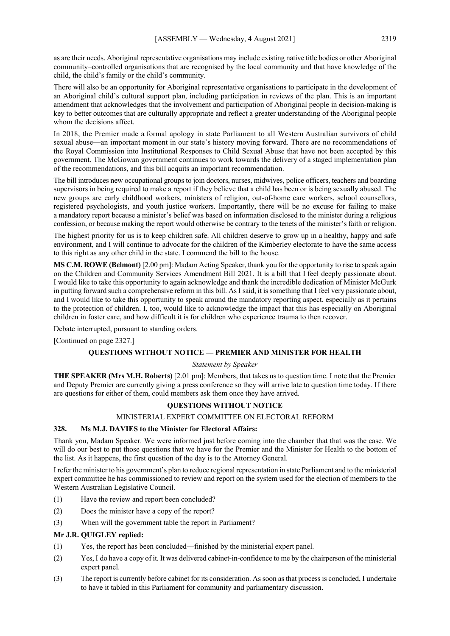as are their needs. Aboriginal representative organisations may include existing native title bodies or other Aboriginal community–controlled organisations that are recognised by the local community and that have knowledge of the child, the child's family or the child's community.

There will also be an opportunity for Aboriginal representative organisations to participate in the development of an Aboriginal child's cultural support plan, including participation in reviews of the plan. This is an important amendment that acknowledges that the involvement and participation of Aboriginal people in decision-making is key to better outcomes that are culturally appropriate and reflect a greater understanding of the Aboriginal people whom the decisions affect.

In 2018, the Premier made a formal apology in state Parliament to all Western Australian survivors of child sexual abuse—an important moment in our state's history moving forward. There are no recommendations of the Royal Commission into Institutional Responses to Child Sexual Abuse that have not been accepted by this government. The McGowan government continues to work towards the delivery of a staged implementation plan of the recommendations, and this bill acquits an important recommendation.

The bill introduces new occupational groups to join doctors, nurses, midwives, police officers, teachers and boarding supervisors in being required to make a report if they believe that a child has been or is being sexually abused. The new groups are early childhood workers, ministers of religion, out-of-home care workers, school counsellors, registered psychologists, and youth justice workers. Importantly, there will be no excuse for failing to make a mandatory report because a minister's belief was based on information disclosed to the minister during a religious confession, or because making the report would otherwise be contrary to the tenets of the minister's faith or religion.

The highest priority for us is to keep children safe. All children deserve to grow up in a healthy, happy and safe environment, and I will continue to advocate for the children of the Kimberley electorate to have the same access to this right as any other child in the state. I commend the bill to the house.

**MS C.M. ROWE (Belmont)** [2.00 pm]: Madam Acting Speaker, thank you for the opportunity to rise to speak again on the Children and Community Services Amendment Bill 2021. It is a bill that I feel deeply passionate about. I would like to take this opportunity to again acknowledge and thank the incredible dedication of Minister McGurk in putting forward such a comprehensive reform in this bill. As I said, it is something that I feel very passionate about, and I would like to take this opportunity to speak around the mandatory reporting aspect, especially as it pertains to the protection of children. I, too, would like to acknowledge the impact that this has especially on Aboriginal children in foster care, and how difficult it is for children who experience trauma to then recover.

Debate interrupted, pursuant to standing orders.

[Continued on page 2327.]

# **QUESTIONS WITHOUT NOTICE — PREMIER AND MINISTER FOR HEALTH**

#### *Statement by Speaker*

**THE SPEAKER (Mrs M.H. Roberts)** [2.01 pm]: Members, that takes us to question time. I note that the Premier and Deputy Premier are currently giving a press conference so they will arrive late to question time today. If there are questions for either of them, could members ask them once they have arrived.

# **QUESTIONS WITHOUT NOTICE**

# MINISTERIAL EXPERT COMMITTEE ON ELECTORAL REFORM

# **328. Ms M.J. DAVIES to the Minister for Electoral Affairs:**

Thank you, Madam Speaker. We were informed just before coming into the chamber that that was the case. We will do our best to put those questions that we have for the Premier and the Minister for Health to the bottom of the list. As it happens, the first question of the day is to the Attorney General.

I refer the minister to his government's plan to reduce regional representation in state Parliament and to the ministerial expert committee he has commissioned to review and report on the system used for the election of members to the Western Australian Legislative Council.

- (1) Have the review and report been concluded?
- (2) Does the minister have a copy of the report?
- (3) When will the government table the report in Parliament?

#### **Mr J.R. QUIGLEY replied:**

- (1) Yes, the report has been concluded—finished by the ministerial expert panel.
- (2) Yes, I do have a copy of it. It was delivered cabinet-in-confidence to me by the chairperson of the ministerial expert panel.
- (3) The report is currently before cabinet for its consideration. As soon as that process is concluded, I undertake to have it tabled in this Parliament for community and parliamentary discussion.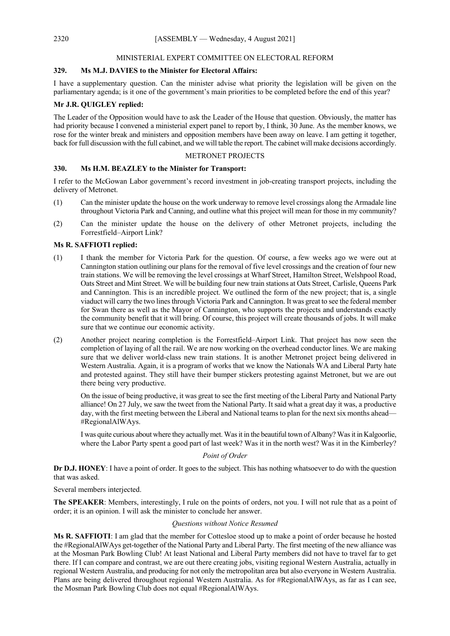# MINISTERIAL EXPERT COMMITTEE ON ELECTORAL REFORM

# **329. Ms M.J. DAVIES to the Minister for Electoral Affairs:**

I have a supplementary question. Can the minister advise what priority the legislation will be given on the parliamentary agenda; is it one of the government's main priorities to be completed before the end of this year?

# **Mr J.R. QUIGLEY replied:**

The Leader of the Opposition would have to ask the Leader of the House that question. Obviously, the matter has had priority because I convened a ministerial expert panel to report by, I think, 30 June. As the member knows, we rose for the winter break and ministers and opposition members have been away on leave. I am getting it together, back for full discussion with the full cabinet, and we will table the report. The cabinet will make decisions accordingly.

# METRONET PROJECTS

# **330. Ms H.M. BEAZLEY to the Minister for Transport:**

I refer to the McGowan Labor government's record investment in job-creating transport projects, including the delivery of Metronet.

- (1) Can the minister update the house on the work underway to remove level crossings along the Armadale line throughout Victoria Park and Canning, and outline what this project will mean for those in my community?
- (2) Can the minister update the house on the delivery of other Metronet projects, including the Forrestfield–Airport Link?

# **Ms R. SAFFIOTI replied:**

- (1) I thank the member for Victoria Park for the question. Of course, a few weeks ago we were out at Cannington station outlining our plans for the removal of five level crossings and the creation of four new train stations. We will be removing the level crossings at Wharf Street, Hamilton Street, Welshpool Road, Oats Street and Mint Street. We will be building four new train stations at Oats Street, Carlisle, Queens Park and Cannington. This is an incredible project. We outlined the form of the new project; that is, a single viaduct will carry the two lines through Victoria Park and Cannington. It was great to see the federal member for Swan there as well as the Mayor of Cannington, who supports the projects and understands exactly the community benefit that it will bring. Of course, this project will create thousands of jobs. It will make sure that we continue our economic activity.
- (2) Another project nearing completion is the Forrestfield–Airport Link. That project has now seen the completion of laying of all the rail. We are now working on the overhead conductor lines. We are making sure that we deliver world-class new train stations. It is another Metronet project being delivered in Western Australia. Again, it is a program of works that we know the Nationals WA and Liberal Party hate and protested against. They still have their bumper stickers protesting against Metronet, but we are out there being very productive.

On the issue of being productive, it was great to see the first meeting of the Liberal Party and National Party alliance! On 27 July, we saw the tweet from the National Party. It said what a great day it was, a productive day, with the first meeting between the Liberal and National teams to plan for the next six months ahead— #RegionalAlWAys.

I was quite curious about where they actually met. Was it in the beautiful town of Albany? Was it in Kalgoorlie, where the Labor Party spent a good part of last week? Was it in the north west? Was it in the Kimberley?

#### *Point of Order*

**Dr D.J. HONEY**: I have a point of order. It goes to the subject. This has nothing whatsoever to do with the question that was asked.

Several members interjected.

**The SPEAKER**: Members, interestingly, I rule on the points of orders, not you. I will not rule that as a point of order; it is an opinion. I will ask the minister to conclude her answer.

#### *Questions without Notice Resumed*

**Ms R. SAFFIOTI**: I am glad that the member for Cottesloe stood up to make a point of order because he hosted the #RegionalAlWAys get-together of the National Party and Liberal Party. The first meeting of the new alliance was at the Mosman Park Bowling Club! At least National and Liberal Party members did not have to travel far to get there. If I can compare and contrast, we are out there creating jobs, visiting regional Western Australia, actually in regional Western Australia, and producing for not only the metropolitan area but also everyone in Western Australia. Plans are being delivered throughout regional Western Australia. As for #RegionalAlWAys, as far as I can see, the Mosman Park Bowling Club does not equal #RegionalAlWAys.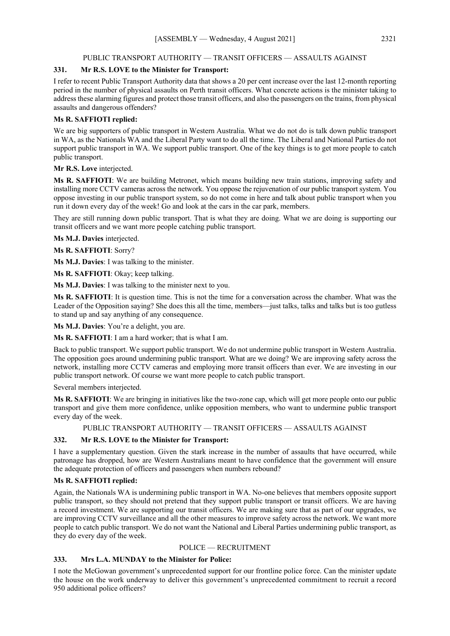# PUBLIC TRANSPORT AUTHORITY — TRANSIT OFFICERS — ASSAULTS AGAINST

# **331. Mr R.S. LOVE to the Minister for Transport:**

I refer to recent Public Transport Authority data that shows a 20 per cent increase over the last 12-month reporting period in the number of physical assaults on Perth transit officers. What concrete actions is the minister taking to address these alarming figures and protect those transit officers, and also the passengers on the trains, from physical assaults and dangerous offenders?

# **Ms R. SAFFIOTI replied:**

We are big supporters of public transport in Western Australia. What we do not do is talk down public transport in WA, as the Nationals WA and the Liberal Party want to do all the time. The Liberal and National Parties do not support public transport in WA. We support public transport. One of the key things is to get more people to catch public transport.

**Mr R.S. Love** interjected.

**Ms R. SAFFIOTI**: We are building Metronet, which means building new train stations, improving safety and installing more CCTV cameras across the network. You oppose the rejuvenation of our public transport system. You oppose investing in our public transport system, so do not come in here and talk about public transport when you run it down every day of the week! Go and look at the cars in the car park, members.

They are still running down public transport. That is what they are doing. What we are doing is supporting our transit officers and we want more people catching public transport.

**Ms M.J. Davies** interjected.

**Ms R. SAFFIOTI**: Sorry?

**Ms M.J. Davies**: I was talking to the minister.

**Ms R. SAFFIOTI**: Okay; keep talking.

**Ms M.J. Davies**: I was talking to the minister next to you.

**Ms R. SAFFIOTI**: It is question time. This is not the time for a conversation across the chamber. What was the Leader of the Opposition saying? She does this all the time, members—just talks, talks and talks but is too gutless to stand up and say anything of any consequence.

**Ms M.J. Davies**: You're a delight, you are.

**Ms R. SAFFIOTI**: I am a hard worker; that is what I am.

Back to public transport. We support public transport. We do not undermine public transport in Western Australia. The opposition goes around undermining public transport. What are we doing? We are improving safety across the network, installing more CCTV cameras and employing more transit officers than ever. We are investing in our public transport network. Of course we want more people to catch public transport.

Several members interjected.

**Ms R. SAFFIOTI**: We are bringing in initiatives like the two-zone cap, which will get more people onto our public transport and give them more confidence, unlike opposition members, who want to undermine public transport every day of the week.

PUBLIC TRANSPORT AUTHORITY — TRANSIT OFFICERS — ASSAULTS AGAINST

# **332. Mr R.S. LOVE to the Minister for Transport:**

I have a supplementary question. Given the stark increase in the number of assaults that have occurred, while patronage has dropped, how are Western Australians meant to have confidence that the government will ensure the adequate protection of officers and passengers when numbers rebound?

# **Ms R. SAFFIOTI replied:**

Again, the Nationals WA is undermining public transport in WA. No-one believes that members opposite support public transport, so they should not pretend that they support public transport or transit officers. We are having a record investment. We are supporting our transit officers. We are making sure that as part of our upgrades, we are improving CCTV surveillance and all the other measures to improve safety across the network. We want more people to catch public transport. We do not want the National and Liberal Parties undermining public transport, as they do every day of the week.

# POLICE — RECRUITMENT

# **333. Mrs L.A. MUNDAY to the Minister for Police:**

I note the McGowan government's unprecedented support for our frontline police force. Can the minister update the house on the work underway to deliver this government's unprecedented commitment to recruit a record 950 additional police officers?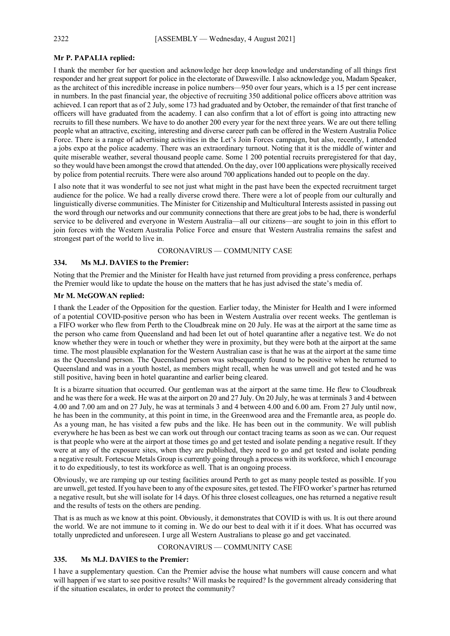# **Mr P. PAPALIA replied:**

I thank the member for her question and acknowledge her deep knowledge and understanding of all things first responder and her great support for police in the electorate of Dawesville. I also acknowledge you, Madam Speaker, as the architect of this incredible increase in police numbers—950 over four years, which is a 15 per cent increase in numbers. In the past financial year, the objective of recruiting 350 additional police officers above attrition was achieved. I can report that as of 2 July, some 173 had graduated and by October, the remainder of that first tranche of officers will have graduated from the academy. I can also confirm that a lot of effort is going into attracting new recruits to fill these numbers. We have to do another 200 every year for the next three years. We are out there telling people what an attractive, exciting, interesting and diverse career path can be offered in the Western Australia Police Force. There is a range of advertising activities in the Let's Join Forces campaign, but also, recently, I attended a jobs expo at the police academy. There was an extraordinary turnout. Noting that it is the middle of winter and quite miserable weather, several thousand people came. Some 1 200 potential recruits preregistered for that day, so they would have been amongst the crowd that attended. On the day, over 100 applications were physically received by police from potential recruits. There were also around 700 applications handed out to people on the day.

I also note that it was wonderful to see not just what might in the past have been the expected recruitment target audience for the police. We had a really diverse crowd there. There were a lot of people from our culturally and linguistically diverse communities. The Minister for Citizenship and Multicultural Interests assisted in passing out the word through our networks and our community connections that there are great jobs to be had, there is wonderful service to be delivered and everyone in Western Australia—all our citizens—are sought to join in this effort to join forces with the Western Australia Police Force and ensure that Western Australia remains the safest and strongest part of the world to live in.

CORONAVIRUS — COMMUNITY CASE

# **334. Ms M.J. DAVIES to the Premier:**

Noting that the Premier and the Minister for Health have just returned from providing a press conference, perhaps the Premier would like to update the house on the matters that he has just advised the state's media of.

# **Mr M. McGOWAN replied:**

I thank the Leader of the Opposition for the question. Earlier today, the Minister for Health and I were informed of a potential COVID-positive person who has been in Western Australia over recent weeks. The gentleman is a FIFO worker who flew from Perth to the Cloudbreak mine on 20 July. He was at the airport at the same time as the person who came from Queensland and had been let out of hotel quarantine after a negative test. We do not know whether they were in touch or whether they were in proximity, but they were both at the airport at the same time. The most plausible explanation for the Western Australian case is that he was at the airport at the same time as the Queensland person. The Queensland person was subsequently found to be positive when he returned to Queensland and was in a youth hostel, as members might recall, when he was unwell and got tested and he was still positive, having been in hotel quarantine and earlier being cleared.

It is a bizarre situation that occurred. Our gentleman was at the airport at the same time. He flew to Cloudbreak and he was there for a week. He was at the airport on 20 and 27 July. On 20 July, he was at terminals 3 and 4 between 4.00 and 7.00 am and on 27 July, he was at terminals 3 and 4 between 4.00 and 6.00 am. From 27 July until now, he has been in the community, at this point in time, in the Greenwood area and the Fremantle area, as people do. As a young man, he has visited a few pubs and the like. He has been out in the community. We will publish everywhere he has been as best we can work out through our contact tracing teams as soon as we can. Our request is that people who were at the airport at those times go and get tested and isolate pending a negative result. If they were at any of the exposure sites, when they are published, they need to go and get tested and isolate pending a negative result. Fortescue Metals Group is currently going through a process with its workforce, which I encourage it to do expeditiously, to test its workforce as well. That is an ongoing process.

Obviously, we are ramping up our testing facilities around Perth to get as many people tested as possible. If you are unwell, get tested. If you have been to any of the exposure sites, get tested. The FIFO worker's partner has returned a negative result, but she will isolate for 14 days. Of his three closest colleagues, one has returned a negative result and the results of tests on the others are pending.

That is as much as we know at this point. Obviously, it demonstrates that COVID is with us. It is out there around the world. We are not immune to it coming in. We do our best to deal with it if it does. What has occurred was totally unpredicted and unforeseen. I urge all Western Australians to please go and get vaccinated.

# CORONAVIRUS — COMMUNITY CASE

# **335. Ms M.J. DAVIES to the Premier:**

I have a supplementary question. Can the Premier advise the house what numbers will cause concern and what will happen if we start to see positive results? Will masks be required? Is the government already considering that if the situation escalates, in order to protect the community?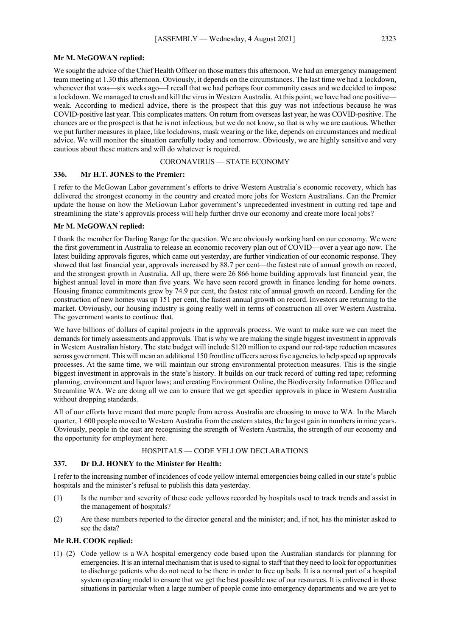#### **Mr M. McGOWAN replied:**

We sought the advice of the Chief Health Officer on those matters this afternoon. We had an emergency management team meeting at 1.30 this afternoon. Obviously, it depends on the circumstances. The last time we had a lockdown, whenever that was—six weeks ago—I recall that we had perhaps four community cases and we decided to impose a lockdown. We managed to crush and kill the virus in Western Australia. At this point, we have had one positive weak. According to medical advice, there is the prospect that this guy was not infectious because he was COVID-positive last year. This complicates matters. On return from overseas last year, he was COVID-positive. The chances are or the prospect is that he is not infectious, but we do not know, so that is why we are cautious. Whether we put further measures in place, like lockdowns, mask wearing or the like, depends on circumstances and medical advice. We will monitor the situation carefully today and tomorrow. Obviously, we are highly sensitive and very cautious about these matters and will do whatever is required.

# CORONAVIRUS — STATE ECONOMY

#### **336. Mr H.T. JONES to the Premier:**

I refer to the McGowan Labor government's efforts to drive Western Australia's economic recovery, which has delivered the strongest economy in the country and created more jobs for Western Australians. Can the Premier update the house on how the McGowan Labor government's unprecedented investment in cutting red tape and streamlining the state's approvals process will help further drive our economy and create more local jobs?

# **Mr M. McGOWAN replied:**

I thank the member for Darling Range for the question. We are obviously working hard on our economy. We were the first government in Australia to release an economic recovery plan out of COVID—over a year ago now. The latest building approvals figures, which came out yesterday, are further vindication of our economic response. They showed that last financial year, approvals increased by 88.7 per cent—the fastest rate of annual growth on record, and the strongest growth in Australia. All up, there were 26 866 home building approvals last financial year, the highest annual level in more than five years. We have seen record growth in finance lending for home owners. Housing finance commitments grew by 74.9 per cent, the fastest rate of annual growth on record. Lending for the construction of new homes was up 151 per cent, the fastest annual growth on record. Investors are returning to the market. Obviously, our housing industry is going really well in terms of construction all over Western Australia. The government wants to continue that.

We have billions of dollars of capital projects in the approvals process. We want to make sure we can meet the demands for timely assessments and approvals. That is why we are making the single biggest investment in approvals in Western Australian history. The state budget will include \$120 million to expand our red-tape reduction measures across government. This will mean an additional 150 frontline officers across five agencies to help speed up approvals processes. At the same time, we will maintain our strong environmental protection measures. This is the single biggest investment in approvals in the state's history. It builds on our track record of cutting red tape; reforming planning, environment and liquor laws; and creating Environment Online, the Biodiversity Information Office and Streamline WA. We are doing all we can to ensure that we get speedier approvals in place in Western Australia without dropping standards.

All of our efforts have meant that more people from across Australia are choosing to move to WA. In the March quarter, 1 600 people moved to Western Australia from the eastern states, the largest gain in numbers in nine years. Obviously, people in the east are recognising the strength of Western Australia, the strength of our economy and the opportunity for employment here.

#### HOSPITALS — CODE YELLOW DECLARATIONS

# **337. Dr D.J. HONEY to the Minister for Health:**

I refer to the increasing number of incidences of code yellow internal emergencies being called in our state's public hospitals and the minister's refusal to publish this data yesterday.

- (1) Is the number and severity of these code yellows recorded by hospitals used to track trends and assist in the management of hospitals?
- (2) Are these numbers reported to the director general and the minister; and, if not, has the minister asked to see the data?

# **Mr R.H. COOK replied:**

(1)–(2) Code yellow is a WA hospital emergency code based upon the Australian standards for planning for emergencies. It is an internal mechanism that is used to signal to staff that they need to look for opportunities to discharge patients who do not need to be there in order to free up beds. It is a normal part of a hospital system operating model to ensure that we get the best possible use of our resources. It is enlivened in those situations in particular when a large number of people come into emergency departments and we are yet to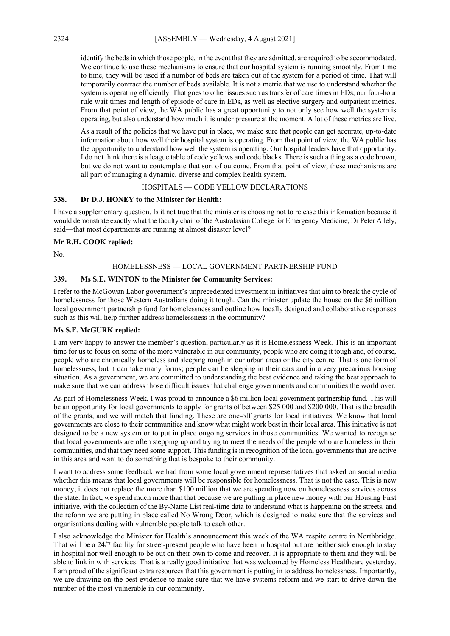identify the beds in which those people, in the event that they are admitted, are required to be accommodated. We continue to use these mechanisms to ensure that our hospital system is running smoothly. From time to time, they will be used if a number of beds are taken out of the system for a period of time. That will temporarily contract the number of beds available. It is not a metric that we use to understand whether the system is operating efficiently. That goes to other issues such as transfer of care times in EDs, our four-hour rule wait times and length of episode of care in EDs, as well as elective surgery and outpatient metrics. From that point of view, the WA public has a great opportunity to not only see how well the system is operating, but also understand how much it is under pressure at the moment. A lot of these metrics are live.

As a result of the policies that we have put in place, we make sure that people can get accurate, up-to-date information about how well their hospital system is operating. From that point of view, the WA public has the opportunity to understand how well the system is operating. Our hospital leaders have that opportunity. I do not think there is a league table of code yellows and code blacks. There is such a thing as a code brown, but we do not want to contemplate that sort of outcome. From that point of view, these mechanisms are all part of managing a dynamic, diverse and complex health system.

# HOSPITALS — CODE YELLOW DECLARATIONS

#### **338. Dr D.J. HONEY to the Minister for Health:**

I have a supplementary question. Is it not true that the minister is choosing not to release this information because it would demonstrate exactly what the faculty chair of the Australasian College for Emergency Medicine, Dr Peter Allely, said—that most departments are running at almost disaster level?

#### **Mr R.H. COOK replied:**

No.

#### HOMELESSNESS — LOCAL GOVERNMENT PARTNERSHIP FUND

# **339. Ms S.E. WINTON to the Minister for Community Services:**

I refer to the McGowan Labor government's unprecedented investment in initiatives that aim to break the cycle of homelessness for those Western Australians doing it tough. Can the minister update the house on the \$6 million local government partnership fund for homelessness and outline how locally designed and collaborative responses such as this will help further address homelessness in the community?

#### **Ms S.F. McGURK replied:**

I am very happy to answer the member's question, particularly as it is Homelessness Week. This is an important time for us to focus on some of the more vulnerable in our community, people who are doing it tough and, of course, people who are chronically homeless and sleeping rough in our urban areas or the city centre. That is one form of homelessness, but it can take many forms; people can be sleeping in their cars and in a very precarious housing situation. As a government, we are committed to understanding the best evidence and taking the best approach to make sure that we can address those difficult issues that challenge governments and communities the world over.

As part of Homelessness Week, I was proud to announce a \$6 million local government partnership fund. This will be an opportunity for local governments to apply for grants of between \$25 000 and \$200 000. That is the breadth of the grants, and we will match that funding. These are one-off grants for local initiatives. We know that local governments are close to their communities and know what might work best in their local area. This initiative is not designed to be a new system or to put in place ongoing services in those communities. We wanted to recognise that local governments are often stepping up and trying to meet the needs of the people who are homeless in their communities, and that they need some support. This funding is in recognition of the local governments that are active in this area and want to do something that is bespoke to their community.

I want to address some feedback we had from some local government representatives that asked on social media whether this means that local governments will be responsible for homelessness. That is not the case. This is new money; it does not replace the more than \$100 million that we are spending now on homelessness services across the state. In fact, we spend much more than that because we are putting in place new money with our Housing First initiative, with the collection of the By-Name List real-time data to understand what is happening on the streets, and the reform we are putting in place called No Wrong Door, which is designed to make sure that the services and organisations dealing with vulnerable people talk to each other.

I also acknowledge the Minister for Health's announcement this week of the WA respite centre in Northbridge. That will be a 24/7 facility for street-present people who have been in hospital but are neither sick enough to stay in hospital nor well enough to be out on their own to come and recover. It is appropriate to them and they will be able to link in with services. That is a really good initiative that was welcomed by Homeless Healthcare yesterday. I am proud of the significant extra resources that this government is putting in to address homelessness. Importantly, we are drawing on the best evidence to make sure that we have systems reform and we start to drive down the number of the most vulnerable in our community.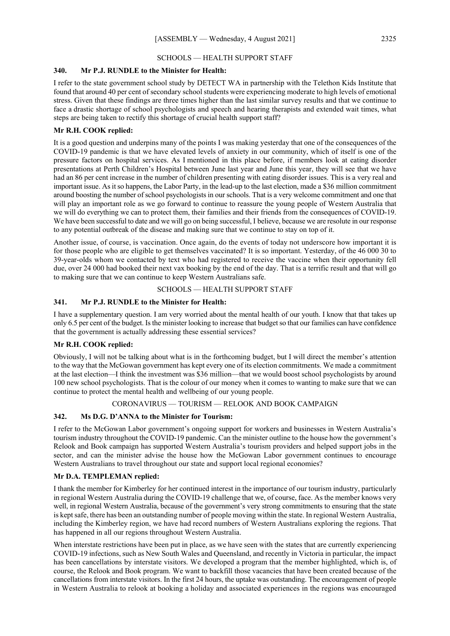# SCHOOLS — HEALTH SUPPORT STAFF

# **340. Mr P.J. RUNDLE to the Minister for Health:**

I refer to the state government school study by DETECT WA in partnership with the Telethon Kids Institute that found that around 40 per cent of secondary school students were experiencing moderate to high levels of emotional stress. Given that these findings are three times higher than the last similar survey results and that we continue to face a drastic shortage of school psychologists and speech and hearing therapists and extended wait times, what steps are being taken to rectify this shortage of crucial health support staff?

#### **Mr R.H. COOK replied:**

It is a good question and underpins many of the points I was making yesterday that one of the consequences of the COVID-19 pandemic is that we have elevated levels of anxiety in our community, which of itself is one of the pressure factors on hospital services. As I mentioned in this place before, if members look at eating disorder presentations at Perth Children's Hospital between June last year and June this year, they will see that we have had an 86 per cent increase in the number of children presenting with eating disorder issues. This is a very real and important issue. As it so happens, the Labor Party, in the lead-up to the last election, made a \$36 million commitment around boosting the number of school psychologists in our schools. That is a very welcome commitment and one that will play an important role as we go forward to continue to reassure the young people of Western Australia that we will do everything we can to protect them, their families and their friends from the consequences of COVID-19. We have been successful to date and we will go on being successful, I believe, because we are resolute in our response to any potential outbreak of the disease and making sure that we continue to stay on top of it.

Another issue, of course, is vaccination. Once again, do the events of today not underscore how important it is for those people who are eligible to get themselves vaccinated? It is so important. Yesterday, of the 46 000 30 to 39-year-olds whom we contacted by text who had registered to receive the vaccine when their opportunity fell due, over 24 000 had booked their next vax booking by the end of the day. That is a terrific result and that will go to making sure that we can continue to keep Western Australians safe.

#### SCHOOLS — HEALTH SUPPORT STAFF

# **341. Mr P.J. RUNDLE to the Minister for Health:**

I have a supplementary question. I am very worried about the mental health of our youth. I know that that takes up only 6.5 per cent of the budget. Is the minister looking to increase that budget so that our families can have confidence that the government is actually addressing these essential services?

#### **Mr R.H. COOK replied:**

Obviously, I will not be talking about what is in the forthcoming budget, but I will direct the member's attention to the way that the McGowan government has kept every one of its election commitments. We made a commitment at the last election—I think the investment was \$36 million—that we would boost school psychologists by around 100 new school psychologists. That is the colour of our money when it comes to wanting to make sure that we can continue to protect the mental health and wellbeing of our young people.

# CORONAVIRUS — TOURISM — RELOOK AND BOOK CAMPAIGN

# **342. Ms D.G. D'ANNA to the Minister for Tourism:**

I refer to the McGowan Labor government's ongoing support for workers and businesses in Western Australia's tourism industry throughout the COVID-19 pandemic. Can the minister outline to the house how the government's Relook and Book campaign has supported Western Australia's tourism providers and helped support jobs in the sector, and can the minister advise the house how the McGowan Labor government continues to encourage Western Australians to travel throughout our state and support local regional economies?

#### **Mr D.A. TEMPLEMAN replied:**

I thank the member for Kimberley for her continued interest in the importance of our tourism industry, particularly in regional Western Australia during the COVID-19 challenge that we, of course, face. As the member knows very well, in regional Western Australia, because of the government's very strong commitments to ensuring that the state is kept safe, there has been an outstanding number of people moving within the state. In regional Western Australia, including the Kimberley region, we have had record numbers of Western Australians exploring the regions. That has happened in all our regions throughout Western Australia.

When interstate restrictions have been put in place, as we have seen with the states that are currently experiencing COVID-19 infections, such as New South Wales and Queensland, and recently in Victoria in particular, the impact has been cancellations by interstate visitors. We developed a program that the member highlighted, which is, of course, the Relook and Book program. We want to backfill those vacancies that have been created because of the cancellations from interstate visitors. In the first 24 hours, the uptake was outstanding. The encouragement of people in Western Australia to relook at booking a holiday and associated experiences in the regions was encouraged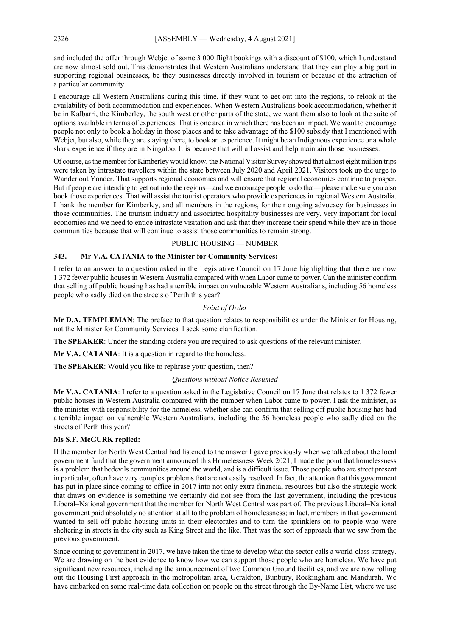and included the offer through Webjet of some 3 000 flight bookings with a discount of \$100, which I understand are now almost sold out. This demonstrates that Western Australians understand that they can play a big part in supporting regional businesses, be they businesses directly involved in tourism or because of the attraction of a particular community.

I encourage all Western Australians during this time, if they want to get out into the regions, to relook at the availability of both accommodation and experiences. When Western Australians book accommodation, whether it be in Kalbarri, the Kimberley, the south west or other parts of the state, we want them also to look at the suite of options available in terms of experiences. That is one area in which there has been an impact. We want to encourage people not only to book a holiday in those places and to take advantage of the \$100 subsidy that I mentioned with Webjet, but also, while they are staying there, to book an experience. It might be an Indigenous experience or a whale shark experience if they are in Ningaloo. It is because that will all assist and help maintain those businesses.

Of course, as the member for Kimberley would know, the National Visitor Survey showed that almost eight million trips were taken by intrastate travellers within the state between July 2020 and April 2021. Visitors took up the urge to Wander out Yonder. That supports regional economies and will ensure that regional economies continue to prosper. But if people are intending to get out into the regions—and we encourage people to do that—please make sure you also book those experiences. That will assist the tourist operators who provide experiences in regional Western Australia. I thank the member for Kimberley, and all members in the regions, for their ongoing advocacy for businesses in those communities. The tourism industry and associated hospitality businesses are very, very important for local economies and we need to entice intrastate visitation and ask that they increase their spend while they are in those communities because that will continue to assist those communities to remain strong.

# PUBLIC HOUSING — NUMBER

#### **343. Mr V.A. CATANIA to the Minister for Community Services:**

I refer to an answer to a question asked in the Legislative Council on 17 June highlighting that there are now 1 372 fewer public houses in Western Australia compared with when Labor came to power. Can the minister confirm that selling off public housing has had a terrible impact on vulnerable Western Australians, including 56 homeless people who sadly died on the streets of Perth this year?

#### *Point of Order*

**Mr D.A. TEMPLEMAN**: The preface to that question relates to responsibilities under the Minister for Housing, not the Minister for Community Services. I seek some clarification.

**The SPEAKER**: Under the standing orders you are required to ask questions of the relevant minister.

**Mr V.A. CATANIA**: It is a question in regard to the homeless.

**The SPEAKER**: Would you like to rephrase your question, then?

#### *Questions without Notice Resumed*

**Mr V.A. CATANIA**: I refer to a question asked in the Legislative Council on 17 June that relates to 1 372 fewer public houses in Western Australia compared with the number when Labor came to power. I ask the minister, as the minister with responsibility for the homeless, whether she can confirm that selling off public housing has had a terrible impact on vulnerable Western Australians, including the 56 homeless people who sadly died on the streets of Perth this year?

#### **Ms S.F. McGURK replied:**

If the member for North West Central had listened to the answer I gave previously when we talked about the local government fund that the government announced this Homelessness Week 2021, I made the point that homelessness is a problem that bedevils communities around the world, and is a difficult issue. Those people who are street present in particular, often have very complex problems that are not easily resolved. In fact, the attention that this government has put in place since coming to office in 2017 into not only extra financial resources but also the strategic work that draws on evidence is something we certainly did not see from the last government, including the previous Liberal–National government that the member for North West Central was part of. The previous Liberal–National government paid absolutely no attention at all to the problem of homelessness; in fact, members in that government wanted to sell off public housing units in their electorates and to turn the sprinklers on to people who were sheltering in streets in the city such as King Street and the like. That was the sort of approach that we saw from the previous government.

Since coming to government in 2017, we have taken the time to develop what the sector calls a world-class strategy. We are drawing on the best evidence to know how we can support those people who are homeless. We have put significant new resources, including the announcement of two Common Ground facilities, and we are now rolling out the Housing First approach in the metropolitan area, Geraldton, Bunbury, Rockingham and Mandurah. We have embarked on some real-time data collection on people on the street through the By-Name List, where we use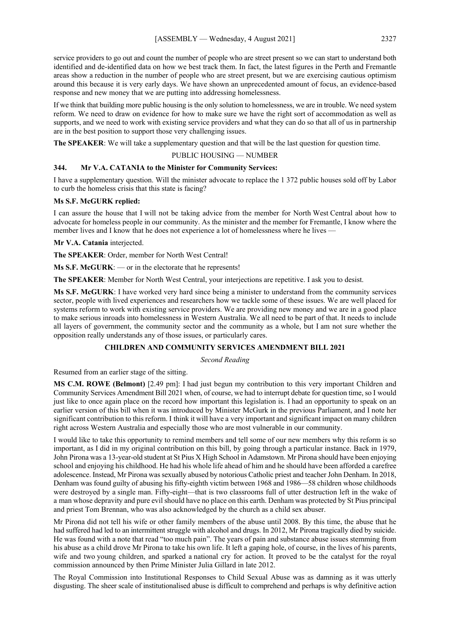service providers to go out and count the number of people who are street present so we can start to understand both identified and de-identified data on how we best track them. In fact, the latest figures in the Perth and Fremantle areas show a reduction in the number of people who are street present, but we are exercising cautious optimism around this because it is very early days. We have shown an unprecedented amount of focus, an evidence-based response and new money that we are putting into addressing homelessness.

If we think that building more public housing is the only solution to homelessness, we are in trouble. We need system reform. We need to draw on evidence for how to make sure we have the right sort of accommodation as well as supports, and we need to work with existing service providers and what they can do so that all of us in partnership are in the best position to support those very challenging issues.

**The SPEAKER**: We will take a supplementary question and that will be the last question for question time.

# PUBLIC HOUSING — NUMBER

#### **344. Mr V.A. CATANIA to the Minister for Community Services:**

I have a supplementary question. Will the minister advocate to replace the 1 372 public houses sold off by Labor to curb the homeless crisis that this state is facing?

#### **Ms S.F. McGURK replied:**

I can assure the house that I will not be taking advice from the member for North West Central about how to advocate for homeless people in our community. As the minister and the member for Fremantle, I know where the member lives and I know that he does not experience a lot of homelessness where he lives —

**Mr V.A. Catania** interjected.

**The SPEAKER**: Order, member for North West Central!

**Ms S.F. McGURK**: — or in the electorate that he represents!

**The SPEAKER**: Member for North West Central, your interjections are repetitive. I ask you to desist.

**Ms S.F. McGURK**: I have worked very hard since being a minister to understand from the community services sector, people with lived experiences and researchers how we tackle some of these issues. We are well placed for systems reform to work with existing service providers. We are providing new money and we are in a good place to make serious inroads into homelessness in Western Australia. We all need to be part of that. It needs to include all layers of government, the community sector and the community as a whole, but I am not sure whether the opposition really understands any of those issues, or particularly cares.

# **CHILDREN AND COMMUNITY SERVICES AMENDMENT BILL 2021**

*Second Reading*

Resumed from an earlier stage of the sitting.

**MS C.M. ROWE (Belmont)** [2.49 pm]: I had just begun my contribution to this very important Children and Community Services Amendment Bill 2021 when, of course, we had to interrupt debate for question time, so I would just like to once again place on the record how important this legislation is. I had an opportunity to speak on an earlier version of this bill when it was introduced by Minister McGurk in the previous Parliament, and I note her significant contribution to this reform. I think it will have a very important and significant impact on many children right across Western Australia and especially those who are most vulnerable in our community.

I would like to take this opportunity to remind members and tell some of our new members why this reform is so important, as I did in my original contribution on this bill, by going through a particular instance. Back in 1979, John Pirona was a 13-year-old student at St Pius X High School in Adamstown. Mr Pirona should have been enjoying school and enjoying his childhood. He had his whole life ahead of him and he should have been afforded a carefree adolescence. Instead, Mr Pirona was sexually abused by notorious Catholic priest and teacher John Denham. In 2018, Denham was found guilty of abusing his fifty-eighth victim between 1968 and 1986—58 children whose childhoods were destroyed by a single man. Fifty-eight—that is two classrooms full of utter destruction left in the wake of a man whose depravity and pure evil should have no place on this earth. Denham was protected by St Pius principal and priest Tom Brennan, who was also acknowledged by the church as a child sex abuser.

Mr Pirona did not tell his wife or other family members of the abuse until 2008. By this time, the abuse that he had suffered had led to an intermittent struggle with alcohol and drugs. In 2012, Mr Pirona tragically died by suicide. He was found with a note that read "too much pain". The years of pain and substance abuse issues stemming from his abuse as a child drove Mr Pirona to take his own life. It left a gaping hole, of course, in the lives of his parents, wife and two young children, and sparked a national cry for action. It proved to be the catalyst for the royal commission announced by then Prime Minister Julia Gillard in late 2012.

The Royal Commission into Institutional Responses to Child Sexual Abuse was as damning as it was utterly disgusting. The sheer scale of institutionalised abuse is difficult to comprehend and perhaps is why definitive action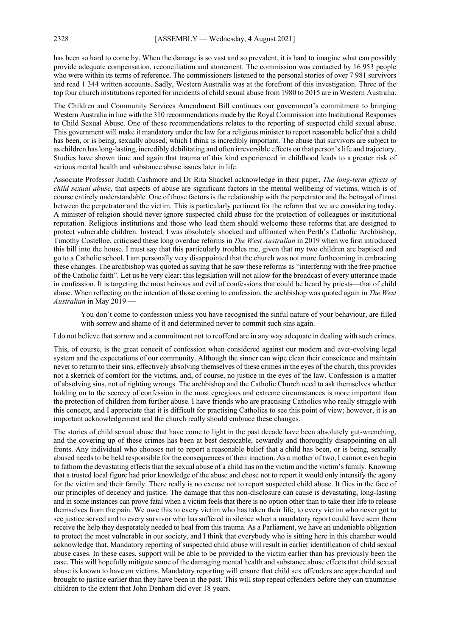has been so hard to come by. When the damage is so vast and so prevalent, it is hard to imagine what can possibly provide adequate compensation, reconciliation and atonement. The commission was contacted by 16 953 people who were within its terms of reference. The commissioners listened to the personal stories of over 7 981 survivors and read 1 344 written accounts. Sadly, Western Australia was at the forefront of this investigation. Three of the top four church institutions reported for incidents of child sexual abuse from 1980 to 2015 are in Western Australia.

The Children and Community Services Amendment Bill continues our government's commitment to bringing Western Australia in line with the 310 recommendations made by the Royal Commission into Institutional Responses to Child Sexual Abuse. One of these recommendations relates to the reporting of suspected child sexual abuse. This government will make it mandatory under the law for a religious minister to report reasonable belief that a child has been, or is being, sexually abused, which I think is incredibly important. The abuse that survivors are subject to as children has long-lasting, incredibly debilitating and often irreversible effects on that person's life and trajectory. Studies have shown time and again that trauma of this kind experienced in childhood leads to a greater risk of serious mental health and substance abuse issues later in life.

Associate Professor Judith Cashmore and Dr Rita Shackel acknowledge in their paper, *The long-term effects of child sexual abuse*, that aspects of abuse are significant factors in the mental wellbeing of victims, which is of course entirely understandable. One of those factors is the relationship with the perpetrator and the betrayal of trust between the perpetrator and the victim. This is particularly pertinent for the reform that we are considering today. A minister of religion should never ignore suspected child abuse for the protection of colleagues or institutional reputation. Religious institutions and those who lead them should welcome these reforms that are designed to protect vulnerable children. Instead, I was absolutely shocked and affronted when Perth's Catholic Archbishop, Timothy Costelloe, criticised these long overdue reforms in *The West Australian* in 2019 when we first introduced this bill into the house. I must say that this particularly troubles me, given that my two children are baptised and go to a Catholic school. I am personally very disappointed that the church was not more forthcoming in embracing these changes. The archbishop was quoted as saying that he saw these reforms as "interfering with the free practice of the Catholic faith". Let us be very clear: this legislation will not allow for the broadcast of every utterance made in confession. It is targeting the most heinous and evil of confessions that could be heard by priests—that of child abuse. When reflecting on the intention of those coming to confession, the archbishop was quoted again in *The West Australian* in May 2019 —

You don't come to confession unless you have recognised the sinful nature of your behaviour, are filled with sorrow and shame of it and determined never to commit such sins again.

I do not believe that sorrow and a commitment not to reoffend are in any way adequate in dealing with such crimes.

This, of course, is the great conceit of confession when considered against our modern and ever-evolving legal system and the expectations of our community. Although the sinner can wipe clean their conscience and maintain never to return to their sins, effectively absolving themselves of these crimes in the eyes of the church, this provides not a skerrick of comfort for the victims, and, of course, no justice in the eyes of the law. Confession is a matter of absolving sins, not of righting wrongs. The archbishop and the Catholic Church need to ask themselves whether holding on to the secrecy of confession in the most egregious and extreme circumstances is more important than the protection of children from further abuse. I have friends who are practising Catholics who really struggle with this concept, and I appreciate that it is difficult for practising Catholics to see this point of view; however, it is an important acknowledgement and the church really should embrace these changes.

The stories of child sexual abuse that have come to light in the past decade have been absolutely gut-wrenching, and the covering up of these crimes has been at best despicable, cowardly and thoroughly disappointing on all fronts. Any individual who chooses not to report a reasonable belief that a child has been, or is being, sexually abused needs to be held responsible for the consequences of their inaction. As a mother of two, I cannot even begin to fathom the devastating effects that the sexual abuse of a child has on the victim and the victim's family. Knowing that a trusted local figure had prior knowledge of the abuse and chose not to report it would only intensify the agony for the victim and their family. There really is no excuse not to report suspected child abuse. It flies in the face of our principles of decency and justice. The damage that this non-disclosure can cause is devastating, long-lasting and in some instances can prove fatal when a victim feels that there is no option other than to take their life to release themselves from the pain. We owe this to every victim who has taken their life, to every victim who never got to see justice served and to every survivor who has suffered in silence when a mandatory report could have seen them receive the help they desperately needed to heal from this trauma. As a Parliament, we have an undeniable obligation to protect the most vulnerable in our society, and I think that everybody who is sitting here in this chamber would acknowledge that. Mandatory reporting of suspected child abuse will result in earlier identification of child sexual abuse cases. In these cases, support will be able to be provided to the victim earlier than has previously been the case. This will hopefully mitigate some of the damaging mental health and substance abuse effects that child sexual abuse is known to have on victims. Mandatory reporting will ensure that child sex offenders are apprehended and brought to justice earlier than they have been in the past. This will stop repeat offenders before they can traumatise children to the extent that John Denham did over 18 years.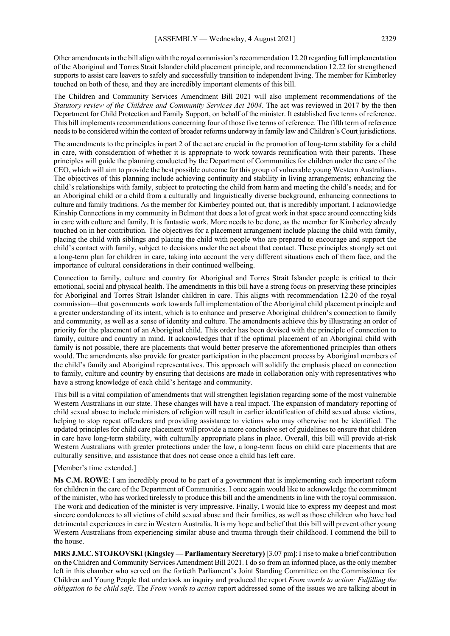Other amendments in the bill align with the royal commission's recommendation 12.20 regarding full implementation of the Aboriginal and Torres Strait Islander child placement principle, and recommendation 12.22 for strengthened supports to assist care leavers to safely and successfully transition to independent living. The member for Kimberley touched on both of these, and they are incredibly important elements of this bill.

The Children and Community Services Amendment Bill 2021 will also implement recommendations of the *Statutory review of the Children and Community Services Act 2004*. The act was reviewed in 2017 by the then Department for Child Protection and Family Support, on behalf of the minister. It established five terms of reference. This bill implements recommendations concerning four of those five terms of reference. The fifth term of reference needs to be considered within the context of broader reforms underway in family law and Children's Court jurisdictions.

The amendments to the principles in part 2 of the act are crucial in the promotion of long-term stability for a child in care, with consideration of whether it is appropriate to work towards reunification with their parents. These principles will guide the planning conducted by the Department of Communities for children under the care of the CEO, which will aim to provide the best possible outcome for this group of vulnerable young Western Australians. The objectives of this planning include achieving continuity and stability in living arrangements; enhancing the child's relationships with family, subject to protecting the child from harm and meeting the child's needs; and for an Aboriginal child or a child from a culturally and linguistically diverse background, enhancing connections to culture and family traditions. As the member for Kimberley pointed out, that is incredibly important. I acknowledge Kinship Connections in my community in Belmont that does a lot of great work in that space around connecting kids in care with culture and family. It is fantastic work. More needs to be done, as the member for Kimberley already touched on in her contribution. The objectives for a placement arrangement include placing the child with family, placing the child with siblings and placing the child with people who are prepared to encourage and support the child's contact with family, subject to decisions under the act about that contact. These principles strongly set out a long-term plan for children in care, taking into account the very different situations each of them face, and the importance of cultural considerations in their continued wellbeing.

Connection to family, culture and country for Aboriginal and Torres Strait Islander people is critical to their emotional, social and physical health. The amendments in this bill have a strong focus on preserving these principles for Aboriginal and Torres Strait Islander children in care. This aligns with recommendation 12.20 of the royal commission—that governments work towards full implementation of the Aboriginal child placement principle and a greater understanding of its intent, which is to enhance and preserve Aboriginal children's connection to family and community, as well as a sense of identity and culture. The amendments achieve this by illustrating an order of priority for the placement of an Aboriginal child. This order has been devised with the principle of connection to family, culture and country in mind. It acknowledges that if the optimal placement of an Aboriginal child with family is not possible, there are placements that would better preserve the aforementioned principles than others would. The amendments also provide for greater participation in the placement process by Aboriginal members of the child's family and Aboriginal representatives. This approach will solidify the emphasis placed on connection to family, culture and country by ensuring that decisions are made in collaboration only with representatives who have a strong knowledge of each child's heritage and community.

This bill is a vital compilation of amendments that will strengthen legislation regarding some of the most vulnerable Western Australians in our state. These changes will have a real impact. The expansion of mandatory reporting of child sexual abuse to include ministers of religion will result in earlier identification of child sexual abuse victims, helping to stop repeat offenders and providing assistance to victims who may otherwise not be identified. The updated principles for child care placement will provide a more conclusive set of guidelines to ensure that children in care have long-term stability, with culturally appropriate plans in place. Overall, this bill will provide at-risk Western Australians with greater protections under the law, a long-term focus on child care placements that are culturally sensitive, and assistance that does not cease once a child has left care.

#### [Member's time extended.]

**Ms C.M. ROWE**: I am incredibly proud to be part of a government that is implementing such important reform for children in the care of the Department of Communities. I once again would like to acknowledge the commitment of the minister, who has worked tirelessly to produce this bill and the amendments in line with the royal commission. The work and dedication of the minister is very impressive. Finally, I would like to express my deepest and most sincere condolences to all victims of child sexual abuse and their families, as well as those children who have had detrimental experiences in care in Western Australia. It is my hope and belief that this bill will prevent other young Western Australians from experiencing similar abuse and trauma through their childhood. I commend the bill to the house.

**MRS J.M.C. STOJKOVSKI(Kingsley — Parliamentary Secretary)** [3.07 pm]: I rise to make a brief contribution on the Children and Community Services Amendment Bill 2021. I do so from an informed place, as the only member left in this chamber who served on the fortieth Parliament's Joint Standing Committee on the Commissioner for Children and Young People that undertook an inquiry and produced the report *From words to action: Fulfilling the obligation to be child safe*. The *From words to action* report addressed some of the issues we are talking about in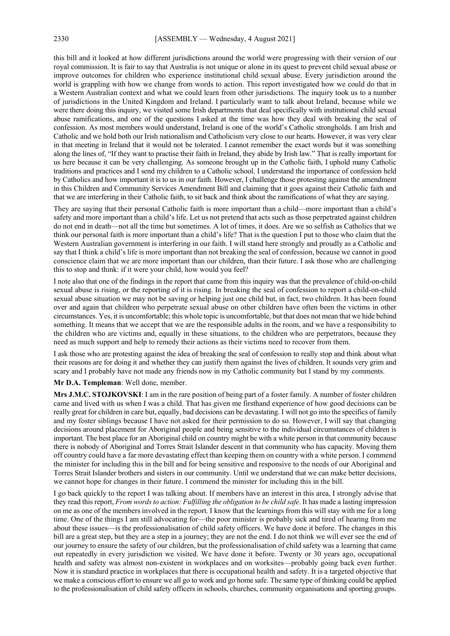this bill and it looked at how different jurisdictions around the world were progressing with their version of our royal commission. It is fair to say that Australia is not unique or alone in its quest to prevent child sexual abuse or improve outcomes for children who experience institutional child sexual abuse. Every jurisdiction around the world is grappling with how we change from words to action. This report investigated how we could do that in a Western Australian context and what we could learn from other jurisdictions. The inquiry took us to a number of jurisdictions in the United Kingdom and Ireland. I particularly want to talk about Ireland, because while we were there doing this inquiry, we visited some Irish departments that deal specifically with institutional child sexual abuse ramifications, and one of the questions I asked at the time was how they deal with breaking the seal of confession. As most members would understand, Ireland is one of the world's Catholic strongholds. I am Irish and Catholic and we hold both our Irish nationalism and Catholicism very close to our hearts. However, it was very clear in that meeting in Ireland that it would not be tolerated. I cannot remember the exact words but it was something along the lines of, "If they want to practise their faith in Ireland, they abide by Irish law." That is really important for us here because it can be very challenging. As someone brought up in the Catholic faith, I uphold many Catholic traditions and practices and I send my children to a Catholic school. I understand the importance of confession held by Catholics and how important it is to us in our faith. However, I challenge those protesting against the amendment in this Children and Community Services Amendment Bill and claiming that it goes against their Catholic faith and that we are interfering in their Catholic faith, to sit back and think about the ramifications of what they are saying.

They are saying that their personal Catholic faith is more important than a child—more important than a child's safety and more important than a child's life. Let us not pretend that acts such as those perpetrated against children do not end in death—not all the time but sometimes. A lot of times, it does. Are we so selfish as Catholics that we think our personal faith is more important than a child's life? That is the question I put to those who claim that the Western Australian government is interfering in our faith. I will stand here strongly and proudly as a Catholic and say that I think a child's life is more important than not breaking the seal of confession, because we cannot in good conscience claim that we are more important than our children, than their future. I ask those who are challenging this to stop and think: if it were your child, how would you feel?

I note also that one of the findings in the report that came from this inquiry was that the prevalence of child-on-child sexual abuse is rising, or the reporting of it is rising. In breaking the seal of confession to report a child-on-child sexual abuse situation we may not be saving or helping just one child but, in fact, two children. It has been found over and again that children who perpetrate sexual abuse on other children have often been the victims in other circumstances. Yes, it is uncomfortable; this whole topic is uncomfortable, but that does not mean that we hide behind something. It means that we accept that we are the responsible adults in the room, and we have a responsibility to the children who are victims and, equally in these situations, to the children who are perpetrators, because they need as much support and help to remedy their actions as their victims need to recover from them.

I ask those who are protesting against the idea of breaking the seal of confession to really stop and think about what their reasons are for doing it and whether they can justify them against the lives of children. It sounds very grim and scary and I probably have not made any friends now in my Catholic community but I stand by my comments.

# **Mr D.A. Templeman**: Well done, member.

**Mrs J.M.C. STOJKOVSKI**: I am in the rare position of being part of a foster family. A number of foster children came and lived with us when I was a child. That has given me firsthand experience of how good decisions can be really great for children in care but, equally, bad decisions can be devastating. I will not go into the specifics of family and my foster siblings because I have not asked for their permission to do so. However, I will say that changing decisions around placement for Aboriginal people and being sensitive to the individual circumstances of children is important. The best place for an Aboriginal child on country might be with a white person in that community because there is nobody of Aboriginal and Torres Strait Islander descent in that community who has capacity. Moving them off country could have a far more devastating effect than keeping them on country with a white person. I commend the minister for including this in the bill and for being sensitive and responsive to the needs of our Aboriginal and Torres Strait Islander brothers and sisters in our community. Until we understand that we can make better decisions, we cannot hope for changes in their future. I commend the minister for including this in the bill.

I go back quickly to the report I was talking about. If members have an interest in this area, I strongly advise that they read this report, *From words to action: Fulfilling the obligation to be child safe*. It has made a lasting impression on me as one of the members involved in the report. I know that the learnings from this will stay with me for a long time. One of the things I am still advocating for—the poor minister is probably sick and tired of hearing from me about these issues—is the professionalisation of child safety officers. We have done it before. The changes in this bill are a great step, but they are a step in a journey; they are not the end. I do not think we will ever see the end of our journey to ensure the safety of our children, but the professionalisation of child safety was a learning that came out repeatedly in every jurisdiction we visited. We have done it before. Twenty or 30 years ago, occupational health and safety was almost non-existent in workplaces and on worksites—probably going back even further. Now it is standard practice in workplaces that there is occupational health and safety. It is a targeted objective that we make a conscious effort to ensure we all go to work and go home safe. The same type of thinking could be applied to the professionalisation of child safety officers in schools, churches, community organisations and sporting groups.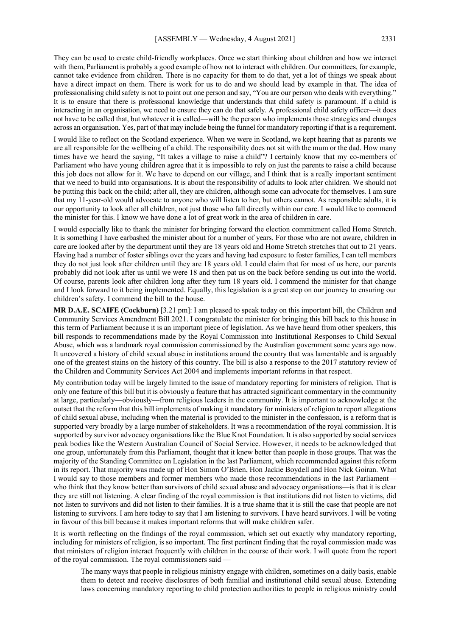They can be used to create child-friendly workplaces. Once we start thinking about children and how we interact with them, Parliament is probably a good example of how not to interact with children. Our committees, for example, cannot take evidence from children. There is no capacity for them to do that, yet a lot of things we speak about have a direct impact on them. There is work for us to do and we should lead by example in that. The idea of professionalising child safety is not to point out one person and say, "You are our person who deals with everything." It is to ensure that there is professional knowledge that understands that child safety is paramount. If a child is interacting in an organisation, we need to ensure they can do that safely. A professional child safety officer—it does not have to be called that, but whatever it is called—will be the person who implements those strategies and changes across an organisation. Yes, part of that may include being the funnel for mandatory reporting if that is a requirement.

I would like to reflect on the Scotland experience. When we were in Scotland, we kept hearing that as parents we are all responsible for the wellbeing of a child. The responsibility does not sit with the mum or the dad. How many times have we heard the saying, "It takes a village to raise a child"? I certainly know that my co-members of Parliament who have young children agree that it is impossible to rely on just the parents to raise a child because this job does not allow for it. We have to depend on our village, and I think that is a really important sentiment that we need to build into organisations. It is about the responsibility of adults to look after children. We should not be putting this back on the child; after all, they are children, although some can advocate for themselves. I am sure that my 11-year-old would advocate to anyone who will listen to her, but others cannot. As responsible adults, it is our opportunity to look after all children, not just those who fall directly within our care. I would like to commend the minister for this. I know we have done a lot of great work in the area of children in care.

I would especially like to thank the minister for bringing forward the election commitment called Home Stretch. It is something I have earbashed the minister about for a number of years. For those who are not aware, children in care are looked after by the department until they are 18 years old and Home Stretch stretches that out to 21 years. Having had a number of foster siblings over the years and having had exposure to foster families, I can tell members they do not just look after children until they are 18 years old. I could claim that for most of us here, our parents probably did not look after us until we were 18 and then pat us on the back before sending us out into the world. Of course, parents look after children long after they turn 18 years old. I commend the minister for that change and I look forward to it being implemented. Equally, this legislation is a great step on our journey to ensuring our children's safety. I commend the bill to the house.

**MR D.A.E. SCAIFE (Cockburn)** [3.21 pm]: I am pleased to speak today on this important bill, the Children and Community Services Amendment Bill 2021. I congratulate the minister for bringing this bill back to this house in this term of Parliament because it is an important piece of legislation. As we have heard from other speakers, this bill responds to recommendations made by the Royal Commission into Institutional Responses to Child Sexual Abuse, which was a landmark royal commission commissioned by the Australian government some years ago now. It uncovered a history of child sexual abuse in institutions around the country that was lamentable and is arguably one of the greatest stains on the history of this country. The bill is also a response to the 2017 statutory review of the Children and Community Services Act 2004 and implements important reforms in that respect.

My contribution today will be largely limited to the issue of mandatory reporting for ministers of religion. That is only one feature of this bill but it is obviously a feature that has attracted significant commentary in the community at large, particularly—obviously—from religious leaders in the community. It is important to acknowledge at the outset that the reform that this bill implements of making it mandatory for ministers of religion to report allegations of child sexual abuse, including when the material is provided to the minister in the confession, is a reform that is supported very broadly by a large number of stakeholders. It was a recommendation of the royal commission. It is supported by survivor advocacy organisations like the Blue Knot Foundation. It is also supported by social services peak bodies like the Western Australian Council of Social Service. However, it needs to be acknowledged that one group, unfortunately from this Parliament, thought that it knew better than people in those groups. That was the majority of the Standing Committee on Legislation in the last Parliament, which recommended against this reform in its report. That majority was made up of Hon Simon O'Brien, Hon Jackie Boydell and Hon Nick Goiran. What I would say to those members and former members who made those recommendations in the last Parliament who think that they know better than survivors of child sexual abuse and advocacy organisations—is that it is clear they are still not listening. A clear finding of the royal commission is that institutions did not listen to victims, did not listen to survivors and did not listen to their families. It is a true shame that it is still the case that people are not listening to survivors. I am here today to say that I am listening to survivors. I have heard survivors. I will be voting in favour of this bill because it makes important reforms that will make children safer.

It is worth reflecting on the findings of the royal commission, which set out exactly why mandatory reporting, including for ministers of religion, is so important. The first pertinent finding that the royal commission made was that ministers of religion interact frequently with children in the course of their work. I will quote from the report of the royal commission. The royal commissioners said —

The many ways that people in religious ministry engage with children, sometimes on a daily basis, enable them to detect and receive disclosures of both familial and institutional child sexual abuse. Extending laws concerning mandatory reporting to child protection authorities to people in religious ministry could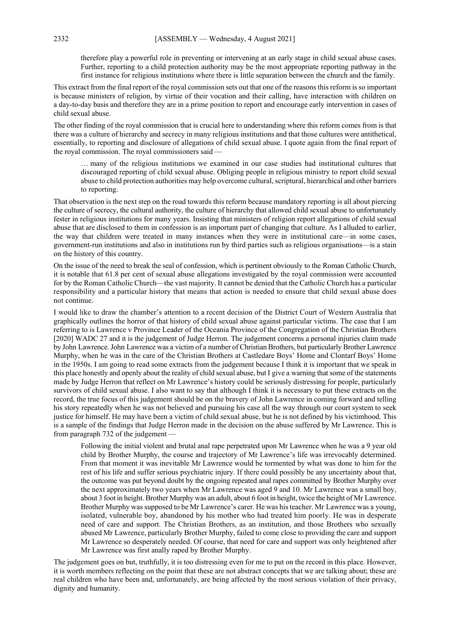therefore play a powerful role in preventing or intervening at an early stage in child sexual abuse cases. Further, reporting to a child protection authority may be the most appropriate reporting pathway in the first instance for religious institutions where there is little separation between the church and the family.

This extract from the final report of the royal commission sets out that one of the reasons this reform is so important is because ministers of religion, by virtue of their vocation and their calling, have interaction with children on a day-to-day basis and therefore they are in a prime position to report and encourage early intervention in cases of child sexual abuse.

The other finding of the royal commission that is crucial here to understanding where this reform comes from is that there was a culture of hierarchy and secrecy in many religious institutions and that those cultures were antithetical, essentially, to reporting and disclosure of allegations of child sexual abuse. I quote again from the final report of the royal commission. The royal commissioners said —

… many of the religious institutions we examined in our case studies had institutional cultures that discouraged reporting of child sexual abuse. Obliging people in religious ministry to report child sexual abuse to child protection authorities may help overcome cultural, scriptural, hierarchical and other barriers to reporting.

That observation is the next step on the road towards this reform because mandatory reporting is all about piercing the culture of secrecy, the cultural authority, the culture of hierarchy that allowed child sexual abuse to unfortunately fester in religious institutions for many years. Insisting that ministers of religion report allegations of child sexual abuse that are disclosed to them in confession is an important part of changing that culture. As I alluded to earlier, the way that children were treated in many instances when they were in institutional care—in some cases, government-run institutions and also in institutions run by third parties such as religious organisations—is a stain on the history of this country.

On the issue of the need to break the seal of confession, which is pertinent obviously to the Roman Catholic Church, it is notable that 61.8 per cent of sexual abuse allegations investigated by the royal commission were accounted for by the Roman Catholic Church—the vast majority. It cannot be denied that the Catholic Church has a particular responsibility and a particular history that means that action is needed to ensure that child sexual abuse does not continue.

I would like to draw the chamber's attention to a recent decision of the District Court of Western Australia that graphically outlines the horror of that history of child sexual abuse against particular victims. The case that I am referring to is Lawrence v Province Leader of the Oceania Province of the Congregation of the Christian Brothers [2020] WADC 27 and it is the judgement of Judge Herron. The judgement concerns a personal injuries claim made by John Lawrence. John Lawrence was a victim of a number of Christian Brothers, but particularly Brother Lawrence Murphy, when he was in the care of the Christian Brothers at Castledare Boys' Home and Clontarf Boys' Home in the 1950s. I am going to read some extracts from the judgement because I think it is important that we speak in this place honestly and openly about the reality of child sexual abuse, but I give a warning that some of the statements made by Judge Herron that reflect on Mr Lawrence's history could be seriously distressing for people, particularly survivors of child sexual abuse. I also want to say that although I think it is necessary to put these extracts on the record, the true focus of this judgement should be on the bravery of John Lawrence in coming forward and telling his story repeatedly when he was not believed and pursuing his case all the way through our court system to seek justice for himself. He may have been a victim of child sexual abuse, but he is not defined by his victimhood. This is a sample of the findings that Judge Herron made in the decision on the abuse suffered by Mr Lawrence. This is from paragraph 732 of the judgement —

Following the initial violent and brutal anal rape perpetrated upon Mr Lawrence when he was a 9 year old child by Brother Murphy, the course and trajectory of Mr Lawrence's life was irrevocably determined. From that moment it was inevitable Mr Lawrence would be tormented by what was done to him for the rest of his life and suffer serious psychiatric injury. If there could possibly be any uncertainty about that, the outcome was put beyond doubt by the ongoing repeated anal rapes committed by Brother Murphy over the next approximately two years when Mr Lawrence was aged 9 and 10. Mr Lawrence was a small boy, about 3 foot in height. Brother Murphy was an adult, about 6 foot in height, twice the height of Mr Lawrence. Brother Murphy was supposed to be Mr Lawrence's carer. He was his teacher. Mr Lawrence was a young, isolated, vulnerable boy, abandoned by his mother who had treated him poorly. He was in desperate need of care and support. The Christian Brothers, as an institution, and those Brothers who sexually abused Mr Lawrence, particularly Brother Murphy, failed to come close to providing the care and support Mr Lawrence so desperately needed. Of course, that need for care and support was only heightened after Mr Lawrence was first anally raped by Brother Murphy.

The judgement goes on but, truthfully, it is too distressing even for me to put on the record in this place. However, it is worth members reflecting on the point that these are not abstract concepts that we are talking about; these are real children who have been and, unfortunately, are being affected by the most serious violation of their privacy, dignity and humanity.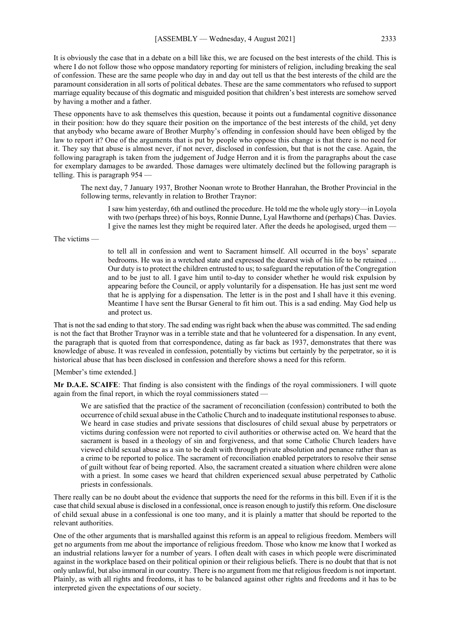It is obviously the case that in a debate on a bill like this, we are focused on the best interests of the child. This is where I do not follow those who oppose mandatory reporting for ministers of religion, including breaking the seal of confession. These are the same people who day in and day out tell us that the best interests of the child are the paramount consideration in all sorts of political debates. These are the same commentators who refused to support marriage equality because of this dogmatic and misguided position that children's best interests are somehow served by having a mother and a father.

These opponents have to ask themselves this question, because it points out a fundamental cognitive dissonance in their position: how do they square their position on the importance of the best interests of the child, yet deny that anybody who became aware of Brother Murphy's offending in confession should have been obliged by the law to report it? One of the arguments that is put by people who oppose this change is that there is no need for it. They say that abuse is almost never, if not never, disclosed in confession, but that is not the case. Again, the following paragraph is taken from the judgement of Judge Herron and it is from the paragraphs about the case for exemplary damages to be awarded. Those damages were ultimately declined but the following paragraph is telling. This is paragraph 954 —

The next day, 7 January 1937, Brother Noonan wrote to Brother Hanrahan, the Brother Provincial in the following terms, relevantly in relation to Brother Traynor:

I saw him yesterday, 6th and outlined the procedure. He told me the whole ugly story—in Loyola with two (perhaps three) of his boys, Ronnie Dunne, Lyal Hawthorne and (perhaps) Chas. Davies. I give the names lest they might be required later. After the deeds he apologised, urged them —

The victims —

to tell all in confession and went to Sacrament himself. All occurred in the boys' separate bedrooms. He was in a wretched state and expressed the dearest wish of his life to be retained … Our duty is to protect the children entrusted to us; to safeguard the reputation of the Congregation and to be just to all. I gave him until to-day to consider whether he would risk expulsion by appearing before the Council, or apply voluntarily for a dispensation. He has just sent me word that he is applying for a dispensation. The letter is in the post and I shall have it this evening. Meantime I have sent the Bursar General to fit him out. This is a sad ending. May God help us and protect us.

That is not the sad ending to that story. The sad ending was right back when the abuse was committed. The sad ending is not the fact that Brother Traynor was in a terrible state and that he volunteered for a dispensation. In any event, the paragraph that is quoted from that correspondence, dating as far back as 1937, demonstrates that there was knowledge of abuse. It was revealed in confession, potentially by victims but certainly by the perpetrator, so it is historical abuse that has been disclosed in confession and therefore shows a need for this reform.

[Member's time extended.]

**Mr D.A.E. SCAIFE**: That finding is also consistent with the findings of the royal commissioners. I will quote again from the final report, in which the royal commissioners stated —

We are satisfied that the practice of the sacrament of reconciliation (confession) contributed to both the occurrence of child sexual abuse in the Catholic Church and to inadequate institutional responses to abuse. We heard in case studies and private sessions that disclosures of child sexual abuse by perpetrators or victims during confession were not reported to civil authorities or otherwise acted on. We heard that the sacrament is based in a theology of sin and forgiveness, and that some Catholic Church leaders have viewed child sexual abuse as a sin to be dealt with through private absolution and penance rather than as a crime to be reported to police. The sacrament of reconciliation enabled perpetrators to resolve their sense of guilt without fear of being reported. Also, the sacrament created a situation where children were alone with a priest. In some cases we heard that children experienced sexual abuse perpetrated by Catholic priests in confessionals.

There really can be no doubt about the evidence that supports the need for the reforms in this bill. Even if it is the case that child sexual abuse is disclosed in a confessional, once is reason enough to justify this reform. One disclosure of child sexual abuse in a confessional is one too many, and it is plainly a matter that should be reported to the relevant authorities.

One of the other arguments that is marshalled against this reform is an appeal to religious freedom. Members will get no arguments from me about the importance of religious freedom. Those who know me know that I worked as an industrial relations lawyer for a number of years. I often dealt with cases in which people were discriminated against in the workplace based on their political opinion or their religious beliefs. There is no doubt that that is not only unlawful, but also immoral in our country. There is no argument from me that religious freedom is not important. Plainly, as with all rights and freedoms, it has to be balanced against other rights and freedoms and it has to be interpreted given the expectations of our society.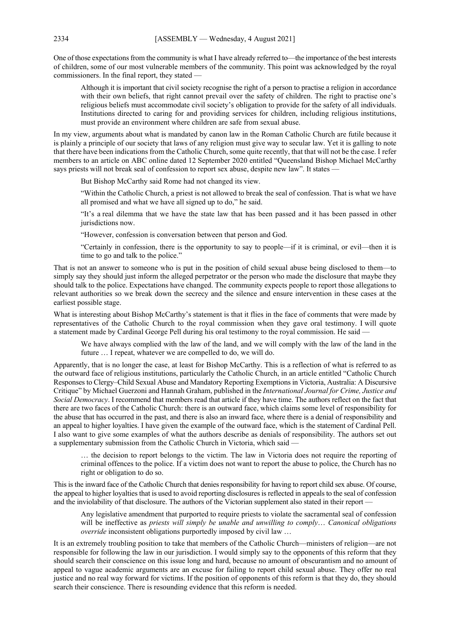One of those expectations from the community is what I have already referred to—the importance of the best interests of children, some of our most vulnerable members of the community. This point was acknowledged by the royal commissioners. In the final report, they stated —

Although it is important that civil society recognise the right of a person to practise a religion in accordance with their own beliefs, that right cannot prevail over the safety of children. The right to practise one's religious beliefs must accommodate civil society's obligation to provide for the safety of all individuals. Institutions directed to caring for and providing services for children, including religious institutions, must provide an environment where children are safe from sexual abuse.

In my view, arguments about what is mandated by canon law in the Roman Catholic Church are futile because it is plainly a principle of our society that laws of any religion must give way to secular law. Yet it is galling to note that there have been indications from the Catholic Church, some quite recently, that that will not be the case. I refer members to an article on ABC online dated 12 September 2020 entitled "Queensland Bishop Michael McCarthy says priests will not break seal of confession to report sex abuse, despite new law". It states -

But Bishop McCarthy said Rome had not changed its view.

"Within the Catholic Church, a priest is not allowed to break the seal of confession. That is what we have all promised and what we have all signed up to do," he said.

"It's a real dilemma that we have the state law that has been passed and it has been passed in other jurisdictions now.

"However, confession is conversation between that person and God.

"Certainly in confession, there is the opportunity to say to people—if it is criminal, or evil—then it is time to go and talk to the police."

That is not an answer to someone who is put in the position of child sexual abuse being disclosed to them—to simply say they should just inform the alleged perpetrator or the person who made the disclosure that maybe they should talk to the police. Expectations have changed. The community expects people to report those allegations to relevant authorities so we break down the secrecy and the silence and ensure intervention in these cases at the earliest possible stage.

What is interesting about Bishop McCarthy's statement is that it flies in the face of comments that were made by representatives of the Catholic Church to the royal commission when they gave oral testimony. I will quote a statement made by Cardinal George Pell during his oral testimony to the royal commission. He said —

We have always complied with the law of the land, and we will comply with the law of the land in the future … I repeat, whatever we are compelled to do, we will do.

Apparently, that is no longer the case, at least for Bishop McCarthy. This is a reflection of what is referred to as the outward face of religious institutions, particularly the Catholic Church, in an article entitled "Catholic Church Responses to Clergy–Child Sexual Abuse and Mandatory Reporting Exemptions in Victoria, Australia: A Discursive Critique" by Michael Guerzoni and Hannah Graham, published in the *International Journal for Crime, Justice and Social Democracy*. I recommend that members read that article if they have time. The authors reflect on the fact that there are two faces of the Catholic Church: there is an outward face, which claims some level of responsibility for the abuse that has occurred in the past, and there is also an inward face, where there is a denial of responsibility and an appeal to higher loyalties. I have given the example of the outward face, which is the statement of Cardinal Pell. I also want to give some examples of what the authors describe as denials of responsibility. The authors set out a supplementary submission from the Catholic Church in Victoria, which said —

… the decision to report belongs to the victim. The law in Victoria does not require the reporting of criminal offences to the police. If a victim does not want to report the abuse to police, the Church has no right or obligation to do so.

This is the inward face of the Catholic Church that denies responsibility for having to report child sex abuse. Of course, the appeal to higher loyalties that is used to avoid reporting disclosures is reflected in appeals to the seal of confession and the inviolability of that disclosure. The authors of the Victorian supplement also stated in their report —

Any legislative amendment that purported to require priests to violate the sacramental seal of confession will be ineffective as *priests will simply be unable and unwilling to comply*… *Canonical obligations override* inconsistent obligations purportedly imposed by civil law …

It is an extremely troubling position to take that members of the Catholic Church—ministers of religion—are not responsible for following the law in our jurisdiction. I would simply say to the opponents of this reform that they should search their conscience on this issue long and hard, because no amount of obscurantism and no amount of appeal to vague academic arguments are an excuse for failing to report child sexual abuse. They offer no real justice and no real way forward for victims. If the position of opponents of this reform is that they do, they should search their conscience. There is resounding evidence that this reform is needed.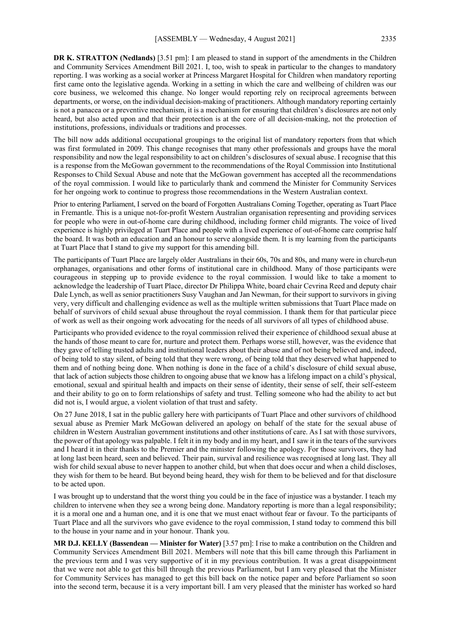**DR K. STRATTON (Nedlands)** [3.51 pm]: I am pleased to stand in support of the amendments in the Children and Community Services Amendment Bill 2021. I, too, wish to speak in particular to the changes to mandatory reporting. I was working as a social worker at Princess Margaret Hospital for Children when mandatory reporting first came onto the legislative agenda. Working in a setting in which the care and wellbeing of children was our core business, we welcomed this change. No longer would reporting rely on reciprocal agreements between departments, or worse, on the individual decision-making of practitioners. Although mandatory reporting certainly is not a panacea or a preventive mechanism, it is a mechanism for ensuring that children's disclosures are not only heard, but also acted upon and that their protection is at the core of all decision-making, not the protection of institutions, professions, individuals or traditions and processes.

The bill now adds additional occupational groupings to the original list of mandatory reporters from that which was first formulated in 2009. This change recognises that many other professionals and groups have the moral responsibility and now the legal responsibility to act on children's disclosures of sexual abuse. I recognise that this is a response from the McGowan government to the recommendations of the Royal Commission into Institutional Responses to Child Sexual Abuse and note that the McGowan government has accepted all the recommendations of the royal commission. I would like to particularly thank and commend the Minister for Community Services for her ongoing work to continue to progress those recommendations in the Western Australian context.

Prior to entering Parliament, I served on the board of Forgotten Australians Coming Together, operating as Tuart Place in Fremantle. This is a unique not-for-profit Western Australian organisation representing and providing services for people who were in out-of-home care during childhood, including former child migrants. The voice of lived experience is highly privileged at Tuart Place and people with a lived experience of out-of-home care comprise half the board. It was both an education and an honour to serve alongside them. It is my learning from the participants at Tuart Place that I stand to give my support for this amending bill.

The participants of Tuart Place are largely older Australians in their 60s, 70s and 80s, and many were in church-run orphanages, organisations and other forms of institutional care in childhood. Many of those participants were courageous in stepping up to provide evidence to the royal commission. I would like to take a moment to acknowledge the leadership of Tuart Place, director Dr Philippa White, board chair Cevrina Reed and deputy chair Dale Lynch, as well as senior practitioners Susy Vaughan and Jan Newman, for their support to survivors in giving very, very difficult and challenging evidence as well as the multiple written submissions that Tuart Place made on behalf of survivors of child sexual abuse throughout the royal commission. I thank them for that particular piece of work as well as their ongoing work advocating for the needs of all survivors of all types of childhood abuse.

Participants who provided evidence to the royal commission relived their experience of childhood sexual abuse at the hands of those meant to care for, nurture and protect them. Perhaps worse still, however, was the evidence that they gave of telling trusted adults and institutional leaders about their abuse and of not being believed and, indeed, of being told to stay silent, of being told that they were wrong, of being told that they deserved what happened to them and of nothing being done. When nothing is done in the face of a child's disclosure of child sexual abuse, that lack of action subjects those children to ongoing abuse that we know has a lifelong impact on a child's physical, emotional, sexual and spiritual health and impacts on their sense of identity, their sense of self, their self-esteem and their ability to go on to form relationships of safety and trust. Telling someone who had the ability to act but did not is, I would argue, a violent violation of that trust and safety.

On 27 June 2018, I sat in the public gallery here with participants of Tuart Place and other survivors of childhood sexual abuse as Premier Mark McGowan delivered an apology on behalf of the state for the sexual abuse of children in Western Australian government institutions and other institutions of care. As I sat with those survivors, the power of that apology was palpable. I felt it in my body and in my heart, and I saw it in the tears of the survivors and I heard it in their thanks to the Premier and the minister following the apology. For those survivors, they had at long last been heard, seen and believed. Their pain, survival and resilience was recognised at long last. They all wish for child sexual abuse to never happen to another child, but when that does occur and when a child discloses, they wish for them to be heard. But beyond being heard, they wish for them to be believed and for that disclosure to be acted upon.

I was brought up to understand that the worst thing you could be in the face of injustice was a bystander. I teach my children to intervene when they see a wrong being done. Mandatory reporting is more than a legal responsibility; it is a moral one and a human one, and it is one that we must enact without fear or favour. To the participants of Tuart Place and all the survivors who gave evidence to the royal commission, I stand today to commend this bill to the house in your name and in your honour. Thank you.

**MR D.J. KELLY (Bassendean — Minister for Water)** [3.57 pm]: I rise to make a contribution on the Children and Community Services Amendment Bill 2021. Members will note that this bill came through this Parliament in the previous term and I was very supportive of it in my previous contribution. It was a great disappointment that we were not able to get this bill through the previous Parliament, but I am very pleased that the Minister for Community Services has managed to get this bill back on the notice paper and before Parliament so soon into the second term, because it is a very important bill. I am very pleased that the minister has worked so hard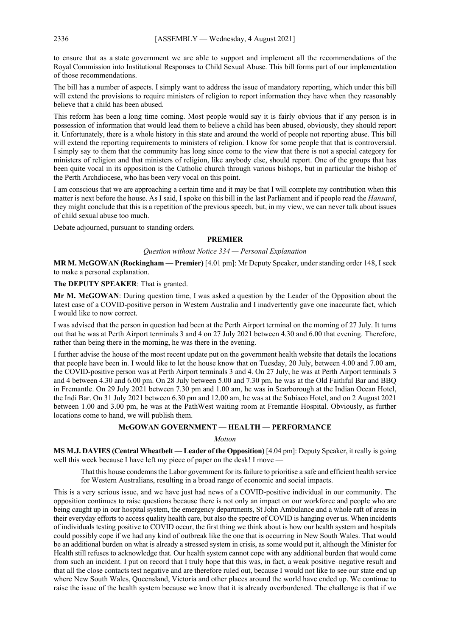to ensure that as a state government we are able to support and implement all the recommendations of the Royal Commission into Institutional Responses to Child Sexual Abuse. This bill forms part of our implementation of those recommendations.

The bill has a number of aspects. I simply want to address the issue of mandatory reporting, which under this bill will extend the provisions to require ministers of religion to report information they have when they reasonably believe that a child has been abused.

This reform has been a long time coming. Most people would say it is fairly obvious that if any person is in possession of information that would lead them to believe a child has been abused, obviously, they should report it. Unfortunately, there is a whole history in this state and around the world of people not reporting abuse. This bill will extend the reporting requirements to ministers of religion. I know for some people that that is controversial. I simply say to them that the community has long since come to the view that there is not a special category for ministers of religion and that ministers of religion, like anybody else, should report. One of the groups that has been quite vocal in its opposition is the Catholic church through various bishops, but in particular the bishop of the Perth Archdiocese, who has been very vocal on this point.

I am conscious that we are approaching a certain time and it may be that I will complete my contribution when this matter is next before the house. As I said, I spoke on this bill in the last Parliament and if people read the *Hansard*, they might conclude that this is a repetition of the previous speech, but, in my view, we can never talk about issues of child sexual abuse too much.

Debate adjourned, pursuant to standing orders.

# **PREMIER**

# *Question without Notice 334 — Personal Explanation*

**MR M. McGOWAN (Rockingham — Premier)** [4.01 pm]: Mr Deputy Speaker, under standing order 148, I seek to make a personal explanation.

# **The DEPUTY SPEAKER**: That is granted.

**Mr M. McGOWAN**: During question time, I was asked a question by the Leader of the Opposition about the latest case of a COVID-positive person in Western Australia and I inadvertently gave one inaccurate fact, which I would like to now correct.

I was advised that the person in question had been at the Perth Airport terminal on the morning of 27 July. It turns out that he was at Perth Airport terminals 3 and 4 on 27 July 2021 between 4.30 and 6.00 that evening. Therefore, rather than being there in the morning, he was there in the evening.

I further advise the house of the most recent update put on the government health website that details the locations that people have been in. I would like to let the house know that on Tuesday, 20 July, between 4.00 and 7.00 am, the COVID-positive person was at Perth Airport terminals 3 and 4. On 27 July, he was at Perth Airport terminals 3 and 4 between 4.30 and 6.00 pm. On 28 July between 5.00 and 7.30 pm, he was at the Old Faithful Bar and BBQ in Fremantle. On 29 July 2021 between 7.30 pm and 1.00 am, he was in Scarborough at the Indian Ocean Hotel, the Indi Bar. On 31 July 2021 between 6.30 pm and 12.00 am, he was at the Subiaco Hotel, and on 2 August 2021 between 1.00 and 3.00 pm, he was at the PathWest waiting room at Fremantle Hospital. Obviously, as further locations come to hand, we will publish them.

# **McGOWAN GOVERNMENT — HEALTH — PERFORMANCE**

#### *Motion*

**MS M.J. DAVIES (Central Wheatbelt — Leader of the Opposition)** [4.04 pm]: Deputy Speaker, it really is going well this week because I have left my piece of paper on the desk! I move –

That this house condemns the Labor government for its failure to prioritise a safe and efficient health service for Western Australians, resulting in a broad range of economic and social impacts.

This is a very serious issue, and we have just had news of a COVID-positive individual in our community. The opposition continues to raise questions because there is not only an impact on our workforce and people who are being caught up in our hospital system, the emergency departments, St John Ambulance and a whole raft of areas in their everyday efforts to access quality health care, but also the spectre of COVID is hanging over us. When incidents of individuals testing positive to COVID occur, the first thing we think about is how our health system and hospitals could possibly cope if we had any kind of outbreak like the one that is occurring in New South Wales. That would be an additional burden on what is already a stressed system in crisis, as some would put it, although the Minister for Health still refuses to acknowledge that. Our health system cannot cope with any additional burden that would come from such an incident. I put on record that I truly hope that this was, in fact, a weak positive–negative result and that all the close contacts test negative and are therefore ruled out, because I would not like to see our state end up where New South Wales, Queensland, Victoria and other places around the world have ended up. We continue to raise the issue of the health system because we know that it is already overburdened. The challenge is that if we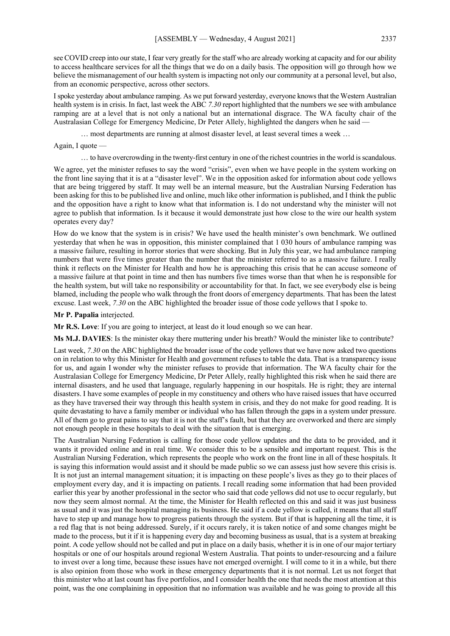see COVID creep into our state, I fear very greatly for the staff who are already working at capacity and for our ability to access healthcare services for all the things that we do on a daily basis. The opposition will go through how we believe the mismanagement of our health system is impacting not only our community at a personal level, but also, from an economic perspective, across other sectors.

I spoke yesterday about ambulance ramping. As we put forward yesterday, everyone knows that the Western Australian health system is in crisis. In fact, last week the ABC 7.30 report highlighted that the numbers we see with ambulance ramping are at a level that is not only a national but an international disgrace. The WA faculty chair of the Australasian College for Emergency Medicine, Dr Peter Allely, highlighted the dangers when he said —

… most departments are running at almost disaster level, at least several times a week …

#### Again, I quote —

… to have overcrowding in the twenty-first century in one of the richest countries in the world is scandalous.

We agree, yet the minister refuses to say the word "crisis", even when we have people in the system working on the front line saying that it is at a "disaster level". We in the opposition asked for information about code yellows that are being triggered by staff. It may well be an internal measure, but the Australian Nursing Federation has been asking for this to be published live and online, much like other information is published, and I think the public and the opposition have a right to know what that information is. I do not understand why the minister will not agree to publish that information. Is it because it would demonstrate just how close to the wire our health system operates every day?

How do we know that the system is in crisis? We have used the health minister's own benchmark. We outlined yesterday that when he was in opposition, this minister complained that 1 030 hours of ambulance ramping was a massive failure, resulting in horror stories that were shocking. But in July this year, we had ambulance ramping numbers that were five times greater than the number that the minister referred to as a massive failure. I really think it reflects on the Minister for Health and how he is approaching this crisis that he can accuse someone of a massive failure at that point in time and then has numbers five times worse than that when he is responsible for the health system, but will take no responsibility or accountability for that. In fact, we see everybody else is being blamed, including the people who walk through the front doors of emergency departments. That has been the latest excuse. Last week, *7.30* on the ABC highlighted the broader issue of those code yellows that I spoke to.

#### **Mr P. Papalia** interjected.

**Mr R.S. Love**: If you are going to interject, at least do it loud enough so we can hear.

**Ms M.J. DAVIES**: Is the minister okay there muttering under his breath? Would the minister like to contribute?

Last week, 7.30 on the ABC highlighted the broader issue of the code yellows that we have now asked two questions on in relation to why this Minister for Health and government refuses to table the data. That is a transparency issue for us, and again I wonder why the minister refuses to provide that information. The WA faculty chair for the Australasian College for Emergency Medicine, Dr Peter Allely, really highlighted this risk when he said there are internal disasters, and he used that language, regularly happening in our hospitals. He is right; they are internal disasters. I have some examples of people in my constituency and others who have raised issues that have occurred as they have traversed their way through this health system in crisis, and they do not make for good reading. It is quite devastating to have a family member or individual who has fallen through the gaps in a system under pressure. All of them go to great pains to say that it is not the staff's fault, but that they are overworked and there are simply not enough people in these hospitals to deal with the situation that is emerging.

The Australian Nursing Federation is calling for those code yellow updates and the data to be provided, and it wants it provided online and in real time. We consider this to be a sensible and important request. This is the Australian Nursing Federation, which represents the people who work on the front line in all of these hospitals. It is saying this information would assist and it should be made public so we can assess just how severe this crisis is. It is not just an internal management situation; it is impacting on these people's lives as they go to their places of employment every day, and it is impacting on patients. I recall reading some information that had been provided earlier this year by another professional in the sector who said that code yellows did not use to occur regularly, but now they seem almost normal. At the time, the Minister for Health reflected on this and said it was just business as usual and it was just the hospital managing its business. He said if a code yellow is called, it means that all staff have to step up and manage how to progress patients through the system. But if that is happening all the time, it is a red flag that is not being addressed. Surely, if it occurs rarely, it is taken notice of and some changes might be made to the process, but it if it is happening every day and becoming business as usual, that is a system at breaking point. A code yellow should not be called and put in place on a daily basis, whether it is in one of our major tertiary hospitals or one of our hospitals around regional Western Australia. That points to under-resourcing and a failure to invest over a long time, because these issues have not emerged overnight. I will come to it in a while, but there is also opinion from those who work in these emergency departments that it is not normal. Let us not forget that this minister who at last count has five portfolios, and I consider health the one that needs the most attention at this point, was the one complaining in opposition that no information was available and he was going to provide all this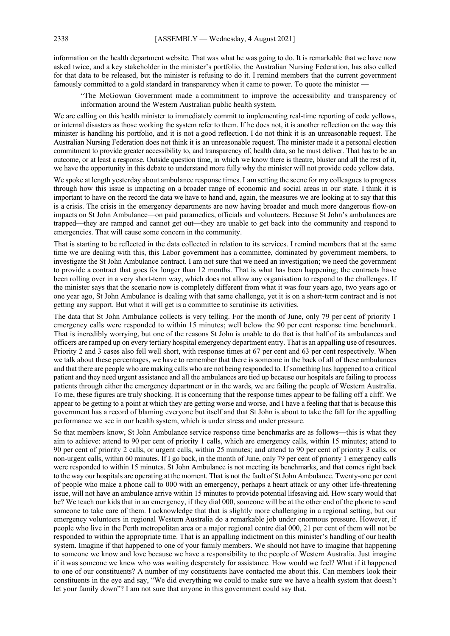information on the health department website. That was what he was going to do. It is remarkable that we have now asked twice, and a key stakeholder in the minister's portfolio, the Australian Nursing Federation, has also called for that data to be released, but the minister is refusing to do it. I remind members that the current government famously committed to a gold standard in transparency when it came to power. To quote the minister —

"The McGowan Government made a commitment to improve the accessibility and transparency of information around the Western Australian public health system.

We are calling on this health minister to immediately commit to implementing real-time reporting of code yellows, or internal disasters as those working the system refer to them. If he does not, it is another reflection on the way this minister is handling his portfolio, and it is not a good reflection. I do not think it is an unreasonable request. The Australian Nursing Federation does not think it is an unreasonable request. The minister made it a personal election commitment to provide greater accessibility to, and transparency of, health data, so he must deliver. That has to be an outcome, or at least a response. Outside question time, in which we know there is theatre, bluster and all the rest of it, we have the opportunity in this debate to understand more fully why the minister will not provide code yellow data.

We spoke at length yesterday about ambulance response times. I am setting the scene for my colleagues to progress through how this issue is impacting on a broader range of economic and social areas in our state. I think it is important to have on the record the data we have to hand and, again, the measures we are looking at to say that this is a crisis. The crisis in the emergency departments are now having broader and much more dangerous flow-on impacts on St John Ambulance—on paid paramedics, officials and volunteers. Because St John's ambulances are trapped—they are ramped and cannot get out—they are unable to get back into the community and respond to emergencies. That will cause some concern in the community.

That is starting to be reflected in the data collected in relation to its services. I remind members that at the same time we are dealing with this, this Labor government has a committee, dominated by government members, to investigate the St John Ambulance contract. I am not sure that we need an investigation; we need the government to provide a contract that goes for longer than 12 months. That is what has been happening; the contracts have been rolling over in a very short-term way, which does not allow any organisation to respond to the challenges. If the minister says that the scenario now is completely different from what it was four years ago, two years ago or one year ago, St John Ambulance is dealing with that same challenge, yet it is on a short-term contract and is not getting any support. But what it will get is a committee to scrutinise its activities.

The data that St John Ambulance collects is very telling. For the month of June, only 79 per cent of priority 1 emergency calls were responded to within 15 minutes; well below the 90 per cent response time benchmark. That is incredibly worrying, but one of the reasons St John is unable to do that is that half of its ambulances and officers are ramped up on every tertiary hospital emergency department entry. That is an appalling use of resources. Priority 2 and 3 cases also fell well short, with response times at 67 per cent and 63 per cent respectively. When we talk about these percentages, we have to remember that there is someone in the back of all of these ambulances and that there are people who are making calls who are not being responded to. If something has happened to a critical patient and they need urgent assistance and all the ambulances are tied up because our hospitals are failing to process patients through either the emergency department or in the wards, we are failing the people of Western Australia. To me, these figures are truly shocking. It is concerning that the response times appear to be falling off a cliff. We appear to be getting to a point at which they are getting worse and worse, and I have a feeling that that is because this government has a record of blaming everyone but itself and that St John is about to take the fall for the appalling performance we see in our health system, which is under stress and under pressure.

So that members know, St John Ambulance service response time benchmarks are as follows—this is what they aim to achieve: attend to 90 per cent of priority 1 calls, which are emergency calls, within 15 minutes; attend to 90 per cent of priority 2 calls, or urgent calls, within 25 minutes; and attend to 90 per cent of priority 3 calls, or non-urgent calls, within 60 minutes. If I go back, in the month of June, only 79 per cent of priority 1 emergency calls were responded to within 15 minutes. St John Ambulance is not meeting its benchmarks, and that comes right back to the way our hospitals are operating at the moment. That is not the fault of St John Ambulance. Twenty-one per cent of people who make a phone call to 000 with an emergency, perhaps a heart attack or any other life-threatening issue, will not have an ambulance arrive within 15 minutes to provide potential lifesaving aid. How scary would that be? We teach our kids that in an emergency, if they dial 000, someone will be at the other end of the phone to send someone to take care of them. I acknowledge that that is slightly more challenging in a regional setting, but our emergency volunteers in regional Western Australia do a remarkable job under enormous pressure. However, if people who live in the Perth metropolitan area or a major regional centre dial 000, 21 per cent of them will not be responded to within the appropriate time. That is an appalling indictment on this minister's handling of our health system. Imagine if that happened to one of your family members. We should not have to imagine that happening to someone we know and love because we have a responsibility to the people of Western Australia. Just imagine if it was someone we knew who was waiting desperately for assistance. How would we feel? What if it happened to one of our constituents? A number of my constituents have contacted me about this. Can members look their constituents in the eye and say, "We did everything we could to make sure we have a health system that doesn't let your family down"? I am not sure that anyone in this government could say that.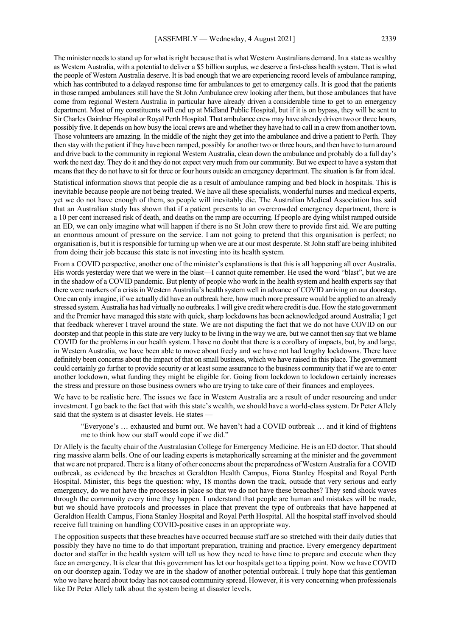The minister needs to stand up for what is right because that is what Western Australians demand. In a state as wealthy as Western Australia, with a potential to deliver a \$5 billion surplus, we deserve a first-class health system. That is what the people of Western Australia deserve. It is bad enough that we are experiencing record levels of ambulance ramping, which has contributed to a delayed response time for ambulances to get to emergency calls. It is good that the patients in those ramped ambulances still have the St John Ambulance crew looking after them, but those ambulances that have come from regional Western Australia in particular have already driven a considerable time to get to an emergency department. Most of my constituents will end up at Midland Public Hospital, but if it is on bypass, they will be sent to Sir Charles Gairdner Hospital or Royal Perth Hospital. That ambulance crew may have already driven two or three hours, possibly five. It depends on how busy the local crews are and whether they have had to call in a crew from another town. Those volunteers are amazing. In the middle of the night they get into the ambulance and drive a patient to Perth. They then stay with the patient if they have been ramped, possibly for another two or three hours, and then have to turn around and drive back to the community in regional Western Australia, clean down the ambulance and probably do a full day's work the next day. They do it and they do not expect very much from our community. But we expect to have a system that means that they do not have to sit for three or four hours outside an emergency department. The situation is far from ideal.

Statistical information shows that people die as a result of ambulance ramping and bed block in hospitals. This is inevitable because people are not being treated. We have all these specialists, wonderful nurses and medical experts, yet we do not have enough of them, so people will inevitably die. The Australian Medical Association has said that an Australian study has shown that if a patient presents to an overcrowded emergency department, there is a 10 per cent increased risk of death, and deaths on the ramp are occurring. If people are dying whilst ramped outside an ED, we can only imagine what will happen if there is no St John crew there to provide first aid. We are putting an enormous amount of pressure on the service. I am not going to pretend that this organisation is perfect; no organisation is, but it is responsible for turning up when we are at our most desperate. St John staff are being inhibited from doing their job because this state is not investing into its health system.

From a COVID perspective, another one of the minister's explanations is that this is all happening all over Australia. His words yesterday were that we were in the blast—I cannot quite remember. He used the word "blast", but we are in the shadow of a COVID pandemic. But plenty of people who work in the health system and health experts say that there were markers of a crisis in Western Australia's health system well in advance of COVID arriving on our doorstep. One can only imagine, if we actually did have an outbreak here, how much more pressure would be applied to an already stressed system. Australia has had virtually no outbreaks.I will give credit where credit is due. How the state government and the Premier have managed this state with quick, sharp lockdowns has been acknowledged around Australia; I get that feedback wherever I travel around the state. We are not disputing the fact that we do not have COVID on our doorstep and that people in this state are very lucky to be living in the way we are, but we cannot then say that we blame COVID for the problems in our health system. I have no doubt that there is a corollary of impacts, but, by and large, in Western Australia, we have been able to move about freely and we have not had lengthy lockdowns. There have definitely been concerns about the impact of that on small business, which we have raised in this place. The government could certainly go further to provide security or at least some assurance to the business community that if we are to enter another lockdown, what funding they might be eligible for. Going from lockdown to lockdown certainly increases the stress and pressure on those business owners who are trying to take care of their finances and employees.

We have to be realistic here. The issues we face in Western Australia are a result of under resourcing and under investment. I go back to the fact that with this state's wealth, we should have a world-class system. Dr Peter Allely said that the system is at disaster levels. He states  $\cdot$ 

"Everyone's … exhausted and burnt out. We haven't had a COVID outbreak … and it kind of frightens me to think how our staff would cope if we did."

Dr Allely is the faculty chair of the Australasian College for Emergency Medicine. He is an ED doctor. That should ring massive alarm bells. One of our leading experts is metaphorically screaming at the minister and the government that we are not prepared. There is a litany of other concerns about the preparedness of Western Australia for a COVID outbreak, as evidenced by the breaches at Geraldton Health Campus, Fiona Stanley Hospital and Royal Perth Hospital. Minister, this begs the question: why, 18 months down the track, outside that very serious and early emergency, do we not have the processes in place so that we do not have these breaches? They send shock waves through the community every time they happen. I understand that people are human and mistakes will be made, but we should have protocols and processes in place that prevent the type of outbreaks that have happened at Geraldton Health Campus, Fiona Stanley Hospital and Royal Perth Hospital. All the hospital staff involved should receive full training on handling COVID-positive cases in an appropriate way.

The opposition suspects that these breaches have occurred because staff are so stretched with their daily duties that possibly they have no time to do that important preparation, training and practice. Every emergency department doctor and staffer in the health system will tell us how they need to have time to prepare and execute when they face an emergency. It is clear that this government has let our hospitals get to a tipping point. Now we have COVID on our doorstep again. Today we are in the shadow of another potential outbreak. I truly hope that this gentleman who we have heard about today has not caused community spread. However, it is very concerning when professionals like Dr Peter Allely talk about the system being at disaster levels.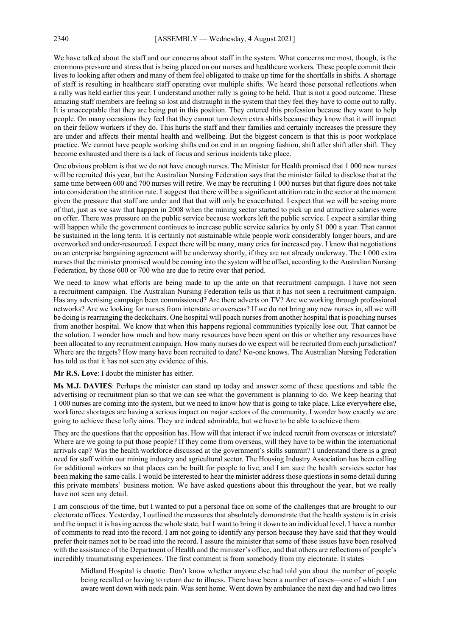We have talked about the staff and our concerns about staff in the system. What concerns me most, though, is the enormous pressure and stress that is being placed on our nurses and healthcare workers. These people commit their lives to looking after others and many of them feel obligated to make up time for the shortfalls in shifts. A shortage of staff is resulting in healthcare staff operating over multiple shifts. We heard those personal reflections when a rally was held earlier this year. I understand another rally is going to be held. That is not a good outcome. These amazing staff members are feeling so lost and distraught in the system that they feel they have to come out to rally. It is unacceptable that they are being put in this position. They entered this profession because they want to help people. On many occasions they feel that they cannot turn down extra shifts because they know that it will impact on their fellow workers if they do. This hurts the staff and their families and certainly increases the pressure they are under and affects their mental health and wellbeing. But the biggest concern is that this is poor workplace practice. We cannot have people working shifts end on end in an ongoing fashion, shift after shift after shift. They become exhausted and there is a lack of focus and serious incidents take place.

One obvious problem is that we do not have enough nurses. The Minister for Health promised that 1 000 new nurses will be recruited this year, but the Australian Nursing Federation says that the minister failed to disclose that at the same time between 600 and 700 nurses will retire. We may be recruiting 1 000 nurses but that figure does not take into consideration the attrition rate. I suggest that there will be a significant attrition rate in the sector at the moment given the pressure that staff are under and that that will only be exacerbated. I expect that we will be seeing more of that, just as we saw that happen in 2008 when the mining sector started to pick up and attractive salaries were on offer. There was pressure on the public service because workers left the public service. I expect a similar thing will happen while the government continues to increase public service salaries by only \$1 000 a year. That cannot be sustained in the long term. It is certainly not sustainable while people work considerably longer hours, and are overworked and under-resourced. I expect there will be many, many cries for increased pay. I know that negotiations on an enterprise bargaining agreement will be underway shortly, if they are not already underway. The 1 000 extra nurses that the minister promised would be coming into the system will be offset, according to the Australian Nursing Federation, by those 600 or 700 who are due to retire over that period.

We need to know what efforts are being made to up the ante on that recruitment campaign. I have not seen a recruitment campaign. The Australian Nursing Federation tells us that it has not seen a recruitment campaign. Has any advertising campaign been commissioned? Are there adverts on TV? Are we working through professional networks? Are we looking for nurses from interstate or overseas? If we do not bring any new nurses in, all we will be doing is rearranging the deckchairs. One hospital will poach nurses from another hospital that is poaching nurses from another hospital. We know that when this happens regional communities typically lose out. That cannot be the solution. I wonder how much and how many resources have been spent on this or whether any resources have been allocated to any recruitment campaign. How many nurses do we expect will be recruited from each jurisdiction? Where are the targets? How many have been recruited to date? No-one knows. The Australian Nursing Federation has told us that it has not seen any evidence of this.

**Mr R.S. Love**: I doubt the minister has either.

**Ms M.J. DAVIES**: Perhaps the minister can stand up today and answer some of these questions and table the advertising or recruitment plan so that we can see what the government is planning to do. We keep hearing that 1 000 nurses are coming into the system, but we need to know how that is going to take place. Like everywhere else, workforce shortages are having a serious impact on major sectors of the community. I wonder how exactly we are going to achieve these lofty aims. They are indeed admirable, but we have to be able to achieve them.

They are the questions that the opposition has. How will that interact if we indeed recruit from overseas or interstate? Where are we going to put those people? If they come from overseas, will they have to be within the international arrivals cap? Was the health workforce discussed at the government's skills summit? I understand there is a great need for staff within our mining industry and agricultural sector. The Housing Industry Association has been calling for additional workers so that places can be built for people to live, and I am sure the health services sector has been making the same calls. I would be interested to hear the minister address those questions in some detail during this private members' business motion. We have asked questions about this throughout the year, but we really have not seen any detail.

I am conscious of the time, but I wanted to put a personal face on some of the challenges that are brought to our electorate offices. Yesterday, I outlined the measures that absolutely demonstrate that the health system is in crisis and the impact it is having across the whole state, but I want to bring it down to an individual level. I have a number of comments to read into the record. I am not going to identify any person because they have said that they would prefer their names not to be read into the record. I assure the minister that some of these issues have been resolved with the assistance of the Department of Health and the minister's office, and that others are reflections of people's incredibly traumatising experiences. The first comment is from somebody from my electorate. It states

Midland Hospital is chaotic. Don't know whether anyone else had told you about the number of people being recalled or having to return due to illness. There have been a number of cases—one of which I am aware went down with neck pain. Was sent home. Went down by ambulance the next day and had two litres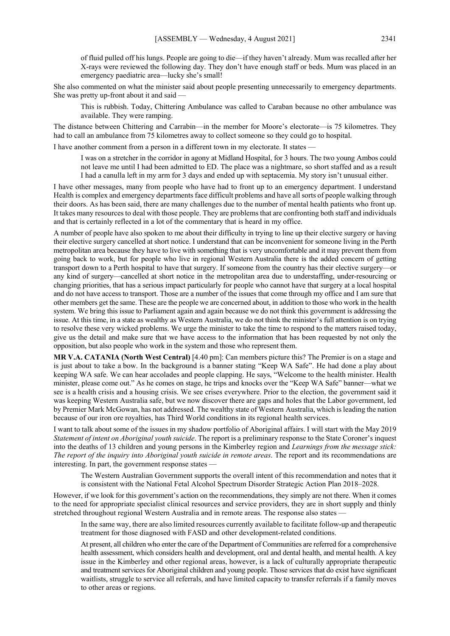of fluid pulled off his lungs. People are going to die—if they haven't already. Mum was recalled after her X-rays were reviewed the following day. They don't have enough staff or beds. Mum was placed in an emergency paediatric area—lucky she's small!

She also commented on what the minister said about people presenting unnecessarily to emergency departments. She was pretty up-front about it and said —

This is rubbish. Today, Chittering Ambulance was called to Caraban because no other ambulance was available. They were ramping.

The distance between Chittering and Carrabin—in the member for Moore's electorate—is 75 kilometres. They had to call an ambulance from 75 kilometres away to collect someone so they could go to hospital.

I have another comment from a person in a different town in my electorate. It states -

I was on a stretcher in the corridor in agony at Midland Hospital, for 3 hours. The two young Ambos could not leave me until I had been admitted to ED. The place was a nightmare, so short staffed and as a result I had a canulla left in my arm for 3 days and ended up with septacemia. My story isn't unusual either.

I have other messages, many from people who have had to front up to an emergency department. I understand Health is complex and emergency departments face difficult problems and have all sorts of people walking through their doors. As has been said, there are many challenges due to the number of mental health patients who front up. It takes many resources to deal with those people. They are problems that are confronting both staff and individuals and that is certainly reflected in a lot of the commentary that is heard in my office.

A number of people have also spoken to me about their difficulty in trying to line up their elective surgery or having their elective surgery cancelled at short notice. I understand that can be inconvenient for someone living in the Perth metropolitan area because they have to live with something that is very uncomfortable and it may prevent them from going back to work, but for people who live in regional Western Australia there is the added concern of getting transport down to a Perth hospital to have that surgery. If someone from the country has their elective surgery—or any kind of surgery—cancelled at short notice in the metropolitan area due to understaffing, under-resourcing or changing priorities, that has a serious impact particularly for people who cannot have that surgery at a local hospital and do not have access to transport. Those are a number of the issues that come through my office and I am sure that other members get the same. These are the people we are concerned about, in addition to those who work in the health system. We bring this issue to Parliament again and again because we do not think this government is addressing the issue. At this time, in a state as wealthy as Western Australia, we do not think the minister's full attention is on trying to resolve these very wicked problems. We urge the minister to take the time to respond to the matters raised today, give us the detail and make sure that we have access to the information that has been requested by not only the opposition, but also people who work in the system and those who represent them.

**MR V.A. CATANIA (North West Central)** [4.40 pm]: Can members picture this? The Premier is on a stage and is just about to take a bow. In the background is a banner stating "Keep WA Safe". He had done a play about keeping WA safe. We can hear accolades and people clapping. He says, "Welcome to the health minister. Health minister, please come out." As he comes on stage, he trips and knocks over the "Keep WA Safe" banner—what we see is a health crisis and a housing crisis. We see crises everywhere. Prior to the election, the government said it was keeping Western Australia safe, but we now discover there are gaps and holes that the Labor government, led by Premier Mark McGowan, has not addressed. The wealthy state of Western Australia, which is leading the nation because of our iron ore royalties, has Third World conditions in its regional health services.

I want to talk about some of the issues in my shadow portfolio of Aboriginal affairs. I will start with the May 2019 *Statement of intent on Aboriginal youth suicide*. The report is a preliminary response to the State Coroner's inquest into the deaths of 13 children and young persons in the Kimberley region and *Learnings from the message stick: The report of the inquiry into Aboriginal youth suicide in remote areas*. The report and its recommendations are interesting. In part, the government response states -

The Western Australian Government supports the overall intent of this recommendation and notes that it is consistent with the National Fetal Alcohol Spectrum Disorder Strategic Action Plan 2018–2028.

However, if we look for this government's action on the recommendations, they simply are not there. When it comes to the need for appropriate specialist clinical resources and service providers, they are in short supply and thinly stretched throughout regional Western Australia and in remote areas. The response also states —

In the same way, there are also limited resources currently available to facilitate follow-up and therapeutic treatment for those diagnosed with FASD and other development-related conditions.

At present, all children who enter the care of the Department of Communities are referred for a comprehensive health assessment, which considers health and development, oral and dental health, and mental health. A key issue in the Kimberley and other regional areas, however, is a lack of culturally appropriate therapeutic and treatment services for Aboriginal children and young people. Those services that do exist have significant waitlists, struggle to service all referrals, and have limited capacity to transfer referrals if a family moves to other areas or regions.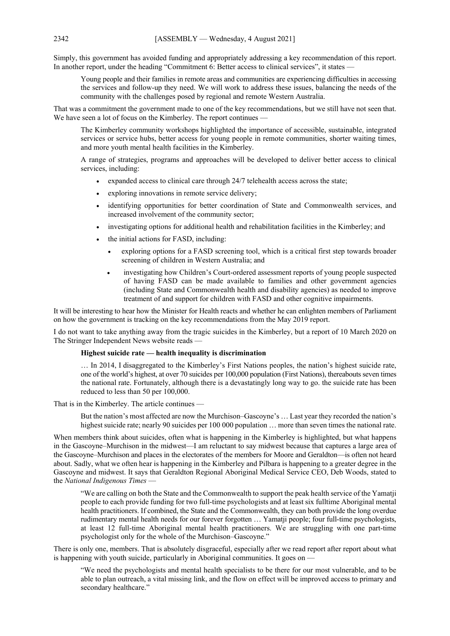Simply, this government has avoided funding and appropriately addressing a key recommendation of this report. In another report, under the heading "Commitment 6: Better access to clinical services", it states

Young people and their families in remote areas and communities are experiencing difficulties in accessing the services and follow-up they need. We will work to address these issues, balancing the needs of the community with the challenges posed by regional and remote Western Australia.

That was a commitment the government made to one of the key recommendations, but we still have not seen that. We have seen a lot of focus on the Kimberley. The report continues -

The Kimberley community workshops highlighted the importance of accessible, sustainable, integrated services or service hubs, better access for young people in remote communities, shorter waiting times, and more youth mental health facilities in the Kimberley.

A range of strategies, programs and approaches will be developed to deliver better access to clinical services, including:

- expanded access to clinical care through 24/7 telehealth access across the state;
- exploring innovations in remote service delivery;
- identifying opportunities for better coordination of State and Commonwealth services, and increased involvement of the community sector;
- investigating options for additional health and rehabilitation facilities in the Kimberley; and
- the initial actions for FASD, including:
	- exploring options for a FASD screening tool, which is a critical first step towards broader screening of children in Western Australia; and
	- investigating how Children's Court-ordered assessment reports of young people suspected of having FASD can be made available to families and other government agencies (including State and Commonwealth health and disability agencies) as needed to improve treatment of and support for children with FASD and other cognitive impairments.

It will be interesting to hear how the Minister for Health reacts and whether he can enlighten members of Parliament on how the government is tracking on the key recommendations from the May 2019 report.

I do not want to take anything away from the tragic suicides in the Kimberley, but a report of 10 March 2020 on The Stringer Independent News website reads —

#### **Highest suicide rate — health inequality is discrimination**

… In 2014, I disaggregated to the Kimberley's First Nations peoples, the nation's highest suicide rate, one of the world's highest, at over 70 suicides per 100,000 population (First Nations), thereabouts seven times the national rate. Fortunately, although there is a devastatingly long way to go. the suicide rate has been reduced to less than 50 per 100,000.

That is in the Kimberley. The article continues —

But the nation's most affected are now the Murchison–Gascoyne's … Last year they recorded the nation's highest suicide rate; nearly 90 suicides per 100 000 population ... more than seven times the national rate.

When members think about suicides, often what is happening in the Kimberley is highlighted, but what happens in the Gascoyne–Murchison in the midwest—I am reluctant to say midwest because that captures a large area of the Gascoyne–Murchison and places in the electorates of the members for Moore and Geraldton—is often not heard about. Sadly, what we often hear is happening in the Kimberley and Pilbara is happening to a greater degree in the Gascoyne and midwest. It says that Geraldton Regional Aboriginal Medical Service CEO, Deb Woods, stated to the *National Indigenous Times* —

"We are calling on both the State and the Commonwealth to support the peak health service of the Yamatji people to each provide funding for two full-time psychologists and at least six fulltime Aboriginal mental health practitioners. If combined, the State and the Commonwealth, they can both provide the long overdue rudimentary mental health needs for our forever forgotten … Yamatji people; four full-time psychologists, at least 12 full-time Aboriginal mental health practitioners. We are struggling with one part-time psychologist only for the whole of the Murchison–Gascoyne."

There is only one, members. That is absolutely disgraceful, especially after we read report after report about what is happening with youth suicide, particularly in Aboriginal communities. It goes on —

"We need the psychologists and mental health specialists to be there for our most vulnerable, and to be able to plan outreach, a vital missing link, and the flow on effect will be improved access to primary and secondary healthcare."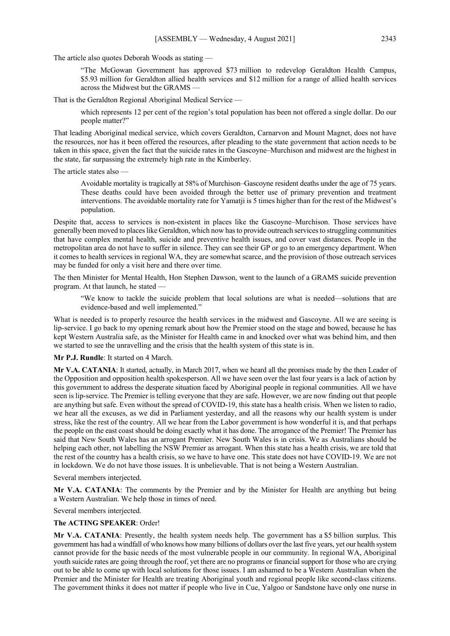The article also quotes Deborah Woods as stating —

"The McGowan Government has approved \$73 million to redevelop Geraldton Health Campus, \$5.93 million for Geraldton allied health services and \$12 million for a range of allied health services across the Midwest but the GRAMS —

That is the Geraldton Regional Aboriginal Medical Service —

which represents 12 per cent of the region's total population has been not offered a single dollar. Do our people matter?"

That leading Aboriginal medical service, which covers Geraldton, Carnarvon and Mount Magnet, does not have the resources, nor has it been offered the resources, after pleading to the state government that action needs to be taken in this space, given the fact that the suicide rates in the Gascoyne–Murchison and midwest are the highest in the state, far surpassing the extremely high rate in the Kimberley.

The article states also —

Avoidable mortality is tragically at 58% of Murchison–Gascoyne resident deaths under the age of 75 years. These deaths could have been avoided through the better use of primary prevention and treatment interventions. The avoidable mortality rate for Yamatji is 5 times higher than for the rest of the Midwest's population.

Despite that, access to services is non-existent in places like the Gascoyne–Murchison. Those services have generally been moved to places like Geraldton, which now has to provide outreach services to struggling communities that have complex mental health, suicide and preventive health issues, and cover vast distances. People in the metropolitan area do not have to suffer in silence. They can see their GP or go to an emergency department. When it comes to health services in regional WA, they are somewhat scarce, and the provision of those outreach services may be funded for only a visit here and there over time.

The then Minister for Mental Health, Hon Stephen Dawson, went to the launch of a GRAMS suicide prevention program. At that launch, he stated —

"We know to tackle the suicide problem that local solutions are what is needed—solutions that are evidence-based and well implemented."

What is needed is to properly resource the health services in the midwest and Gascoyne. All we are seeing is lip-service. I go back to my opening remark about how the Premier stood on the stage and bowed, because he has kept Western Australia safe, as the Minister for Health came in and knocked over what was behind him, and then we started to see the unravelling and the crisis that the health system of this state is in.

**Mr P.J. Rundle**: It started on 4 March.

**Mr V.A. CATANIA**: It started, actually, in March 2017, when we heard all the promises made by the then Leader of the Opposition and opposition health spokesperson. All we have seen over the last four years is a lack of action by this government to address the desperate situation faced by Aboriginal people in regional communities. All we have seen is lip-service. The Premier is telling everyone that they are safe. However, we are now finding out that people are anything but safe. Even without the spread of COVID-19, this state has a health crisis. When we listen to radio, we hear all the excuses, as we did in Parliament yesterday, and all the reasons why our health system is under stress, like the rest of the country. All we hear from the Labor government is how wonderful it is, and that perhaps the people on the east coast should be doing exactly what it has done. The arrogance of the Premier! The Premier has said that New South Wales has an arrogant Premier. New South Wales is in crisis. We as Australians should be helping each other, not labelling the NSW Premier as arrogant. When this state has a health crisis, we are told that the rest of the country has a health crisis, so we have to have one. This state does not have COVID-19. We are not in lockdown. We do not have those issues. It is unbelievable. That is not being a Western Australian.

Several members interjected.

**Mr V.A. CATANIA**: The comments by the Premier and by the Minister for Health are anything but being a Western Australian. We help those in times of need.

Several members interjected.

#### **The ACTING SPEAKER**: Order!

**Mr V.A. CATANIA**: Presently, the health system needs help. The government has a \$5 billion surplus. This government has had a windfall of who knows how many billions of dollars over the last five years, yet our health system cannot provide for the basic needs of the most vulnerable people in our community. In regional WA, Aboriginal youth suicide rates are going through the roof, yet there are no programs or financial support for those who are crying out to be able to come up with local solutions for those issues. I am ashamed to be a Western Australian when the Premier and the Minister for Health are treating Aboriginal youth and regional people like second-class citizens. The government thinks it does not matter if people who live in Cue, Yalgoo or Sandstone have only one nurse in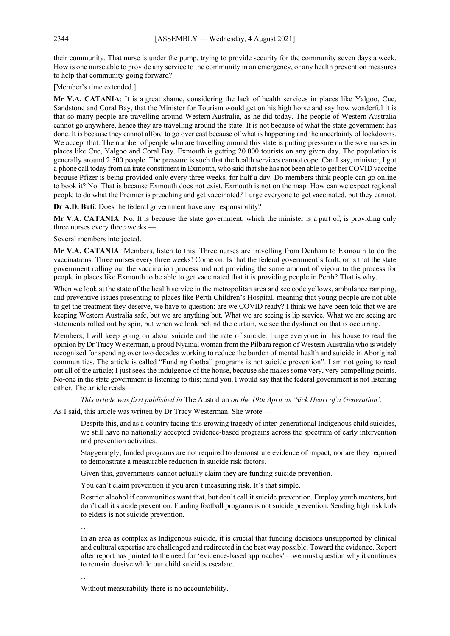their community. That nurse is under the pump, trying to provide security for the community seven days a week. How is one nurse able to provide any service to the community in an emergency, or any health prevention measures to help that community going forward?

[Member's time extended.]

**Mr V.A. CATANIA**: It is a great shame, considering the lack of health services in places like Yalgoo, Cue, Sandstone and Coral Bay, that the Minister for Tourism would get on his high horse and say how wonderful it is that so many people are travelling around Western Australia, as he did today. The people of Western Australia cannot go anywhere, hence they are travelling around the state. It is not because of what the state government has done. It is because they cannot afford to go over east because of what is happening and the uncertainty of lockdowns. We accept that. The number of people who are travelling around this state is putting pressure on the sole nurses in places like Cue, Yalgoo and Coral Bay. Exmouth is getting 20 000 tourists on any given day. The population is generally around 2 500 people. The pressure is such that the health services cannot cope. Can I say, minister, I got a phone call today from an irate constituent in Exmouth, who said that she has not been able to get her COVID vaccine because Pfizer is being provided only every three weeks, for half a day. Do members think people can go online to book it? No. That is because Exmouth does not exist. Exmouth is not on the map. How can we expect regional people to do what the Premier is preaching and get vaccinated? I urge everyone to get vaccinated, but they cannot.

**Dr A.D. Buti**: Does the federal government have any responsibility?

**Mr V.A. CATANIA**: No. It is because the state government, which the minister is a part of, is providing only three nurses every three weeks -

Several members interjected.

**Mr V.A. CATANIA**: Members, listen to this. Three nurses are travelling from Denham to Exmouth to do the vaccinations. Three nurses every three weeks! Come on. Is that the federal government's fault, or is that the state government rolling out the vaccination process and not providing the same amount of vigour to the process for people in places like Exmouth to be able to get vaccinated that it is providing people in Perth? That is why.

When we look at the state of the health service in the metropolitan area and see code yellows, ambulance ramping, and preventive issues presenting to places like Perth Children's Hospital, meaning that young people are not able to get the treatment they deserve, we have to question: are we COVID ready? I think we have been told that we are keeping Western Australia safe, but we are anything but. What we are seeing is lip service. What we are seeing are statements rolled out by spin, but when we look behind the curtain, we see the dysfunction that is occurring.

Members, I will keep going on about suicide and the rate of suicide. I urge everyone in this house to read the opinion by Dr Tracy Westerman, a proud Nyamal woman from the Pilbara region of Western Australia who is widely recognised for spending over two decades working to reduce the burden of mental health and suicide in Aboriginal communities. The article is called "Funding football programs is not suicide prevention". I am not going to read out all of the article; I just seek the indulgence of the house, because she makes some very, very compelling points. No-one in the state government is listening to this; mind you, I would say that the federal government is not listening either. The article reads —

*This article was first published in* The Australian *on the 19th April as 'Sick Heart of a Generation'.*

As I said, this article was written by Dr Tracy Westerman. She wrote —

Despite this, and as a country facing this growing tragedy of inter-generational Indigenous child suicides, we still have no nationally accepted evidence-based programs across the spectrum of early intervention and prevention activities.

Staggeringly, funded programs are not required to demonstrate evidence of impact, nor are they required to demonstrate a measurable reduction in suicide risk factors.

Given this, governments cannot actually claim they are funding suicide prevention.

You can't claim prevention if you aren't measuring risk. It's that simple.

Restrict alcohol if communities want that, but don't call it suicide prevention. Employ youth mentors, but don't call it suicide prevention. Funding football programs is not suicide prevention. Sending high risk kids to elders is not suicide prevention.

…

In an area as complex as Indigenous suicide, it is crucial that funding decisions unsupported by clinical and cultural expertise are challenged and redirected in the best way possible. Toward the evidence. Report after report has pointed to the need for 'evidence-based approaches'—we must question why it continues to remain elusive while our child suicides escalate.

…

Without measurability there is no accountability.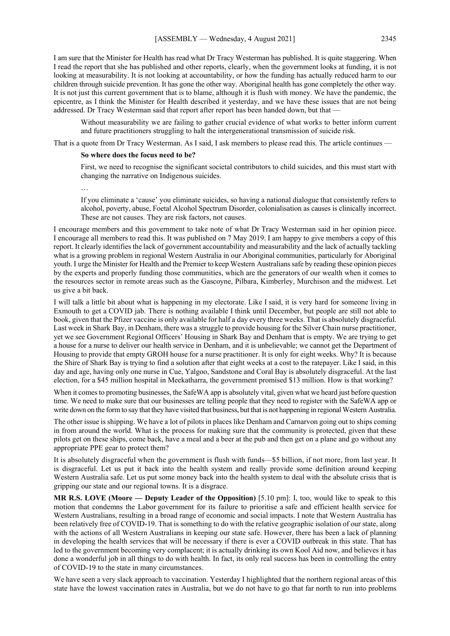I am sure that the Minister for Health has read what Dr Tracy Westerman has published. It is quite staggering. When I read the report that she has published and other reports, clearly, when the government looks at funding, it is not looking at measurability. It is not looking at accountability, or how the funding has actually reduced harm to our children through suicide prevention. It has gone the other way. Aboriginal health has gone completely the other way. It is not just this current government that is to blame, although it is flush with money. We have the pandemic, the epicentre, as I think the Minister for Health described it yesterday, and we have these issues that are not being addressed. Dr Tracy Westerman said that report after report has been handed down, but that -

Without measurability we are failing to gather crucial evidence of what works to better inform current and future practitioners struggling to halt the intergenerational transmission of suicide risk.

That is a quote from Dr Tracy Westerman. As I said, I ask members to please read this. The article continues —

#### **So where does the focus need to be?**

First, we need to recognise the significant societal contributors to child suicides, and this must start with changing the narrative on Indigenous suicides.

…

If you eliminate a 'cause' you eliminate suicides, so having a national dialogue that consistently refers to alcohol, poverty, abuse, Foetal Alcohol Spectrum Disorder, colonialisation as causes is clinically incorrect. These are not causes. They are risk factors, not causes.

I encourage members and this government to take note of what Dr Tracy Westerman said in her opinion piece. I encourage all members to read this. It was published on 7 May 2019. I am happy to give members a copy of this report. It clearly identifies the lack of government accountability and measurability and the lack of actually tackling what is a growing problem in regional Western Australia in our Aboriginal communities, particularly for Aboriginal youth. I urge the Minister for Health and the Premier to keep Western Australians safe by reading these opinion pieces by the experts and properly funding those communities, which are the generators of our wealth when it comes to the resources sector in remote areas such as the Gascoyne, Pilbara, Kimberley, Murchison and the midwest. Let us give a bit back.

I will talk a little bit about what is happening in my electorate. Like I said, it is very hard for someone living in Exmouth to get a COVID jab. There is nothing available I think until December, but people are still not able to book, given that the Pfizer vaccine is only available for half a day every three weeks. That is absolutely disgraceful. Last week in Shark Bay, in Denham, there was a struggle to provide housing for the Silver Chain nurse practitioner, yet we see Government Regional Officers' Housing in Shark Bay and Denham that is empty. We are trying to get a house for a nurse to deliver our health service in Denham, and it is unbelievable; we cannot get the Department of Housing to provide that empty GROH house for a nurse practitioner. It is only for eight weeks. Why? It is because the Shire of Shark Bay is trying to find a solution after that eight weeks at a cost to the ratepayer. Like I said, in this day and age, having only one nurse in Cue, Yalgoo, Sandstone and Coral Bay is absolutely disgraceful. At the last election, for a \$45 million hospital in Meekatharra, the government promised \$13 million. How is that working?

When it comes to promoting businesses, the SafeWA app is absolutely vital, given what we heard just before question time. We need to make sure that our businesses are telling people that they need to register with the SafeWA app or write down on the form to say that they have visited that business, but that is not happening in regional Western Australia.

The other issue is shipping. We have a lot of pilots in places like Denham and Carnarvon going out to ships coming in from around the world. What is the process for making sure that the community is protected, given that these pilots get on these ships, come back, have a meal and a beer at the pub and then get on a plane and go without any appropriate PPE gear to protect them?

It is absolutely disgraceful when the government is flush with funds—\$5 billion, if not more, from last year. It is disgraceful. Let us put it back into the health system and really provide some definition around keeping Western Australia safe. Let us put some money back into the health system to deal with the absolute crisis that is gripping our state and our regional towns. It is a disgrace.

**MR R.S. LOVE (Moore — Deputy Leader of the Opposition)** [5.10 pm]: I, too, would like to speak to this motion that condemns the Labor government for its failure to prioritise a safe and efficient health service for Western Australians, resulting in a broad range of economic and social impacts. I note that Western Australia has been relatively free of COVID-19. That is something to do with the relative geographic isolation of our state, along with the actions of all Western Australians in keeping our state safe. However, there has been a lack of planning in developing the health services that will be necessary if there is ever a COVID outbreak in this state. That has led to the government becoming very complacent; it is actually drinking its own Kool Aid now, and believes it has done a wonderful job in all things to do with health. In fact, its only real success has been in controlling the entry of COVID-19 to the state in many circumstances.

We have seen a very slack approach to vaccination. Yesterday I highlighted that the northern regional areas of this state have the lowest vaccination rates in Australia, but we do not have to go that far north to run into problems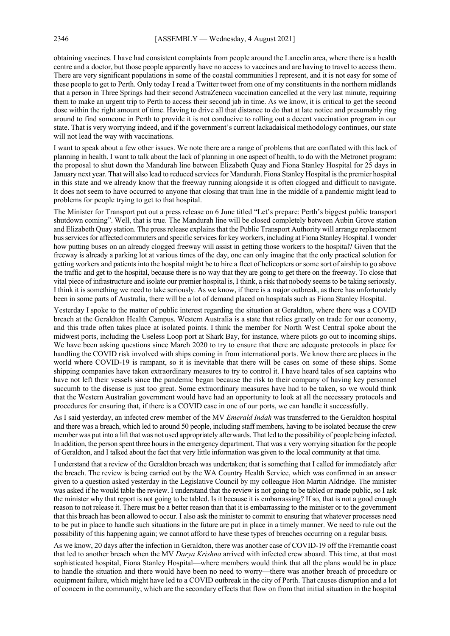obtaining vaccines. I have had consistent complaints from people around the Lancelin area, where there is a health centre and a doctor, but those people apparently have no access to vaccines and are having to travel to access them. There are very significant populations in some of the coastal communities I represent, and it is not easy for some of these people to get to Perth. Only today I read a Twitter tweet from one of my constituents in the northern midlands that a person in Three Springs had their second AstraZeneca vaccination cancelled at the very last minute, requiring them to make an urgent trip to Perth to access their second jab in time. As we know, it is critical to get the second dose within the right amount of time. Having to drive all that distance to do that at late notice and presumably ring around to find someone in Perth to provide it is not conducive to rolling out a decent vaccination program in our state. That is very worrying indeed, and if the government's current lackadaisical methodology continues, our state will not lead the way with vaccinations.

I want to speak about a few other issues. We note there are a range of problems that are conflated with this lack of planning in health. I want to talk about the lack of planning in one aspect of health, to do with the Metronet program: the proposal to shut down the Mandurah line between Elizabeth Quay and Fiona Stanley Hospital for 25 days in January next year. That will also lead to reduced services for Mandurah. Fiona Stanley Hospital is the premier hospital in this state and we already know that the freeway running alongside it is often clogged and difficult to navigate. It does not seem to have occurred to anyone that closing that train line in the middle of a pandemic might lead to problems for people trying to get to that hospital.

The Minister for Transport put out a press release on 6 June titled "Let's prepare: Perth's biggest public transport shutdown coming". Well, that is true. The Mandurah line will be closed completely between Aubin Grove station and Elizabeth Quay station. The press release explains that the Public Transport Authority will arrange replacement bus services for affected commuters and specific services for key workers, including at Fiona Stanley Hospital. I wonder how putting buses on an already clogged freeway will assist in getting those workers to the hospital? Given that the freeway is already a parking lot at various times of the day, one can only imagine that the only practical solution for getting workers and patients into the hospital might be to hire a fleet of helicopters or some sort of airship to go above the traffic and get to the hospital, because there is no way that they are going to get there on the freeway. To close that vital piece of infrastructure and isolate our premier hospital is, I think, a risk that nobody seems to be taking seriously. I think it is something we need to take seriously. As we know, if there is a major outbreak, as there has unfortunately been in some parts of Australia, there will be a lot of demand placed on hospitals such as Fiona Stanley Hospital.

Yesterday I spoke to the matter of public interest regarding the situation at Geraldton, where there was a COVID breach at the Geraldton Health Campus. Western Australia is a state that relies greatly on trade for our economy, and this trade often takes place at isolated points. I think the member for North West Central spoke about the midwest ports, including the Useless Loop port at Shark Bay, for instance, where pilots go out to incoming ships. We have been asking questions since March 2020 to try to ensure that there are adequate protocols in place for handling the COVID risk involved with ships coming in from international ports. We know there are places in the world where COVID-19 is rampant, so it is inevitable that there will be cases on some of these ships. Some shipping companies have taken extraordinary measures to try to control it. I have heard tales of sea captains who have not left their vessels since the pandemic began because the risk to their company of having key personnel succumb to the disease is just too great. Some extraordinary measures have had to be taken, so we would think that the Western Australian government would have had an opportunity to look at all the necessary protocols and procedures for ensuring that, if there is a COVID case in one of our ports, we can handle it successfully.

As I said yesterday, an infected crew member of the MV *Emerald Indah* was transferred to the Geraldton hospital and there was a breach, which led to around 50 people, including staff members, having to be isolated because the crew member was put into a lift that was not used appropriately afterwards. That led to the possibility of people being infected. In addition, the person spent three hours in the emergency department. That was a very worrying situation for the people of Geraldton, and I talked about the fact that very little information was given to the local community at that time.

I understand that a review of the Geraldton breach was undertaken; that is something that I called for immediately after the breach. The review is being carried out by the WA Country Health Service, which was confirmed in an answer given to a question asked yesterday in the Legislative Council by my colleague Hon Martin Aldridge. The minister was asked if he would table the review. I understand that the review is not going to be tabled or made public, so I ask the minister why that report is not going to be tabled. Is it because it is embarrassing? If so, that is not a good enough reason to not release it. There must be a better reason than that it is embarrassing to the minister or to the government that this breach has been allowed to occur. I also ask the minister to commit to ensuring that whatever processes need to be put in place to handle such situations in the future are put in place in a timely manner. We need to rule out the possibility of this happening again; we cannot afford to have these types of breaches occurring on a regular basis.

As we know, 20 days after the infection in Geraldton, there was another case of COVID-19 off the Fremantle coast that led to another breach when the MV *Darya Krishna* arrived with infected crew aboard. This time, at that most sophisticated hospital, Fiona Stanley Hospital—where members would think that all the plans would be in place to handle the situation and there would have been no need to worry—there was another breach of procedure or equipment failure, which might have led to a COVID outbreak in the city of Perth. That causes disruption and a lot of concern in the community, which are the secondary effects that flow on from that initial situation in the hospital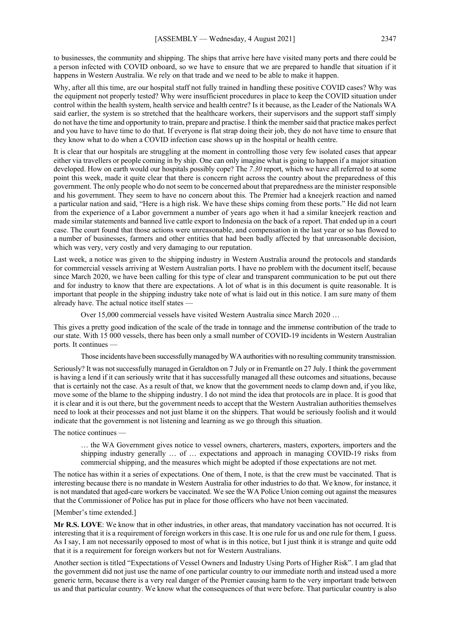to businesses, the community and shipping. The ships that arrive here have visited many ports and there could be a person infected with COVID onboard, so we have to ensure that we are prepared to handle that situation if it happens in Western Australia. We rely on that trade and we need to be able to make it happen.

Why, after all this time, are our hospital staff not fully trained in handling these positive COVID cases? Why was the equipment not properly tested? Why were insufficient procedures in place to keep the COVID situation under control within the health system, health service and health centre? Is it because, as the Leader of the Nationals WA said earlier, the system is so stretched that the healthcare workers, their supervisors and the support staff simply do not have the time and opportunity to train, prepare and practise. I think the member said that practice makes perfect and you have to have time to do that. If everyone is flat strap doing their job, they do not have time to ensure that they know what to do when a COVID infection case shows up in the hospital or health centre.

It is clear that our hospitals are struggling at the moment in controlling those very few isolated cases that appear either via travellers or people coming in by ship. One can only imagine what is going to happen if a major situation developed. How on earth would our hospitals possibly cope? The *7.30* report, which we have all referred to at some point this week, made it quite clear that there is concern right across the country about the preparedness of this government. The only people who do not seem to be concerned about that preparedness are the minister responsible and his government. They seem to have no concern about this. The Premier had a kneejerk reaction and named a particular nation and said, "Here is a high risk. We have these ships coming from these ports." He did not learn from the experience of a Labor government a number of years ago when it had a similar kneejerk reaction and made similar statements and banned live cattle export to Indonesia on the back of a report. That ended up in a court case. The court found that those actions were unreasonable, and compensation in the last year or so has flowed to a number of businesses, farmers and other entities that had been badly affected by that unreasonable decision, which was very, very costly and very damaging to our reputation.

Last week, a notice was given to the shipping industry in Western Australia around the protocols and standards for commercial vessels arriving at Western Australian ports. I have no problem with the document itself, because since March 2020, we have been calling for this type of clear and transparent communication to be put out there and for industry to know that there are expectations. A lot of what is in this document is quite reasonable. It is important that people in the shipping industry take note of what is laid out in this notice. I am sure many of them already have. The actual notice itself states —

Over 15,000 commercial vessels have visited Western Australia since March 2020 …

This gives a pretty good indication of the scale of the trade in tonnage and the immense contribution of the trade to our state. With 15 000 vessels, there has been only a small number of COVID-19 incidents in Western Australian ports. It continues —

Those incidents have been successfully managed by WA authorities with no resulting community transmission.

Seriously? It was not successfully managed in Geraldton on 7 July or in Fremantle on 27 July. I think the government is having a lend if it can seriously write that it has successfully managed all these outcomes and situations, because that is certainly not the case. As a result of that, we know that the government needs to clamp down and, if you like, move some of the blame to the shipping industry. I do not mind the idea that protocols are in place. It is good that it is clear and it is out there, but the government needs to accept that the Western Australian authorities themselves need to look at their processes and not just blame it on the shippers. That would be seriously foolish and it would indicate that the government is not listening and learning as we go through this situation.

The notice continues —

… the WA Government gives notice to vessel owners, charterers, masters, exporters, importers and the shipping industry generally … of … expectations and approach in managing COVID-19 risks from commercial shipping, and the measures which might be adopted if those expectations are not met.

The notice has within it a series of expectations. One of them, I note, is that the crew must be vaccinated. That is interesting because there is no mandate in Western Australia for other industries to do that. We know, for instance, it is not mandated that aged-care workers be vaccinated. We see the WA Police Union coming out against the measures that the Commissioner of Police has put in place for those officers who have not been vaccinated.

#### [Member's time extended.]

**Mr R.S. LOVE**: We know that in other industries, in other areas, that mandatory vaccination has not occurred. It is interesting that it is a requirement of foreign workers in this case. It is one rule for us and one rule for them, I guess. As I say, I am not necessarily opposed to most of what is in this notice, but I just think it is strange and quite odd that it is a requirement for foreign workers but not for Western Australians.

Another section is titled "Expectations of Vessel Owners and Industry Using Ports of Higher Risk". I am glad that the government did not just use the name of one particular country to our immediate north and instead used a more generic term, because there is a very real danger of the Premier causing harm to the very important trade between us and that particular country. We know what the consequences of that were before. That particular country is also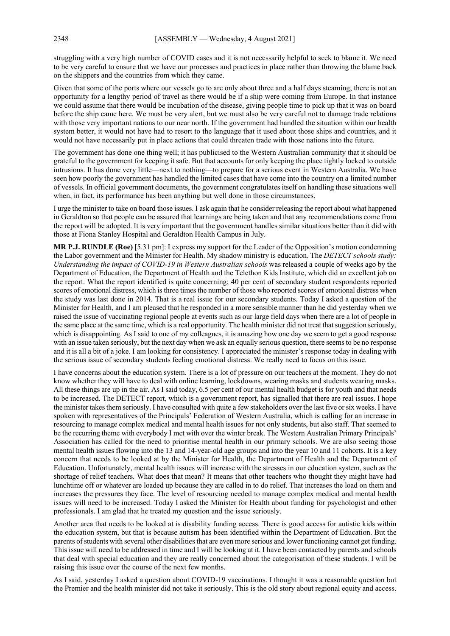struggling with a very high number of COVID cases and it is not necessarily helpful to seek to blame it. We need to be very careful to ensure that we have our processes and practices in place rather than throwing the blame back on the shippers and the countries from which they came.

Given that some of the ports where our vessels go to are only about three and a half days steaming, there is not an opportunity for a lengthy period of travel as there would be if a ship were coming from Europe. In that instance we could assume that there would be incubation of the disease, giving people time to pick up that it was on board before the ship came here. We must be very alert, but we must also be very careful not to damage trade relations with those very important nations to our near north. If the government had handled the situation within our health system better, it would not have had to resort to the language that it used about those ships and countries, and it would not have necessarily put in place actions that could threaten trade with those nations into the future.

The government has done one thing well; it has publicised to the Western Australian community that it should be grateful to the government for keeping it safe. But that accounts for only keeping the place tightly locked to outside intrusions. It has done very little—next to nothing—to prepare for a serious event in Western Australia. We have seen how poorly the government has handled the limited cases that have come into the country on a limited number of vessels. In official government documents, the government congratulates itself on handling these situations well when, in fact, its performance has been anything but well done in those circumstances.

I urge the minister to take on board those issues. I ask again that he consider releasing the report about what happened in Geraldton so that people can be assured that learnings are being taken and that any recommendations come from the report will be adopted. It is very important that the government handles similar situations better than it did with those at Fiona Stanley Hospital and Geraldton Health Campus in July.

**MR P.J. RUNDLE (Roe)** [5.31 pm]: I express my support for the Leader of the Opposition's motion condemning the Labor government and the Minister for Health. My shadow ministry is education. The *DETECT schools study: Understanding the impact of COVID-19 in Western Australian schools* was released a couple of weeks ago by the Department of Education, the Department of Health and the Telethon Kids Institute, which did an excellent job on the report. What the report identified is quite concerning; 40 per cent of secondary student respondents reported scores of emotional distress, which is three times the number of those who reported scores of emotional distress when the study was last done in 2014. That is a real issue for our secondary students. Today I asked a question of the Minister for Health, and I am pleased that he responded in a more sensible manner than he did yesterday when we raised the issue of vaccinating regional people at events such as our large field days when there are a lot of people in the same place at the same time, which is a real opportunity. The health minister did not treat that suggestion seriously, which is disappointing. As I said to one of my colleagues, it is amazing how one day we seem to get a good response with an issue taken seriously, but the next day when we ask an equally serious question, there seems to be no response and it is all a bit of a joke. I am looking for consistency. I appreciated the minister's response today in dealing with the serious issue of secondary students feeling emotional distress. We really need to focus on this issue.

I have concerns about the education system. There is a lot of pressure on our teachers at the moment. They do not know whether they will have to deal with online learning, lockdowns, wearing masks and students wearing masks. All these things are up in the air. As I said today, 6.5 per cent of our mental health budget is for youth and that needs to be increased. The DETECT report, which is a government report, has signalled that there are real issues. I hope the minister takes them seriously. I have consulted with quite a few stakeholders over the last five or six weeks. I have spoken with representatives of the Principals' Federation of Western Australia, which is calling for an increase in resourcing to manage complex medical and mental health issues for not only students, but also staff. That seemed to be the recurring theme with everybody I met with over the winter break. The Western Australian Primary Principals' Association has called for the need to prioritise mental health in our primary schools. We are also seeing those mental health issues flowing into the 13 and 14-year-old age groups and into the year 10 and 11 cohorts. It is a key concern that needs to be looked at by the Minister for Health, the Department of Health and the Department of Education. Unfortunately, mental health issues will increase with the stresses in our education system, such as the shortage of relief teachers. What does that mean? It means that other teachers who thought they might have had lunchtime off or whatever are loaded up because they are called in to do relief. That increases the load on them and increases the pressures they face. The level of resourcing needed to manage complex medical and mental health issues will need to be increased. Today I asked the Minister for Health about funding for psychologist and other professionals. I am glad that he treated my question and the issue seriously.

Another area that needs to be looked at is disability funding access. There is good access for autistic kids within the education system, but that is because autism has been identified within the Department of Education. But the parents of students with several other disabilities that are even more serious and lower functioning cannot get funding. This issue will need to be addressed in time and I will be looking at it. I have been contacted by parents and schools that deal with special education and they are really concerned about the categorisation of these students. I will be raising this issue over the course of the next few months.

As I said, yesterday I asked a question about COVID-19 vaccinations. I thought it was a reasonable question but the Premier and the health minister did not take it seriously. This is the old story about regional equity and access.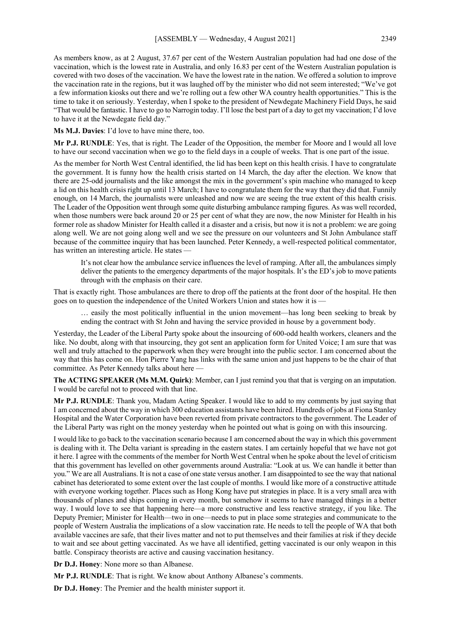As members know, as at 2 August, 37.67 per cent of the Western Australian population had had one dose of the vaccination, which is the lowest rate in Australia, and only 16.83 per cent of the Western Australian population is covered with two doses of the vaccination. We have the lowest rate in the nation. We offered a solution to improve the vaccination rate in the regions, but it was laughed off by the minister who did not seem interested; "We've got a few information kiosks out there and we're rolling out a few other WA country health opportunities." This is the time to take it on seriously. Yesterday, when I spoke to the president of Newdegate Machinery Field Days, he said "That would be fantastic. I have to go to Narrogin today. I'll lose the best part of a day to get my vaccination; I'd love to have it at the Newdegate field day."

**Ms M.J. Davies**: I'd love to have mine there, too.

**Mr P.J. RUNDLE**: Yes, that is right. The Leader of the Opposition, the member for Moore and I would all love to have our second vaccination when we go to the field days in a couple of weeks. That is one part of the issue.

As the member for North West Central identified, the lid has been kept on this health crisis. I have to congratulate the government. It is funny how the health crisis started on 14 March, the day after the election. We know that there are 25-odd journalists and the like amongst the mix in the government's spin machine who managed to keep a lid on this health crisis right up until 13 March; I have to congratulate them for the way that they did that. Funnily enough, on 14 March, the journalists were unleashed and now we are seeing the true extent of this health crisis. The Leader of the Opposition went through some quite disturbing ambulance ramping figures. As was well recorded, when those numbers were back around 20 or 25 per cent of what they are now, the now Minister for Health in his former role as shadow Minister for Health called it a disaster and a crisis, but now it is not a problem: we are going along well. We are not going along well and we see the pressure on our volunteers and St John Ambulance staff because of the committee inquiry that has been launched. Peter Kennedy, a well-respected political commentator, has written an interesting article. He states —

It's not clear how the ambulance service influences the level of ramping. After all, the ambulances simply deliver the patients to the emergency departments of the major hospitals. It's the ED's job to move patients through with the emphasis on their care.

That is exactly right. Those ambulances are there to drop off the patients at the front door of the hospital. He then goes on to question the independence of the United Workers Union and states how it is —

… easily the most politically influential in the union movement—has long been seeking to break by ending the contract with St John and having the service provided in house by a government body.

Yesterday, the Leader of the Liberal Party spoke about the insourcing of 600-odd health workers, cleaners and the like. No doubt, along with that insourcing, they got sent an application form for United Voice; I am sure that was well and truly attached to the paperwork when they were brought into the public sector. I am concerned about the way that this has come on. Hon Pierre Yang has links with the same union and just happens to be the chair of that committee. As Peter Kennedy talks about here —

**The ACTING SPEAKER (Ms M.M. Quirk)**: Member, can I just remind you that that is verging on an imputation. I would be careful not to proceed with that line.

**Mr P.J. RUNDLE**: Thank you, Madam Acting Speaker. I would like to add to my comments by just saying that I am concerned about the way in which 300 education assistants have been hired. Hundreds of jobs at Fiona Stanley Hospital and the Water Corporation have been reverted from private contractors to the government. The Leader of the Liberal Party was right on the money yesterday when he pointed out what is going on with this insourcing.

I would like to go back to the vaccination scenario because I am concerned about the way in which this government is dealing with it. The Delta variant is spreading in the eastern states. I am certainly hopeful that we have not got it here. I agree with the comments of the member for North West Central when he spoke about the level of criticism that this government has levelled on other governments around Australia: "Look at us. We can handle it better than you." We are all Australians. It is not a case of one state versus another. I am disappointed to see the way that national cabinet has deteriorated to some extent over the last couple of months. I would like more of a constructive attitude with everyone working together. Places such as Hong Kong have put strategies in place. It is a very small area with thousands of planes and ships coming in every month, but somehow it seems to have managed things in a better way. I would love to see that happening here—a more constructive and less reactive strategy, if you like. The Deputy Premier; Minister for Health—two in one—needs to put in place some strategies and communicate to the people of Western Australia the implications of a slow vaccination rate. He needs to tell the people of WA that both available vaccines are safe, that their lives matter and not to put themselves and their families at risk if they decide to wait and see about getting vaccinated. As we have all identified, getting vaccinated is our only weapon in this battle. Conspiracy theorists are active and causing vaccination hesitancy.

**Dr D.J. Honey**: None more so than Albanese.

**Mr P.J. RUNDLE**: That is right. We know about Anthony Albanese's comments.

**Dr D.J. Honey**: The Premier and the health minister support it.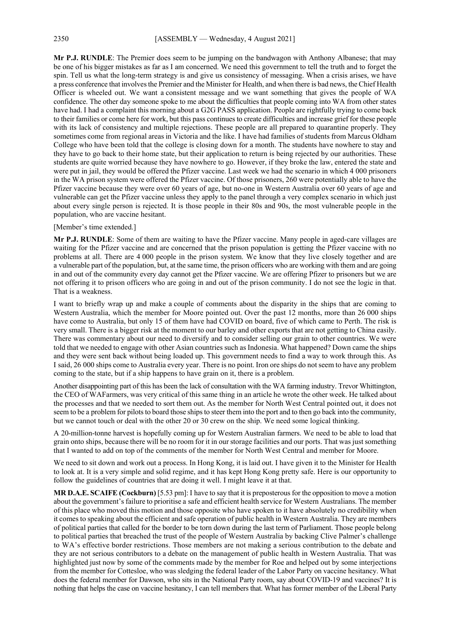**Mr P.J. RUNDLE**: The Premier does seem to be jumping on the bandwagon with Anthony Albanese; that may be one of his bigger mistakes as far as I am concerned. We need this government to tell the truth and to forget the spin. Tell us what the long-term strategy is and give us consistency of messaging. When a crisis arises, we have a press conference that involves the Premier and the Minister for Health, and when there is bad news, the Chief Health Officer is wheeled out. We want a consistent message and we want something that gives the people of WA confidence. The other day someone spoke to me about the difficulties that people coming into WA from other states have had. I had a complaint this morning about a G2G PASS application. People are rightfully trying to come back to their families or come here for work, but this pass continues to create difficulties and increase grief for these people with its lack of consistency and multiple rejections. These people are all prepared to quarantine properly. They sometimes come from regional areas in Victoria and the like. I have had families of students from Marcus Oldham College who have been told that the college is closing down for a month. The students have nowhere to stay and they have to go back to their home state, but their application to return is being rejected by our authorities. These students are quite worried because they have nowhere to go. However, if they broke the law, entered the state and were put in jail, they would be offered the Pfizer vaccine. Last week we had the scenario in which 4 000 prisoners in the WA prison system were offered the Pfizer vaccine. Of those prisoners, 260 were potentially able to have the Pfizer vaccine because they were over 60 years of age, but no-one in Western Australia over 60 years of age and vulnerable can get the Pfizer vaccine unless they apply to the panel through a very complex scenario in which just about every single person is rejected. It is those people in their 80s and 90s, the most vulnerable people in the population, who are vaccine hesitant.

#### [Member's time extended.]

**Mr P.J. RUNDLE**: Some of them are waiting to have the Pfizer vaccine. Many people in aged-care villages are waiting for the Pfizer vaccine and are concerned that the prison population is getting the Pfizer vaccine with no problems at all. There are 4 000 people in the prison system. We know that they live closely together and are a vulnerable part of the population, but, at the same time, the prison officers who are working with them and are going in and out of the community every day cannot get the Pfizer vaccine. We are offering Pfizer to prisoners but we are not offering it to prison officers who are going in and out of the prison community. I do not see the logic in that. That is a weakness.

I want to briefly wrap up and make a couple of comments about the disparity in the ships that are coming to Western Australia, which the member for Moore pointed out. Over the past 12 months, more than 26 000 ships have come to Australia, but only 15 of them have had COVID on board, five of which came to Perth. The risk is very small. There is a bigger risk at the moment to our barley and other exports that are not getting to China easily. There was commentary about our need to diversify and to consider selling our grain to other countries. We were told that we needed to engage with other Asian countries such as Indonesia. What happened? Down came the ships and they were sent back without being loaded up. This government needs to find a way to work through this. As I said, 26 000 ships come to Australia every year. There is no point. Iron ore ships do not seem to have any problem coming to the state, but if a ship happens to have grain on it, there is a problem.

Another disappointing part of this has been the lack of consultation with the WA farming industry. Trevor Whittington, the CEO of WAFarmers, was very critical of this same thing in an article he wrote the other week. He talked about the processes and that we needed to sort them out. As the member for North West Central pointed out, it does not seem to be a problem for pilots to board those ships to steer them into the port and to then go back into the community, but we cannot touch or deal with the other 20 or 30 crew on the ship. We need some logical thinking.

A 20-million-tonne harvest is hopefully coming up for Western Australian farmers. We need to be able to load that grain onto ships, because there will be no room for it in our storage facilities and our ports. That was just something that I wanted to add on top of the comments of the member for North West Central and member for Moore.

We need to sit down and work out a process. In Hong Kong, it is laid out. I have given it to the Minister for Health to look at. It is a very simple and solid regime, and it has kept Hong Kong pretty safe. Here is our opportunity to follow the guidelines of countries that are doing it well. I might leave it at that.

**MR D.A.E. SCAIFE (Cockburn)** [5.53 pm]: I have to say that it is preposterous for the opposition to move a motion about the government's failure to prioritise a safe and efficient health service for Western Australians. The member of this place who moved this motion and those opposite who have spoken to it have absolutely no credibility when it comes to speaking about the efficient and safe operation of public health in Western Australia. They are members of political parties that called for the border to be torn down during the last term of Parliament. Those people belong to political parties that breached the trust of the people of Western Australia by backing Clive Palmer's challenge to WA's effective border restrictions. Those members are not making a serious contribution to the debate and they are not serious contributors to a debate on the management of public health in Western Australia. That was highlighted just now by some of the comments made by the member for Roe and helped out by some interjections from the member for Cottesloe, who was sledging the federal leader of the Labor Party on vaccine hesitancy. What does the federal member for Dawson, who sits in the National Party room, say about COVID-19 and vaccines? It is nothing that helps the case on vaccine hesitancy, I can tell members that. What has former member of the Liberal Party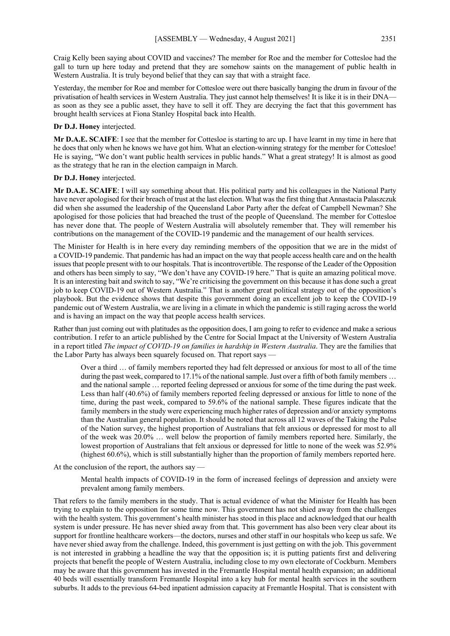Craig Kelly been saying about COVID and vaccines? The member for Roe and the member for Cottesloe had the gall to turn up here today and pretend that they are somehow saints on the management of public health in Western Australia. It is truly beyond belief that they can say that with a straight face.

Yesterday, the member for Roe and member for Cottesloe were out there basically banging the drum in favour of the privatisation of health services in Western Australia. They just cannot help themselves! It is like it is in their DNA as soon as they see a public asset, they have to sell it off. They are decrying the fact that this government has brought health services at Fiona Stanley Hospital back into Health.

#### **Dr D.J. Honey** interjected.

**Mr D.A.E. SCAIFE**: I see that the member for Cottesloe is starting to arc up. I have learnt in my time in here that he does that only when he knows we have got him. What an election-winning strategy for the member for Cottesloe! He is saying, "We don't want public health services in public hands." What a great strategy! It is almost as good as the strategy that he ran in the election campaign in March.

#### **Dr D.J. Honey** interjected.

**Mr D.A.E. SCAIFE**: I will say something about that. His political party and his colleagues in the National Party have never apologised for their breach of trust at the last election. What was the first thing that Annastacia Palaszczuk did when she assumed the leadership of the Queensland Labor Party after the defeat of Campbell Newman? She apologised for those policies that had breached the trust of the people of Queensland. The member for Cottesloe has never done that. The people of Western Australia will absolutely remember that. They will remember his contributions on the management of the COVID-19 pandemic and the management of our health services.

The Minister for Health is in here every day reminding members of the opposition that we are in the midst of a COVID-19 pandemic. That pandemic has had an impact on the way that people access health care and on the health issues that people present with to our hospitals. That is incontrovertible. The response of the Leader of the Opposition and others has been simply to say, "We don't have any COVID-19 here." That is quite an amazing political move. It is an interesting bait and switch to say, "We're criticising the government on this because it has done such a great job to keep COVID-19 out of Western Australia." That is another great political strategy out of the opposition's playbook. But the evidence shows that despite this government doing an excellent job to keep the COVID-19 pandemic out of Western Australia, we are living in a climate in which the pandemic is still raging across the world and is having an impact on the way that people access health services.

Rather than just coming out with platitudes as the opposition does, I am going to refer to evidence and make a serious contribution. I refer to an article published by the Centre for Social Impact at the University of Western Australia in a report titled *The impact of COVID-19 on families in hardship in Western Australia*. They are the families that the Labor Party has always been squarely focused on. That report says -

Over a third … of family members reported they had felt depressed or anxious for most to all of the time during the past week, compared to 17.1% of the national sample. Just over a fifth of both family members ... and the national sample … reported feeling depressed or anxious for some of the time during the past week. Less than half (40.6%) of family members reported feeling depressed or anxious for little to none of the time, during the past week, compared to 59.6% of the national sample. These figures indicate that the family members in the study were experiencing much higher rates of depression and/or anxiety symptoms than the Australian general population. It should be noted that across all 12 waves of the Taking the Pulse of the Nation survey, the highest proportion of Australians that felt anxious or depressed for most to all of the week was 20.0% … well below the proportion of family members reported here. Similarly, the lowest proportion of Australians that felt anxious or depressed for little to none of the week was 52.9% (highest 60.6%), which is still substantially higher than the proportion of family members reported here.

At the conclusion of the report, the authors say —

Mental health impacts of COVID-19 in the form of increased feelings of depression and anxiety were prevalent among family members.

That refers to the family members in the study. That is actual evidence of what the Minister for Health has been trying to explain to the opposition for some time now. This government has not shied away from the challenges with the health system. This government's health minister has stood in this place and acknowledged that our health system is under pressure. He has never shied away from that. This government has also been very clear about its support for frontline healthcare workers—the doctors, nurses and other staff in our hospitals who keep us safe. We have never shied away from the challenge. Indeed, this government is just getting on with the job. This government is not interested in grabbing a headline the way that the opposition is; it is putting patients first and delivering projects that benefit the people of Western Australia, including close to my own electorate of Cockburn. Members may be aware that this government has invested in the Fremantle Hospital mental health expansion; an additional 40 beds will essentially transform Fremantle Hospital into a key hub for mental health services in the southern suburbs. It adds to the previous 64-bed inpatient admission capacity at Fremantle Hospital. That is consistent with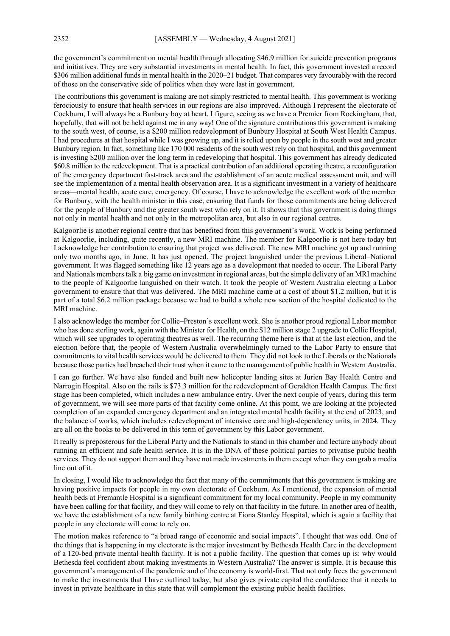the government's commitment on mental health through allocating \$46.9 million for suicide prevention programs and initiatives. They are very substantial investments in mental health. In fact, this government invested a record \$306 million additional funds in mental health in the 2020–21 budget. That compares very favourably with the record of those on the conservative side of politics when they were last in government.

The contributions this government is making are not simply restricted to mental health. This government is working ferociously to ensure that health services in our regions are also improved. Although I represent the electorate of Cockburn, I will always be a Bunbury boy at heart. I figure, seeing as we have a Premier from Rockingham, that, hopefully, that will not be held against me in any way! One of the signature contributions this government is making to the south west, of course, is a \$200 million redevelopment of Bunbury Hospital at South West Health Campus. I had procedures at that hospital while I was growing up, and it is relied upon by people in the south west and greater Bunbury region. In fact, something like 170 000 residents of the south west rely on that hospital, and this government is investing \$200 million over the long term in redeveloping that hospital. This government has already dedicated \$60.8 million to the redevelopment. That is a practical contribution of an additional operating theatre, a reconfiguration of the emergency department fast-track area and the establishment of an acute medical assessment unit, and will see the implementation of a mental health observation area. It is a significant investment in a variety of healthcare areas—mental health, acute care, emergency. Of course, I have to acknowledge the excellent work of the member for Bunbury, with the health minister in this case, ensuring that funds for those commitments are being delivered for the people of Bunbury and the greater south west who rely on it. It shows that this government is doing things not only in mental health and not only in the metropolitan area, but also in our regional centres.

Kalgoorlie is another regional centre that has benefited from this government's work. Work is being performed at Kalgoorlie, including, quite recently, a new MRI machine. The member for Kalgoorlie is not here today but I acknowledge her contribution to ensuring that project was delivered. The new MRI machine got up and running only two months ago, in June. It has just opened. The project languished under the previous Liberal–National government. It was flagged something like 12 years ago as a development that needed to occur. The Liberal Party and Nationals members talk a big game on investment in regional areas, but the simple delivery of an MRI machine to the people of Kalgoorlie languished on their watch. It took the people of Western Australia electing a Labor government to ensure that that was delivered. The MRI machine came at a cost of about \$1.2 million, but it is part of a total \$6.2 million package because we had to build a whole new section of the hospital dedicated to the MRI machine.

I also acknowledge the member for Collie–Preston's excellent work. She is another proud regional Labor member who has done sterling work, again with the Minister for Health, on the \$12 million stage 2 upgrade to Collie Hospital, which will see upgrades to operating theatres as well. The recurring theme here is that at the last election, and the election before that, the people of Western Australia overwhelmingly turned to the Labor Party to ensure that commitments to vital health services would be delivered to them. They did not look to the Liberals or the Nationals because those parties had breached their trust when it came to the management of public health in Western Australia.

I can go further. We have also funded and built new helicopter landing sites at Jurien Bay Health Centre and Narrogin Hospital. Also on the rails is \$73.3 million for the redevelopment of Geraldton Health Campus. The first stage has been completed, which includes a new ambulance entry. Over the next couple of years, during this term of government, we will see more parts of that facility come online. At this point, we are looking at the projected completion of an expanded emergency department and an integrated mental health facility at the end of 2023, and the balance of works, which includes redevelopment of intensive care and high-dependency units, in 2024. They are all on the books to be delivered in this term of government by this Labor government.

It really is preposterous for the Liberal Party and the Nationals to stand in this chamber and lecture anybody about running an efficient and safe health service. It is in the DNA of these political parties to privatise public health services. They do not support them and they have not made investments in them except when they can grab a media line out of it.

In closing, I would like to acknowledge the fact that many of the commitments that this government is making are having positive impacts for people in my own electorate of Cockburn. As I mentioned, the expansion of mental health beds at Fremantle Hospital is a significant commitment for my local community. People in my community have been calling for that facility, and they will come to rely on that facility in the future. In another area of health, we have the establishment of a new family birthing centre at Fiona Stanley Hospital, which is again a facility that people in any electorate will come to rely on.

The motion makes reference to "a broad range of economic and social impacts". I thought that was odd. One of the things that is happening in my electorate is the major investment by Bethesda Health Care in the development of a 120-bed private mental health facility. It is not a public facility. The question that comes up is: why would Bethesda feel confident about making investments in Western Australia? The answer is simple. It is because this government's management of the pandemic and of the economy is world-first. That not only frees the government to make the investments that I have outlined today, but also gives private capital the confidence that it needs to invest in private healthcare in this state that will complement the existing public health facilities.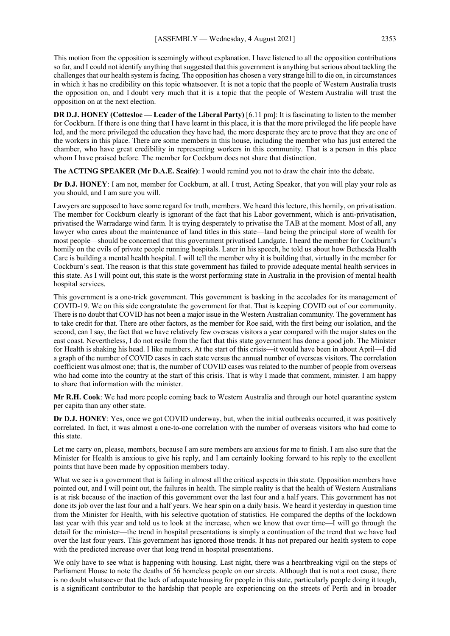This motion from the opposition is seemingly without explanation. I have listened to all the opposition contributions so far, and I could not identify anything that suggested that this government is anything but serious about tackling the challenges that our health system is facing. The opposition has chosen a very strange hill to die on, in circumstances in which it has no credibility on this topic whatsoever. It is not a topic that the people of Western Australia trusts the opposition on, and I doubt very much that it is a topic that the people of Western Australia will trust the opposition on at the next election.

**DR D.J. HONEY (Cottesloe — Leader of the Liberal Party)** [6.11 pm]: It is fascinating to listen to the member for Cockburn. If there is one thing that I have learnt in this place, it is that the more privileged the life people have led, and the more privileged the education they have had, the more desperate they are to prove that they are one of the workers in this place. There are some members in this house, including the member who has just entered the chamber, who have great credibility in representing workers in this community. That is a person in this place whom I have praised before. The member for Cockburn does not share that distinction.

**The ACTING SPEAKER (Mr D.A.E. Scaife)**: I would remind you not to draw the chair into the debate.

**Dr D.J. HONEY**: I am not, member for Cockburn, at all. I trust, Acting Speaker, that you will play your role as you should, and I am sure you will.

Lawyers are supposed to have some regard for truth, members. We heard this lecture, this homily, on privatisation. The member for Cockburn clearly is ignorant of the fact that his Labor government, which is anti-privatisation, privatised the Warradarge wind farm. It is trying desperately to privatise the TAB at the moment. Most of all, any lawyer who cares about the maintenance of land titles in this state—land being the principal store of wealth for most people—should be concerned that this government privatised Landgate. I heard the member for Cockburn's homily on the evils of private people running hospitals. Later in his speech, he told us about how Bethesda Health Care is building a mental health hospital. I will tell the member why it is building that, virtually in the member for Cockburn's seat. The reason is that this state government has failed to provide adequate mental health services in this state. As I will point out, this state is the worst performing state in Australia in the provision of mental health hospital services.

This government is a one-trick government. This government is basking in the accolades for its management of COVID-19. We on this side congratulate the government for that. That is keeping COVID out of our community. There is no doubt that COVID has not been a major issue in the Western Australian community. The government has to take credit for that. There are other factors, as the member for Roe said, with the first being our isolation, and the second, can I say, the fact that we have relatively few overseas visitors a year compared with the major states on the east coast. Nevertheless, I do not resile from the fact that this state government has done a good job. The Minister for Health is shaking his head. I like numbers. At the start of this crisis—it would have been in about April—I did a graph of the number of COVID cases in each state versus the annual number of overseas visitors. The correlation coefficient was almost one; that is, the number of COVID cases was related to the number of people from overseas who had come into the country at the start of this crisis. That is why I made that comment, minister. I am happy to share that information with the minister.

**Mr R.H. Cook**: We had more people coming back to Western Australia and through our hotel quarantine system per capita than any other state.

**Dr D.J. HONEY**: Yes, once we got COVID underway, but, when the initial outbreaks occurred, it was positively correlated. In fact, it was almost a one-to-one correlation with the number of overseas visitors who had come to this state.

Let me carry on, please, members, because I am sure members are anxious for me to finish. I am also sure that the Minister for Health is anxious to give his reply, and I am certainly looking forward to his reply to the excellent points that have been made by opposition members today.

What we see is a government that is failing in almost all the critical aspects in this state. Opposition members have pointed out, and I will point out, the failures in health. The simple reality is that the health of Western Australians is at risk because of the inaction of this government over the last four and a half years. This government has not done its job over the last four and a half years. We hear spin on a daily basis. We heard it yesterday in question time from the Minister for Health, with his selective quotation of statistics. He compared the depths of the lockdown last year with this year and told us to look at the increase, when we know that over time—I will go through the detail for the minister—the trend in hospital presentations is simply a continuation of the trend that we have had over the last four years. This government has ignored those trends. It has not prepared our health system to cope with the predicted increase over that long trend in hospital presentations.

We only have to see what is happening with housing. Last night, there was a heartbreaking vigil on the steps of Parliament House to note the deaths of 56 homeless people on our streets. Although that is not a root cause, there is no doubt whatsoever that the lack of adequate housing for people in this state, particularly people doing it tough, is a significant contributor to the hardship that people are experiencing on the streets of Perth and in broader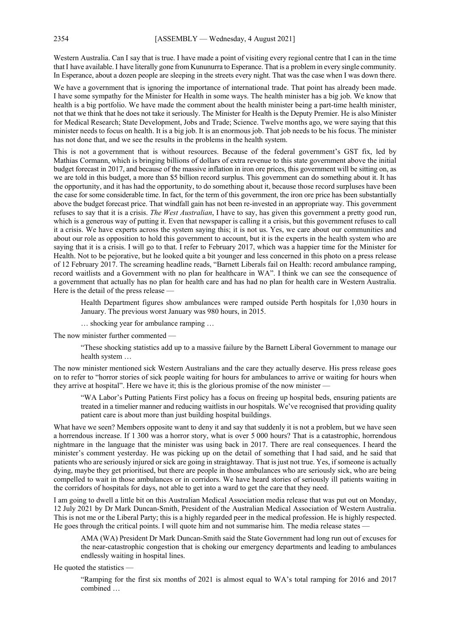Western Australia. Can I say that is true. I have made a point of visiting every regional centre that I can in the time thatI have available. I have literally gone from Kununurra to Esperance. That is a problem in every single community. In Esperance, about a dozen people are sleeping in the streets every night. That was the case when I was down there.

We have a government that is ignoring the importance of international trade. That point has already been made. I have some sympathy for the Minister for Health in some ways. The health minister has a big job. We know that health is a big portfolio. We have made the comment about the health minister being a part-time health minister, not that we think that he does not take it seriously. The Minister for Health is the Deputy Premier. He is also Minister for Medical Research; State Development, Jobs and Trade; Science. Twelve months ago, we were saying that this minister needs to focus on health. It is a big job. It is an enormous job. That job needs to be his focus. The minister has not done that, and we see the results in the problems in the health system.

This is not a government that is without resources. Because of the federal government's GST fix, led by Mathias Cormann, which is bringing billions of dollars of extra revenue to this state government above the initial budget forecast in 2017, and because of the massive inflation in iron ore prices, this government will be sitting on, as we are told in this budget, a more than \$5 billion record surplus. This government can do something about it. It has the opportunity, and it has had the opportunity, to do something about it, because those record surpluses have been the case for some considerable time. In fact, for the term of this government, the iron ore price has been substantially above the budget forecast price. That windfall gain has not been re-invested in an appropriate way. This government refuses to say that it is a crisis. *The West Australian*, I have to say, has given this government a pretty good run, which is a generous way of putting it. Even that newspaper is calling it a crisis, but this government refuses to call it a crisis. We have experts across the system saying this; it is not us. Yes, we care about our communities and about our role as opposition to hold this government to account, but it is the experts in the health system who are saying that it is a crisis. I will go to that. I refer to February 2017, which was a happier time for the Minister for Health. Not to be pejorative, but he looked quite a bit younger and less concerned in this photo on a press release of 12 February 2017. The screaming headline reads, "Barnett Liberals fail on Health: record ambulance ramping, record waitlists and a Government with no plan for healthcare in WA". I think we can see the consequence of a government that actually has no plan for health care and has had no plan for health care in Western Australia. Here is the detail of the press release —

Health Department figures show ambulances were ramped outside Perth hospitals for 1,030 hours in January. The previous worst January was 980 hours, in 2015.

… shocking year for ambulance ramping …

The now minister further commented —

"These shocking statistics add up to a massive failure by the Barnett Liberal Government to manage our health system …

The now minister mentioned sick Western Australians and the care they actually deserve. His press release goes on to refer to "horror stories of sick people waiting for hours for ambulances to arrive or waiting for hours when they arrive at hospital". Here we have it; this is the glorious promise of the now minister —

"WA Labor's Putting Patients First policy has a focus on freeing up hospital beds, ensuring patients are treated in a timelier manner and reducing waitlists in our hospitals. We've recognised that providing quality patient care is about more than just building hospital buildings.

What have we seen? Members opposite want to deny it and say that suddenly it is not a problem, but we have seen a horrendous increase. If 1 300 was a horror story, what is over 5 000 hours? That is a catastrophic, horrendous nightmare in the language that the minister was using back in 2017. There are real consequences. I heard the minister's comment yesterday. He was picking up on the detail of something that I had said, and he said that patients who are seriously injured or sick are going in straightaway. That is just not true. Yes, if someone is actually dying, maybe they get prioritised, but there are people in those ambulances who are seriously sick, who are being compelled to wait in those ambulances or in corridors. We have heard stories of seriously ill patients waiting in the corridors of hospitals for days, not able to get into a ward to get the care that they need.

I am going to dwell a little bit on this Australian Medical Association media release that was put out on Monday, 12 July 2021 by Dr Mark Duncan-Smith, President of the Australian Medical Association of Western Australia. This is not me or the Liberal Party; this is a highly regarded peer in the medical profession. He is highly respected. He goes through the critical points. I will quote him and not summarise him. The media release states –

AMA (WA) President Dr Mark Duncan-Smith said the State Government had long run out of excuses for the near-catastrophic congestion that is choking our emergency departments and leading to ambulances endlessly waiting in hospital lines.

He quoted the statistics —

"Ramping for the first six months of 2021 is almost equal to WA's total ramping for 2016 and 2017 combined …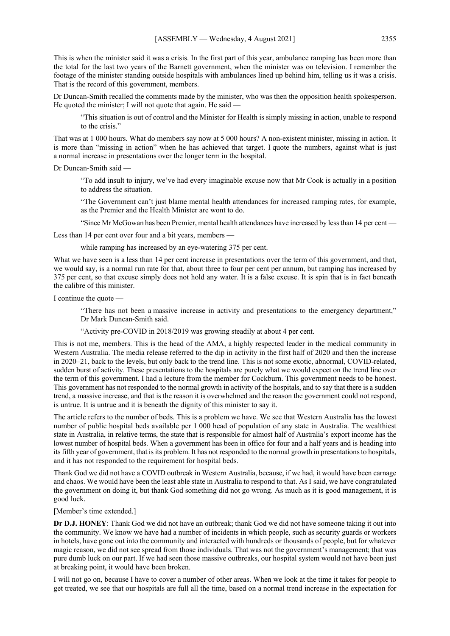This is when the minister said it was a crisis. In the first part of this year, ambulance ramping has been more than the total for the last two years of the Barnett government, when the minister was on television. I remember the footage of the minister standing outside hospitals with ambulances lined up behind him, telling us it was a crisis. That is the record of this government, members.

Dr Duncan-Smith recalled the comments made by the minister, who was then the opposition health spokesperson. He quoted the minister; I will not quote that again. He said —

"This situation is out of control and the Minister for Health is simply missing in action, unable to respond to the crisis."

That was at 1 000 hours. What do members say now at 5 000 hours? A non-existent minister, missing in action. It is more than "missing in action" when he has achieved that target. I quote the numbers, against what is just a normal increase in presentations over the longer term in the hospital.

Dr Duncan-Smith said

"To add insult to injury, we've had every imaginable excuse now that Mr Cook is actually in a position to address the situation.

"The Government can't just blame mental health attendances for increased ramping rates, for example, as the Premier and the Health Minister are wont to do.

"Since Mr McGowan has been Premier, mental health attendances have increased by less than 14 per cent —

Less than 14 per cent over four and a bit years, members —

while ramping has increased by an eye-watering 375 per cent.

What we have seen is a less than 14 per cent increase in presentations over the term of this government, and that, we would say, is a normal run rate for that, about three to four per cent per annum, but ramping has increased by 375 per cent, so that excuse simply does not hold any water. It is a false excuse. It is spin that is in fact beneath the calibre of this minister.

I continue the quote —

"There has not been a massive increase in activity and presentations to the emergency department," Dr Mark Duncan-Smith said.

"Activity pre-COVID in 2018/2019 was growing steadily at about 4 per cent.

This is not me, members. This is the head of the AMA, a highly respected leader in the medical community in Western Australia. The media release referred to the dip in activity in the first half of 2020 and then the increase in 2020–21, back to the levels, but only back to the trend line. This is not some exotic, abnormal, COVID-related, sudden burst of activity. These presentations to the hospitals are purely what we would expect on the trend line over the term of this government. I had a lecture from the member for Cockburn. This government needs to be honest. This government has not responded to the normal growth in activity of the hospitals, and to say that there is a sudden trend, a massive increase, and that is the reason it is overwhelmed and the reason the government could not respond, is untrue. It is untrue and it is beneath the dignity of this minister to say it.

The article refers to the number of beds. This is a problem we have. We see that Western Australia has the lowest number of public hospital beds available per 1 000 head of population of any state in Australia. The wealthiest state in Australia, in relative terms, the state that is responsible for almost half of Australia's export income has the lowest number of hospital beds. When a government has been in office for four and a half years and is heading into its fifth year of government, that is its problem. It has not responded to the normal growth in presentations to hospitals, and it has not responded to the requirement for hospital beds.

Thank God we did not have a COVID outbreak in Western Australia, because, if we had, it would have been carnage and chaos. We would have been the least able state in Australia to respond to that. As I said, we have congratulated the government on doing it, but thank God something did not go wrong. As much as it is good management, it is good luck.

[Member's time extended.]

**Dr D.J. HONEY**: Thank God we did not have an outbreak; thank God we did not have someone taking it out into the community. We know we have had a number of incidents in which people, such as security guards or workers in hotels, have gone out into the community and interacted with hundreds or thousands of people, but for whatever magic reason, we did not see spread from those individuals. That was not the government's management; that was pure dumb luck on our part. If we had seen those massive outbreaks, our hospital system would not have been just at breaking point, it would have been broken.

I will not go on, because I have to cover a number of other areas. When we look at the time it takes for people to get treated, we see that our hospitals are full all the time, based on a normal trend increase in the expectation for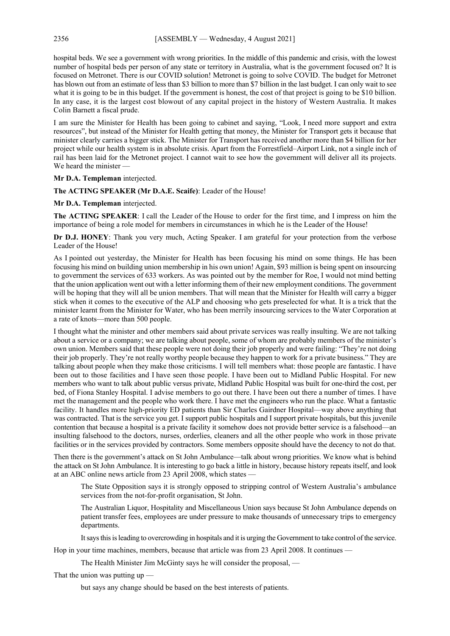hospital beds. We see a government with wrong priorities. In the middle of this pandemic and crisis, with the lowest number of hospital beds per person of any state or territory in Australia, what is the government focused on? It is focused on Metronet. There is our COVID solution! Metronet is going to solve COVID. The budget for Metronet has blown out from an estimate of less than \$3 billion to more than \$7 billion in the last budget. I can only wait to see what it is going to be in this budget. If the government is honest, the cost of that project is going to be \$10 billion. In any case, it is the largest cost blowout of any capital project in the history of Western Australia. It makes Colin Barnett a fiscal prude.

I am sure the Minister for Health has been going to cabinet and saying, "Look, I need more support and extra resources", but instead of the Minister for Health getting that money, the Minister for Transport gets it because that minister clearly carries a bigger stick. The Minister for Transport has received another more than \$4 billion for her project while our health system is in absolute crisis. Apart from the Forrestfield–Airport Link, not a single inch of rail has been laid for the Metronet project. I cannot wait to see how the government will deliver all its projects. We heard the minister —

#### **Mr D.A. Templeman** interjected.

#### **The ACTING SPEAKER (Mr D.A.E. Scaife)**: Leader of the House!

#### **Mr D.A. Templeman** interjected.

**The ACTING SPEAKER**: I call the Leader of the House to order for the first time, and I impress on him the importance of being a role model for members in circumstances in which he is the Leader of the House!

**Dr D.J. HONEY**: Thank you very much, Acting Speaker. I am grateful for your protection from the verbose Leader of the House!

As I pointed out yesterday, the Minister for Health has been focusing his mind on some things. He has been focusing his mind on building union membership in his own union! Again, \$93 million is being spent on insourcing to government the services of 633 workers. As was pointed out by the member for Roe, I would not mind betting that the union application went out with a letter informing them of their new employment conditions. The government will be hoping that they will all be union members. That will mean that the Minister for Health will carry a bigger stick when it comes to the executive of the ALP and choosing who gets preselected for what. It is a trick that the minister learnt from the Minister for Water, who has been merrily insourcing services to the Water Corporation at a rate of knots—more than 500 people.

I thought what the minister and other members said about private services was really insulting. We are not talking about a service or a company; we are talking about people, some of whom are probably members of the minister's own union. Members said that these people were not doing their job properly and were failing: "They're not doing their job properly. They're not really worthy people because they happen to work for a private business." They are talking about people when they make those criticisms. I will tell members what: those people are fantastic. I have been out to those facilities and I have seen those people. I have been out to Midland Public Hospital. For new members who want to talk about public versus private, Midland Public Hospital was built for one-third the cost, per bed, of Fiona Stanley Hospital. I advise members to go out there. I have been out there a number of times. I have met the management and the people who work there. I have met the engineers who run the place. What a fantastic facility. It handles more high-priority ED patients than Sir Charles Gairdner Hospital—way above anything that was contracted. That is the service you get. I support public hospitals and I support private hospitals, but this juvenile contention that because a hospital is a private facility it somehow does not provide better service is a falsehood—an insulting falsehood to the doctors, nurses, orderlies, cleaners and all the other people who work in those private facilities or in the services provided by contractors. Some members opposite should have the decency to not do that.

Then there is the government's attack on St John Ambulance—talk about wrong priorities. We know what is behind the attack on St John Ambulance. It is interesting to go back a little in history, because history repeats itself, and look at an ABC online news article from 23 April 2008, which states -

The State Opposition says it is strongly opposed to stripping control of Western Australia's ambulance services from the not-for-profit organisation, St John.

The Australian Liquor, Hospitality and Miscellaneous Union says because St John Ambulance depends on patient transfer fees, employees are under pressure to make thousands of unnecessary trips to emergency departments.

It says this is leading to overcrowding in hospitals and it is urging the Government to take control of the service.

Hop in your time machines, members, because that article was from 23 April 2008. It continues —

The Health Minister Jim McGinty says he will consider the proposal, —

That the union was putting up —

but says any change should be based on the best interests of patients.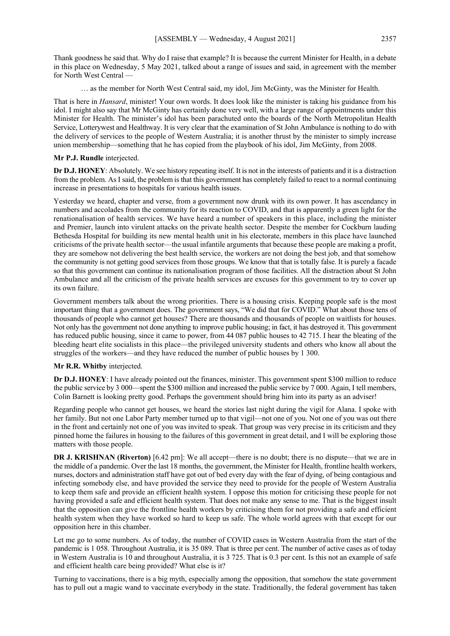Thank goodness he said that. Why do I raise that example? It is because the current Minister for Health, in a debate in this place on Wednesday, 5 May 2021, talked about a range of issues and said, in agreement with the member for North West Central

… as the member for North West Central said, my idol, Jim McGinty, was the Minister for Health.

That is here in *Hansard*, minister! Your own words. It does look like the minister is taking his guidance from his idol. I might also say that Mr McGinty has certainly done very well, with a large range of appointments under this Minister for Health. The minister's idol has been parachuted onto the boards of the North Metropolitan Health Service, Lotterywest and Healthway. It is very clear that the examination of St John Ambulance is nothing to do with the delivery of services to the people of Western Australia; it is another thrust by the minister to simply increase union membership—something that he has copied from the playbook of his idol, Jim McGinty, from 2008.

#### **Mr P.J. Rundle** interjected.

**Dr D.J. HONEY**: Absolutely. We see history repeating itself. It is not in the interests of patients and it is a distraction from the problem. As I said, the problem is that this government has completely failed to react to a normal continuing increase in presentations to hospitals for various health issues.

Yesterday we heard, chapter and verse, from a government now drunk with its own power. It has ascendancy in numbers and accolades from the community for its reaction to COVID, and that is apparently a green light for the renationalisation of health services. We have heard a number of speakers in this place, including the minister and Premier, launch into virulent attacks on the private health sector. Despite the member for Cockburn lauding Bethesda Hospital for building its new mental health unit in his electorate, members in this place have launched criticisms of the private health sector—the usual infantile arguments that because these people are making a profit, they are somehow not delivering the best health service, the workers are not doing the best job, and that somehow the community is not getting good services from those groups. We know that that is totally false. It is purely a facade so that this government can continue its nationalisation program of those facilities. All the distraction about St John Ambulance and all the criticism of the private health services are excuses for this government to try to cover up its own failure.

Government members talk about the wrong priorities. There is a housing crisis. Keeping people safe is the most important thing that a government does. The government says, "We did that for COVID." What about those tens of thousands of people who cannot get houses? There are thousands and thousands of people on waitlists for houses. Not only has the government not done anything to improve public housing; in fact, it has destroyed it. This government has reduced public housing, since it came to power, from 44 087 public houses to 42 715. I hear the bleating of the bleeding heart elite socialists in this place—the privileged university students and others who know all about the struggles of the workers—and they have reduced the number of public houses by 1 300.

#### **Mr R.R. Whitby** interjected.

**Dr D.J. HONEY**: I have already pointed out the finances, minister. This government spent \$300 million to reduce the public service by 3 000—spent the \$300 million and increased the public service by 7 000. Again, I tell members, Colin Barnett is looking pretty good. Perhaps the government should bring him into its party as an adviser!

Regarding people who cannot get houses, we heard the stories last night during the vigil for Alana. I spoke with her family. But not one Labor Party member turned up to that vigil—not one of you. Not one of you was out there in the front and certainly not one of you was invited to speak. That group was very precise in its criticism and they pinned home the failures in housing to the failures of this government in great detail, and I will be exploring those matters with those people.

**DR J. KRISHNAN (Riverton)** [6.42 pm]: We all accept—there is no doubt; there is no dispute—that we are in the middle of a pandemic. Over the last 18 months, the government, the Minister for Health, frontline health workers, nurses, doctors and administration staff have got out of bed every day with the fear of dying, of being contagious and infecting somebody else, and have provided the service they need to provide for the people of Western Australia to keep them safe and provide an efficient health system. I oppose this motion for criticising these people for not having provided a safe and efficient health system. That does not make any sense to me. That is the biggest insult that the opposition can give the frontline health workers by criticising them for not providing a safe and efficient health system when they have worked so hard to keep us safe. The whole world agrees with that except for our opposition here in this chamber.

Let me go to some numbers. As of today, the number of COVID cases in Western Australia from the start of the pandemic is 1 058. Throughout Australia, it is 35 089. That is three per cent. The number of active cases as of today in Western Australia is 10 and throughout Australia, it is 3 725. That is 0.3 per cent. Is this not an example of safe and efficient health care being provided? What else is it?

Turning to vaccinations, there is a big myth, especially among the opposition, that somehow the state government has to pull out a magic wand to vaccinate everybody in the state. Traditionally, the federal government has taken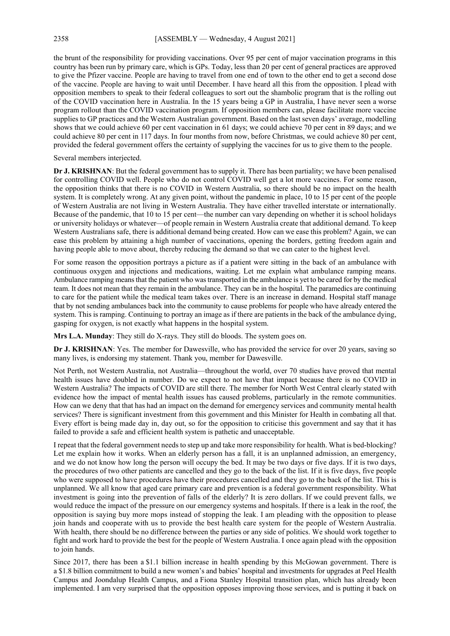the brunt of the responsibility for providing vaccinations. Over 95 per cent of major vaccination programs in this country has been run by primary care, which is GPs. Today, less than 20 per cent of general practices are approved to give the Pfizer vaccine. People are having to travel from one end of town to the other end to get a second dose of the vaccine. People are having to wait until December. I have heard all this from the opposition. I plead with opposition members to speak to their federal colleagues to sort out the shambolic program that is the rolling out of the COVID vaccination here in Australia. In the 15 years being a GP in Australia, I have never seen a worse program rollout than the COVID vaccination program. If opposition members can, please facilitate more vaccine supplies to GP practices and the Western Australian government. Based on the last seven days' average, modelling shows that we could achieve 60 per cent vaccination in 61 days; we could achieve 70 per cent in 89 days; and we could achieve 80 per cent in 117 days. In four months from now, before Christmas, we could achieve 80 per cent, provided the federal government offers the certainty of supplying the vaccines for us to give them to the people.

Several members interjected.

**Dr J. KRISHNAN**: But the federal government has to supply it. There has been partiality; we have been penalised for controlling COVID well. People who do not control COVID well get a lot more vaccines. For some reason, the opposition thinks that there is no COVID in Western Australia, so there should be no impact on the health system. It is completely wrong. At any given point, without the pandemic in place, 10 to 15 per cent of the people of Western Australia are not living in Western Australia. They have either travelled interstate or internationally. Because of the pandemic, that 10 to 15 per cent—the number can vary depending on whether it is school holidays or university holidays or whatever—of people remain in Western Australia create that additional demand. To keep Western Australians safe, there is additional demand being created. How can we ease this problem? Again, we can ease this problem by attaining a high number of vaccinations, opening the borders, getting freedom again and having people able to move about, thereby reducing the demand so that we can cater to the highest level.

For some reason the opposition portrays a picture as if a patient were sitting in the back of an ambulance with continuous oxygen and injections and medications, waiting. Let me explain what ambulance ramping means. Ambulance ramping means that the patient who was transported in the ambulance is yet to be cared for by the medical team. It does not mean that they remain in the ambulance. They can be in the hospital. The paramedics are continuing to care for the patient while the medical team takes over. There is an increase in demand. Hospital staff manage that by not sending ambulances back into the community to cause problems for people who have already entered the system. This is ramping. Continuing to portray an image as if there are patients in the back of the ambulance dying, gasping for oxygen, is not exactly what happens in the hospital system.

**Mrs L.A. Munday**: They still do X-rays. They still do bloods. The system goes on.

**Dr J. KRISHNAN**: Yes. The member for Dawesville, who has provided the service for over 20 years, saving so many lives, is endorsing my statement. Thank you, member for Dawesville.

Not Perth, not Western Australia, not Australia—throughout the world, over 70 studies have proved that mental health issues have doubled in number. Do we expect to not have that impact because there is no COVID in Western Australia? The impacts of COVID are still there. The member for North West Central clearly stated with evidence how the impact of mental health issues has caused problems, particularly in the remote communities. How can we deny that that has had an impact on the demand for emergency services and community mental health services? There is significant investment from this government and this Minister for Health in combating all that. Every effort is being made day in, day out, so for the opposition to criticise this government and say that it has failed to provide a safe and efficient health system is pathetic and unacceptable.

I repeat that the federal government needs to step up and take more responsibility for health. What is bed-blocking? Let me explain how it works. When an elderly person has a fall, it is an unplanned admission, an emergency, and we do not know how long the person will occupy the bed. It may be two days or five days. If it is two days, the procedures of two other patients are cancelled and they go to the back of the list. If it is five days, five people who were supposed to have procedures have their procedures cancelled and they go to the back of the list. This is unplanned. We all know that aged care primary care and prevention is a federal government responsibility. What investment is going into the prevention of falls of the elderly? It is zero dollars. If we could prevent falls, we would reduce the impact of the pressure on our emergency systems and hospitals. If there is a leak in the roof, the opposition is saying buy more mops instead of stopping the leak. I am pleading with the opposition to please join hands and cooperate with us to provide the best health care system for the people of Western Australia. With health, there should be no difference between the parties or any side of politics. We should work together to fight and work hard to provide the best for the people of Western Australia. I once again plead with the opposition to join hands.

Since 2017, there has been a \$1.1 billion increase in health spending by this McGowan government. There is a \$1.8 billion commitment to build a new women's and babies' hospital and investments for upgrades at Peel Health Campus and Joondalup Health Campus, and a Fiona Stanley Hospital transition plan, which has already been implemented. I am very surprised that the opposition opposes improving those services, and is putting it back on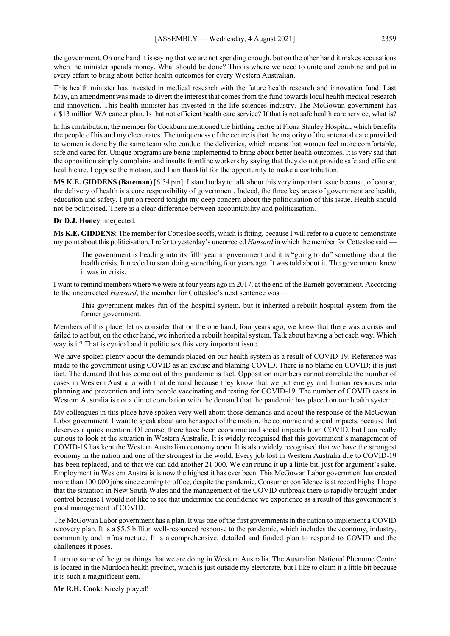the government. On one hand it is saying that we are not spending enough, but on the other hand it makes accusations when the minister spends money. What should be done? This is where we need to unite and combine and put in every effort to bring about better health outcomes for every Western Australian.

This health minister has invested in medical research with the future health research and innovation fund. Last May, an amendment was made to divert the interest that comes from the fund towards local health medical research and innovation. This health minister has invested in the life sciences industry. The McGowan government has a \$13 million WA cancer plan. Is that not efficient health care service? If that is not safe health care service, what is?

In his contribution, the member for Cockburn mentioned the birthing centre at Fiona Stanley Hospital, which benefits the people of his and my electorates. The uniqueness of the centre is that the majority of the antenatal care provided to women is done by the same team who conduct the deliveries, which means that women feel more comfortable, safe and cared for. Unique programs are being implemented to bring about better health outcomes. It is very sad that the opposition simply complains and insults frontline workers by saying that they do not provide safe and efficient health care. I oppose the motion, and I am thankful for the opportunity to make a contribution.

**MS K.E. GIDDENS (Bateman)** [6.54 pm]: I stand today to talk about this very important issue because, of course, the delivery of health is a core responsibility of government. Indeed, the three key areas of government are health, education and safety. I put on record tonight my deep concern about the politicisation of this issue. Health should not be politicised. There is a clear difference between accountability and politicisation.

#### **Dr D.J. Honey** interjected.

**Ms K.E. GIDDENS**: The member for Cottesloe scoffs, which is fitting, because I will refer to a quote to demonstrate my point about this politicisation. I refer to yesterday's uncorrected *Hansard* in which the member for Cottesloe said —

The government is heading into its fifth year in government and it is "going to do" something about the health crisis. It needed to start doing something four years ago. It was told about it. The government knew it was in crisis.

I want to remind members where we were at four years ago in 2017, at the end of the Barnett government. According to the uncorrected *Hansard*, the member for Cottesloe's next sentence was —

This government makes fun of the hospital system, but it inherited a rebuilt hospital system from the former government.

Members of this place, let us consider that on the one hand, four years ago, we knew that there was a crisis and failed to act but, on the other hand, we inherited a rebuilt hospital system. Talk about having a bet each way. Which way is it? That is cynical and it politicises this very important issue.

We have spoken plenty about the demands placed on our health system as a result of COVID-19. Reference was made to the government using COVID as an excuse and blaming COVID. There is no blame on COVID; it is just fact. The demand that has come out of this pandemic is fact. Opposition members cannot correlate the number of cases in Western Australia with that demand because they know that we put energy and human resources into planning and prevention and into people vaccinating and testing for COVID-19. The number of COVID cases in Western Australia is not a direct correlation with the demand that the pandemic has placed on our health system.

My colleagues in this place have spoken very well about those demands and about the response of the McGowan Labor government. I want to speak about another aspect of the motion, the economic and social impacts, because that deserves a quick mention. Of course, there have been economic and social impacts from COVID, but I am really curious to look at the situation in Western Australia. It is widely recognised that this government's management of COVID-19 has kept the Western Australian economy open. It is also widely recognised that we have the strongest economy in the nation and one of the strongest in the world. Every job lost in Western Australia due to COVID-19 has been replaced, and to that we can add another 21 000. We can round it up a little bit, just for argument's sake. Employment in Western Australia is now the highest it has ever been. This McGowan Labor government has created more than 100 000 jobs since coming to office, despite the pandemic. Consumer confidence is at record highs. I hope that the situation in New South Wales and the management of the COVID outbreak there is rapidly brought under control because I would not like to see that undermine the confidence we experience as a result of this government's good management of COVID.

The McGowan Labor government has a plan. It was one of the first governments in the nation to implement a COVID recovery plan. It is a \$5.5 billion well-resourced response to the pandemic, which includes the economy, industry, community and infrastructure. It is a comprehensive, detailed and funded plan to respond to COVID and the challenges it poses.

I turn to some of the great things that we are doing in Western Australia. The Australian National Phenome Centre is located in the Murdoch health precinct, which is just outside my electorate, but I like to claim it a little bit because it is such a magnificent gem.

**Mr R.H. Cook**: Nicely played!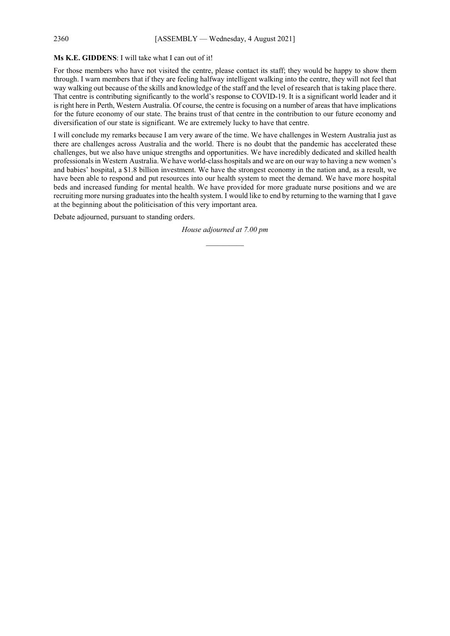#### 2360 [ASSEMBLY — Wednesday, 4 August 2021]

#### **Ms K.E. GIDDENS**: I will take what I can out of it!

For those members who have not visited the centre, please contact its staff; they would be happy to show them through. I warn members that if they are feeling halfway intelligent walking into the centre, they will not feel that way walking out because of the skills and knowledge of the staff and the level of research that is taking place there. That centre is contributing significantly to the world's response to COVID-19. It is a significant world leader and it is right here in Perth, Western Australia. Of course, the centre is focusing on a number of areas that have implications for the future economy of our state. The brains trust of that centre in the contribution to our future economy and diversification of our state is significant. We are extremely lucky to have that centre.

I will conclude my remarks because I am very aware of the time. We have challenges in Western Australia just as there are challenges across Australia and the world. There is no doubt that the pandemic has accelerated these challenges, but we also have unique strengths and opportunities. We have incredibly dedicated and skilled health professionals in Western Australia. We have world-class hospitals and we are on our way to having a new women's and babies' hospital, a \$1.8 billion investment. We have the strongest economy in the nation and, as a result, we have been able to respond and put resources into our health system to meet the demand. We have more hospital beds and increased funding for mental health. We have provided for more graduate nurse positions and we are recruiting more nursing graduates into the health system. I would like to end by returning to the warning that I gave at the beginning about the politicisation of this very important area.

Debate adjourned, pursuant to standing orders.

*House adjourned at 7.00 pm \_\_\_\_\_\_\_\_\_\_*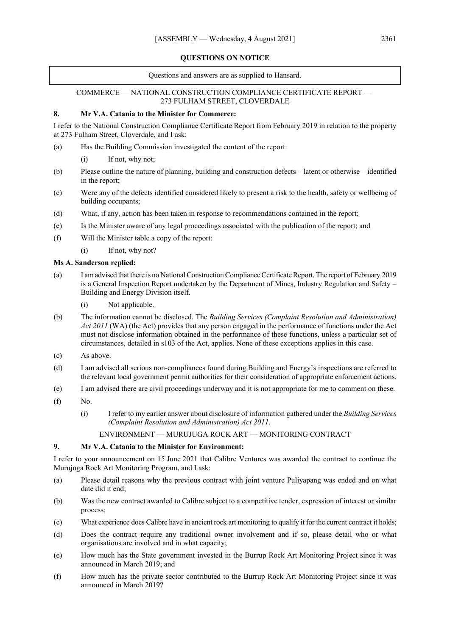#### **QUESTIONS ON NOTICE**

Questions and answers are as supplied to Hansard.

#### COMMERCE — NATIONAL CONSTRUCTION COMPLIANCE CERTIFICATE REPORT — 273 FULHAM STREET, CLOVERDALE

#### **8. Mr V.A. Catania to the Minister for Commerce:**

I refer to the National Construction Compliance Certificate Report from February 2019 in relation to the property at 273 Fulham Street, Cloverdale, and I ask:

- (a) Has the Building Commission investigated the content of the report:
	- (i) If not, why not;
- (b) Please outline the nature of planning, building and construction defects latent or otherwise identified in the report;
- (c) Were any of the defects identified considered likely to present a risk to the health, safety or wellbeing of building occupants;
- (d) What, if any, action has been taken in response to recommendations contained in the report;
- (e) Is the Minister aware of any legal proceedings associated with the publication of the report; and
- (f) Will the Minister table a copy of the report:
	- (i) If not, why not?

#### **Ms A. Sanderson replied:**

- (a) I am advised that there is no National Construction Compliance Certificate Report. The report of February 2019 is a General Inspection Report undertaken by the Department of Mines, Industry Regulation and Safety – Building and Energy Division itself.
	- (i) Not applicable.
- (b) The information cannot be disclosed. The *Building Services (Complaint Resolution and Administration) Act 2011* (WA) (the Act) provides that any person engaged in the performance of functions under the Act must not disclose information obtained in the performance of these functions, unless a particular set of circumstances, detailed in s103 of the Act, applies. None of these exceptions applies in this case.
- (c) As above.
- (d) I am advised all serious non-compliances found during Building and Energy's inspections are referred to the relevant local government permit authorities for their consideration of appropriate enforcement actions.
- (e) I am advised there are civil proceedings underway and it is not appropriate for me to comment on these.
- $(f)$  No.
	- (i) I refer to my earlier answer about disclosure of information gathered under the *Building Services (Complaint Resolution and Administration) Act 2011*.

ENVIRONMENT — MURUJUGA ROCK ART — MONITORING CONTRACT

#### **9. Mr V.A. Catania to the Minister for Environment:**

I refer to your announcement on 15 June 2021 that Calibre Ventures was awarded the contract to continue the Murujuga Rock Art Monitoring Program, and I ask:

- (a) Please detail reasons why the previous contract with joint venture Puliyapang was ended and on what date did it end;
- (b) Was the new contract awarded to Calibre subject to a competitive tender, expression of interest or similar process;
- (c) What experience does Calibre have in ancient rock art monitoring to qualify it for the current contract it holds;
- (d) Does the contract require any traditional owner involvement and if so, please detail who or what organisations are involved and in what capacity;
- (e) How much has the State government invested in the Burrup Rock Art Monitoring Project since it was announced in March 2019; and
- (f) How much has the private sector contributed to the Burrup Rock Art Monitoring Project since it was announced in March 2019?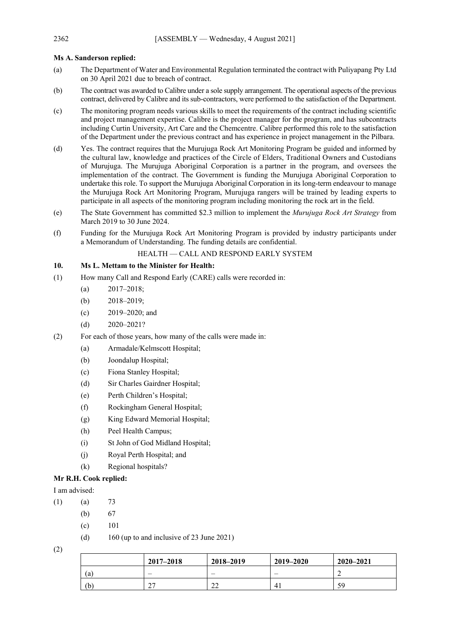## **Ms A. Sanderson replied:**

- (a) The Department of Water and Environmental Regulation terminated the contract with Puliyapang Pty Ltd on 30 April 2021 due to breach of contract.
- (b) The contract was awarded to Calibre under a sole supply arrangement. The operational aspects of the previous contract, delivered by Calibre and its sub-contractors, were performed to the satisfaction of the Department.
- (c) The monitoring program needs various skills to meet the requirements of the contract including scientific and project management expertise. Calibre is the project manager for the program, and has subcontracts including Curtin University, Art Care and the Chemcentre. Calibre performed this role to the satisfaction of the Department under the previous contract and has experience in project management in the Pilbara.
- (d) Yes. The contract requires that the Murujuga Rock Art Monitoring Program be guided and informed by the cultural law, knowledge and practices of the Circle of Elders, Traditional Owners and Custodians of Murujuga. The Murujuga Aboriginal Corporation is a partner in the program, and oversees the implementation of the contract. The Government is funding the Murujuga Aboriginal Corporation to undertake this role. To support the Murujuga Aboriginal Corporation in its long-term endeavour to manage the Murujuga Rock Art Monitoring Program, Murujuga rangers will be trained by leading experts to participate in all aspects of the monitoring program including monitoring the rock art in the field.
- (e) The State Government has committed \$2.3 million to implement the *Murujuga Rock Art Strategy* from March 2019 to 30 June 2024.
- (f) Funding for the Murujuga Rock Art Monitoring Program is provided by industry participants under a Memorandum of Understanding. The funding details are confidential.

#### HEALTH — CALL AND RESPOND EARLY SYSTEM

## **10. Ms L. Mettam to the Minister for Health:**

- (1) How many Call and Respond Early (CARE) calls were recorded in:
	- (a) 2017–2018;
	- (b) 2018–2019;
	- (c) 2019–2020; and
	- (d) 2020–2021?
- (2) For each of those years, how many of the calls were made in:
	- (a) Armadale/Kelmscott Hospital;
	- (b) Joondalup Hospital;
	- (c) Fiona Stanley Hospital;
	- (d) Sir Charles Gairdner Hospital;
	- (e) Perth Children's Hospital;
	- (f) Rockingham General Hospital;
	- (g) King Edward Memorial Hospital;
	- (h) Peel Health Campus;
	- (i) St John of God Midland Hospital;
	- (j) Royal Perth Hospital; and
	- (k) Regional hospitals?

## **Mr R.H. Cook replied:**

I am advised:

- $(1)$   $(a)$  73
	- (b) 67
	- (c) 101
	- (d) 160 (up to and inclusive of 23 June 2021)
- (2)

|     | $2017 - 2018$ | 2018-2019               | 2019-2020 | $2020 - 2021$ |
|-----|---------------|-------------------------|-----------|---------------|
| (a  |               |                         | _         |               |
| (b` | $\sim$<br>Δ.  | $\mathbf{\Omega}$<br>∠∠ | 4.        | 59            |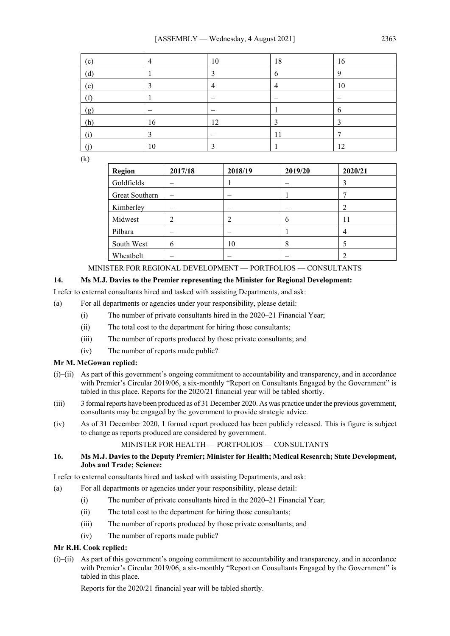| (c) | 4  | 10 | 18 | 16          |
|-----|----|----|----|-------------|
| (d) |    | ∍  | 6  | $\mathbf Q$ |
| (e) |    | 4  | 4  | 10          |
| (f) |    |    |    |             |
| (g) |    |    |    | O           |
| (h) | 16 | 12 |    |             |
| (i) |    |    | 11 |             |
|     | 10 |    |    | 12          |

(k)

| Region         | 2017/18 | 2018/19 | 2019/20 | 2020/21 |
|----------------|---------|---------|---------|---------|
| Goldfields     |         |         |         |         |
| Great Southern |         |         |         |         |
| Kimberley      |         |         |         |         |
| Midwest        | 2       |         | 6       | 11      |
| Pilbara        |         |         |         |         |
| South West     | O       | 10      | 8       |         |
| Wheatbelt      |         |         |         |         |

# MINISTER FOR REGIONAL DEVELOPMENT — PORTFOLIOS — CONSULTANTS

## **14. Ms M.J. Davies to the Premier representing the Minister for Regional Development:**

I refer to external consultants hired and tasked with assisting Departments, and ask:

- (a) For all departments or agencies under your responsibility, please detail:
	- (i) The number of private consultants hired in the 2020–21 Financial Year;
	- (ii) The total cost to the department for hiring those consultants;
	- (iii) The number of reports produced by those private consultants; and
	- (iv) The number of reports made public?

#### **Mr M. McGowan replied:**

- (i)–(ii) As part of this government's ongoing commitment to accountability and transparency, and in accordance with Premier's Circular 2019/06, a six-monthly "Report on Consultants Engaged by the Government" is tabled in this place. Reports for the 2020/21 financial year will be tabled shortly.
- (iii) 3 formal reports have been produced as of 31 December 2020. As was practice under the previous government, consultants may be engaged by the government to provide strategic advice.
- (iv) As of 31 December 2020, 1 formal report produced has been publicly released. This is figure is subject to change as reports produced are considered by government.

#### MINISTER FOR HEALTH — PORTFOLIOS — CONSULTANTS

#### **16. Ms M.J. Davies to the Deputy Premier; Minister for Health; Medical Research; State Development, Jobs and Trade; Science:**

I refer to external consultants hired and tasked with assisting Departments, and ask:

- (a) For all departments or agencies under your responsibility, please detail:
	- (i) The number of private consultants hired in the 2020–21 Financial Year;
	- (ii) The total cost to the department for hiring those consultants;
	- (iii) The number of reports produced by those private consultants; and
	- (iv) The number of reports made public?

#### **Mr R.H. Cook replied:**

(i)–(ii) As part of this government's ongoing commitment to accountability and transparency, and in accordance with Premier's Circular 2019/06, a six-monthly "Report on Consultants Engaged by the Government" is tabled in this place.

Reports for the 2020/21 financial year will be tabled shortly.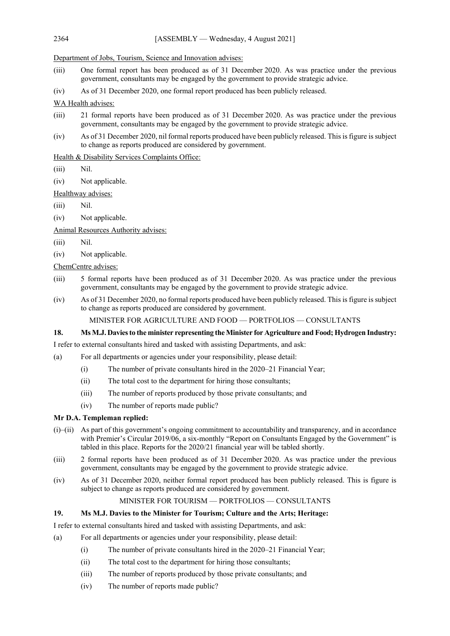Department of Jobs, Tourism, Science and Innovation advises:

- (iii) One formal report has been produced as of 31 December 2020. As was practice under the previous government, consultants may be engaged by the government to provide strategic advice.
- (iv) As of 31 December 2020, one formal report produced has been publicly released.

WA Health advises:

- (iii) 21 formal reports have been produced as of 31 December 2020. As was practice under the previous government, consultants may be engaged by the government to provide strategic advice.
- (iv) As of 31 December 2020, nil formal reports produced have been publicly released. This is figure is subject to change as reports produced are considered by government.

# Health & Disability Services Complaints Office:

- (iii) Nil.
- (iv) Not applicable.

Healthway advises:

- (iii) Nil.
- (iv) Not applicable.

Animal Resources Authority advises:

- (iii) Nil.
- (iv) Not applicable.

ChemCentre advises:

- (iii) 5 formal reports have been produced as of 31 December 2020. As was practice under the previous government, consultants may be engaged by the government to provide strategic advice.
- (iv) As of 31 December 2020, no formal reports produced have been publicly released. This is figure is subject to change as reports produced are considered by government.

MINISTER FOR AGRICULTURE AND FOOD — PORTFOLIOS — CONSULTANTS

## **18. Ms M.J. Daviesto the minister representing the Minister for Agriculture and Food; Hydrogen Industry:**

I refer to external consultants hired and tasked with assisting Departments, and ask:

- (a) For all departments or agencies under your responsibility, please detail:
	- (i) The number of private consultants hired in the 2020–21 Financial Year;
	- (ii) The total cost to the department for hiring those consultants;
	- (iii) The number of reports produced by those private consultants; and
	- (iv) The number of reports made public?

## **Mr D.A. Templeman replied:**

- (i)–(ii) As part of this government's ongoing commitment to accountability and transparency, and in accordance with Premier's Circular 2019/06, a six-monthly "Report on Consultants Engaged by the Government" is tabled in this place. Reports for the 2020/21 financial year will be tabled shortly.
- (iii) 2 formal reports have been produced as of 31 December 2020. As was practice under the previous government, consultants may be engaged by the government to provide strategic advice.
- (iv) As of 31 December 2020, neither formal report produced has been publicly released. This is figure is subject to change as reports produced are considered by government.

## MINISTER FOR TOURISM — PORTFOLIOS — CONSULTANTS

## **19. Ms M.J. Davies to the Minister for Tourism; Culture and the Arts; Heritage:**

I refer to external consultants hired and tasked with assisting Departments, and ask:

- (a) For all departments or agencies under your responsibility, please detail:
	- (i) The number of private consultants hired in the 2020–21 Financial Year;
	- (ii) The total cost to the department for hiring those consultants;
	- (iii) The number of reports produced by those private consultants; and
	- (iv) The number of reports made public?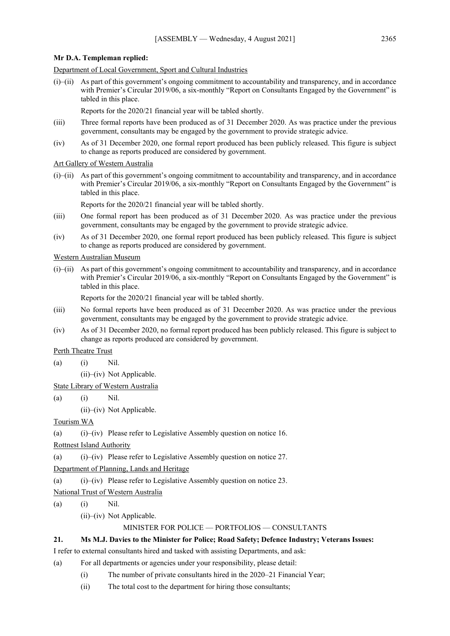#### **Mr D.A. Templeman replied:**

Department of Local Government, Sport and Cultural Industries

(i)–(ii) As part of this government's ongoing commitment to accountability and transparency, and in accordance with Premier's Circular 2019/06, a six-monthly "Report on Consultants Engaged by the Government" is tabled in this place.

Reports for the 2020/21 financial year will be tabled shortly.

- (iii) Three formal reports have been produced as of 31 December 2020. As was practice under the previous government, consultants may be engaged by the government to provide strategic advice.
- (iv) As of 31 December 2020, one formal report produced has been publicly released. This figure is subject to change as reports produced are considered by government.

Art Gallery of Western Australia

(i)–(ii) As part of this government's ongoing commitment to accountability and transparency, and in accordance with Premier's Circular 2019/06, a six-monthly "Report on Consultants Engaged by the Government" is tabled in this place.

Reports for the 2020/21 financial year will be tabled shortly.

- (iii) One formal report has been produced as of 31 December 2020. As was practice under the previous government, consultants may be engaged by the government to provide strategic advice.
- (iv) As of 31 December 2020, one formal report produced has been publicly released. This figure is subject to change as reports produced are considered by government.

Western Australian Museum

(i)–(ii) As part of this government's ongoing commitment to accountability and transparency, and in accordance with Premier's Circular 2019/06, a six-monthly "Report on Consultants Engaged by the Government" is tabled in this place.

Reports for the 2020/21 financial year will be tabled shortly.

- (iii) No formal reports have been produced as of 31 December 2020. As was practice under the previous government, consultants may be engaged by the government to provide strategic advice.
- (iv) As of 31 December 2020, no formal report produced has been publicly released. This figure is subject to change as reports produced are considered by government.

Perth Theatre Trust

- (a) (i) Nil.
	- (ii)–(iv) Not Applicable.

State Library of Western Australia

- (a) (i) Nil.
	- (ii)–(iv) Not Applicable.

#### Tourism WA

(a) (i)–(iv) Please refer to Legislative Assembly question on notice 16.

Rottnest Island Authority

(a) (i)–(iv) Please refer to Legislative Assembly question on notice 27.

Department of Planning, Lands and Heritage

(a) (i)–(iv) Please refer to Legislative Assembly question on notice 23.

National Trust of Western Australia

(a) (i) Nil.

(ii)–(iv) Not Applicable.

#### MINISTER FOR POLICE — PORTFOLIOS — CONSULTANTS

#### **21. Ms M.J. Davies to the Minister for Police; Road Safety; Defence Industry; Veterans Issues:**

I refer to external consultants hired and tasked with assisting Departments, and ask:

- (a) For all departments or agencies under your responsibility, please detail:
	- (i) The number of private consultants hired in the 2020–21 Financial Year;
	- (ii) The total cost to the department for hiring those consultants;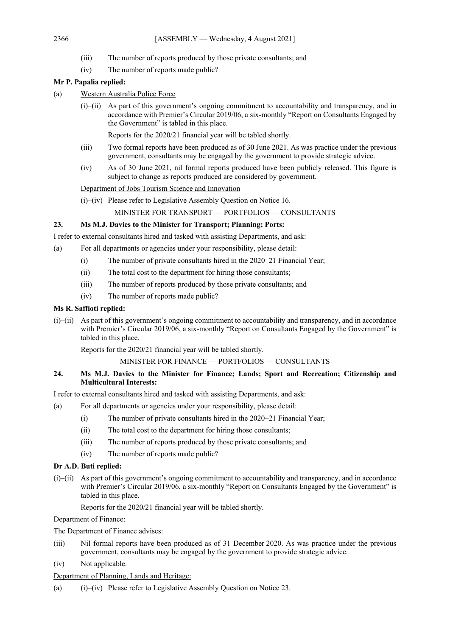- (iii) The number of reports produced by those private consultants; and
- (iv) The number of reports made public?

## **Mr P. Papalia replied:**

- (a) Western Australia Police Force
	- (i)–(ii) As part of this government's ongoing commitment to accountability and transparency, and in accordance with Premier's Circular 2019/06, a six-monthly "Report on Consultants Engaged by the Government" is tabled in this place.

Reports for the 2020/21 financial year will be tabled shortly.

- (iii) Two formal reports have been produced as of 30 June 2021. As was practice under the previous government, consultants may be engaged by the government to provide strategic advice.
- (iv) As of 30 June 2021, nil formal reports produced have been publicly released. This figure is subject to change as reports produced are considered by government.

Department of Jobs Tourism Science and Innovation

(i)–(iv) Please refer to Legislative Assembly Question on Notice 16.

MINISTER FOR TRANSPORT — PORTFOLIOS — CONSULTANTS

#### **23. Ms M.J. Davies to the Minister for Transport; Planning; Ports:**

I refer to external consultants hired and tasked with assisting Departments, and ask:

- (a) For all departments or agencies under your responsibility, please detail:
	- (i) The number of private consultants hired in the 2020–21 Financial Year;
	- (ii) The total cost to the department for hiring those consultants;
	- (iii) The number of reports produced by those private consultants; and
	- (iv) The number of reports made public?

#### **Ms R. Saffioti replied:**

(i)–(ii) As part of this government's ongoing commitment to accountability and transparency, and in accordance with Premier's Circular 2019/06, a six-monthly "Report on Consultants Engaged by the Government" is tabled in this place.

Reports for the 2020/21 financial year will be tabled shortly.

#### MINISTER FOR FINANCE — PORTFOLIOS — CONSULTANTS

## **24. Ms M.J. Davies to the Minister for Finance; Lands; Sport and Recreation; Citizenship and Multicultural Interests:**

I refer to external consultants hired and tasked with assisting Departments, and ask:

- (a) For all departments or agencies under your responsibility, please detail:
	- (i) The number of private consultants hired in the 2020–21 Financial Year;
	- (ii) The total cost to the department for hiring those consultants;
	- (iii) The number of reports produced by those private consultants; and
	- (iv) The number of reports made public?

#### **Dr A.D. Buti replied:**

(i)–(ii) As part of this government's ongoing commitment to accountability and transparency, and in accordance with Premier's Circular 2019/06, a six-monthly "Report on Consultants Engaged by the Government" is tabled in this place.

Reports for the 2020/21 financial year will be tabled shortly.

Department of Finance:

The Department of Finance advises:

- (iii) Nil formal reports have been produced as of 31 December 2020. As was practice under the previous government, consultants may be engaged by the government to provide strategic advice.
- (iv) Not applicable.

#### Department of Planning, Lands and Heritage:

(a) (i)–(iv) Please refer to Legislative Assembly Question on Notice 23.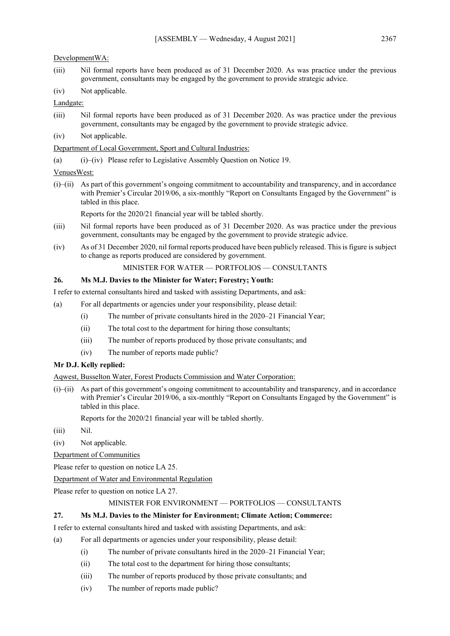#### DevelopmentWA:

- (iii) Nil formal reports have been produced as of 31 December 2020. As was practice under the previous government, consultants may be engaged by the government to provide strategic advice.
- (iv) Not applicable.

## Landgate:

- (iii) Nil formal reports have been produced as of 31 December 2020. As was practice under the previous government, consultants may be engaged by the government to provide strategic advice.
- (iv) Not applicable.

## Department of Local Government, Sport and Cultural Industries:

(a) (i)–(iv) Please refer to Legislative Assembly Question on Notice 19.

## VenuesWest:

(i)–(ii) As part of this government's ongoing commitment to accountability and transparency, and in accordance with Premier's Circular 2019/06, a six-monthly "Report on Consultants Engaged by the Government" is tabled in this place.

Reports for the 2020/21 financial year will be tabled shortly.

- (iii) Nil formal reports have been produced as of 31 December 2020. As was practice under the previous government, consultants may be engaged by the government to provide strategic advice.
- (iv) As of 31 December 2020, nil formal reports produced have been publicly released. This is figure is subject to change as reports produced are considered by government.

## MINISTER FOR WATER — PORTFOLIOS — CONSULTANTS

## **26. Ms M.J. Davies to the Minister for Water; Forestry; Youth:**

I refer to external consultants hired and tasked with assisting Departments, and ask:

- (a) For all departments or agencies under your responsibility, please detail:
	- (i) The number of private consultants hired in the 2020–21 Financial Year;
	- (ii) The total cost to the department for hiring those consultants;
	- (iii) The number of reports produced by those private consultants; and
	- (iv) The number of reports made public?

## **Mr D.J. Kelly replied:**

Aqwest, Busselton Water, Forest Products Commission and Water Corporation:

(i)–(ii) As part of this government's ongoing commitment to accountability and transparency, and in accordance with Premier's Circular 2019/06, a six-monthly "Report on Consultants Engaged by the Government" is tabled in this place.

Reports for the 2020/21 financial year will be tabled shortly.

- (iii) Nil.
- (iv) Not applicable.
- Department of Communities

Please refer to question on notice LA 25.

Department of Water and Environmental Regulation

Please refer to question on notice LA 27.

# MINISTER FOR ENVIRONMENT — PORTFOLIOS — CONSULTANTS

# **27. Ms M.J. Davies to the Minister for Environment; Climate Action; Commerce:**

- I refer to external consultants hired and tasked with assisting Departments, and ask:
- (a) For all departments or agencies under your responsibility, please detail:
	- (i) The number of private consultants hired in the 2020–21 Financial Year;
	- (ii) The total cost to the department for hiring those consultants;
	- (iii) The number of reports produced by those private consultants; and
	- (iv) The number of reports made public?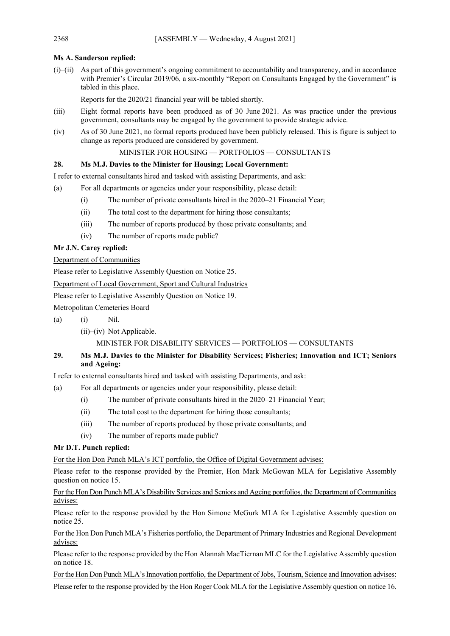# **Ms A. Sanderson replied:**

(i)–(ii) As part of this government's ongoing commitment to accountability and transparency, and in accordance with Premier's Circular 2019/06, a six-monthly "Report on Consultants Engaged by the Government" is tabled in this place.

Reports for the 2020/21 financial year will be tabled shortly.

- (iii) Eight formal reports have been produced as of 30 June 2021. As was practice under the previous government, consultants may be engaged by the government to provide strategic advice.
- (iv) As of 30 June 2021, no formal reports produced have been publicly released. This is figure is subject to change as reports produced are considered by government.

MINISTER FOR HOUSING — PORTFOLIOS — CONSULTANTS

# **28. Ms M.J. Davies to the Minister for Housing; Local Government:**

I refer to external consultants hired and tasked with assisting Departments, and ask:

- (a) For all departments or agencies under your responsibility, please detail:
	- (i) The number of private consultants hired in the 2020–21 Financial Year;
	- (ii) The total cost to the department for hiring those consultants;
	- (iii) The number of reports produced by those private consultants; and
	- (iv) The number of reports made public?

# **Mr J.N. Carey replied:**

# Department of Communities

Please refer to Legislative Assembly Question on Notice 25.

Department of Local Government, Sport and Cultural Industries

Please refer to Legislative Assembly Question on Notice 19.

Metropolitan Cemeteries Board

- (a) (i) Nil.
	- (ii)–(iv) Not Applicable.

# MINISTER FOR DISABILITY SERVICES — PORTFOLIOS — CONSULTANTS

# **29. Ms M.J. Davies to the Minister for Disability Services; Fisheries; Innovation and ICT; Seniors and Ageing:**

I refer to external consultants hired and tasked with assisting Departments, and ask:

- (a) For all departments or agencies under your responsibility, please detail:
	- (i) The number of private consultants hired in the 2020–21 Financial Year;
	- (ii) The total cost to the department for hiring those consultants;
	- (iii) The number of reports produced by those private consultants; and
	- (iv) The number of reports made public?

# **Mr D.T. Punch replied:**

For the Hon Don Punch MLA's ICT portfolio, the Office of Digital Government advises:

Please refer to the response provided by the Premier, Hon Mark McGowan MLA for Legislative Assembly question on notice 15.

For the Hon Don Punch MLA's Disability Services and Seniors and Ageing portfolios, the Department of Communities advises:

Please refer to the response provided by the Hon Simone McGurk MLA for Legislative Assembly question on notice 25.

For the Hon Don Punch MLA's Fisheries portfolio, the Department of Primary Industries and Regional Development advises:

Please refer to the response provided by the Hon Alannah MacTiernan MLC for the Legislative Assembly question on notice 18.

For the Hon Don Punch MLA's Innovation portfolio, the Department of Jobs, Tourism, Science and Innovation advises: Please refer to the response provided by the Hon Roger Cook MLA for the Legislative Assembly question on notice 16.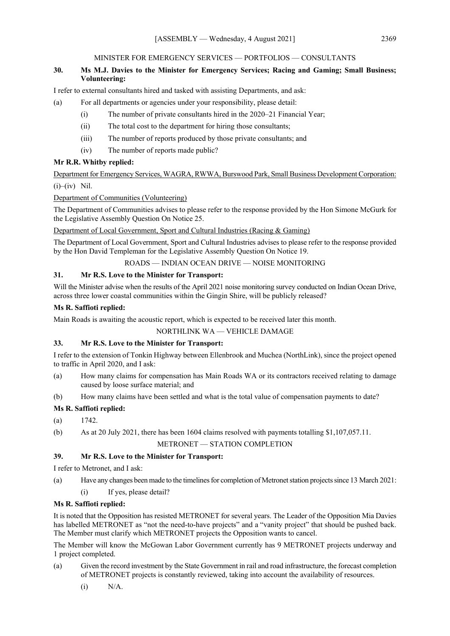#### MINISTER FOR EMERGENCY SERVICES — PORTFOLIOS — CONSULTANTS

# **30. Ms M.J. Davies to the Minister for Emergency Services; Racing and Gaming; Small Business; Volunteering:**

I refer to external consultants hired and tasked with assisting Departments, and ask:

## (a) For all departments or agencies under your responsibility, please detail:

- (i) The number of private consultants hired in the 2020–21 Financial Year;
- (ii) The total cost to the department for hiring those consultants;
- (iii) The number of reports produced by those private consultants; and
- (iv) The number of reports made public?

## **Mr R.R. Whitby replied:**

Department for Emergency Services, WAGRA, RWWA, Burswood Park, Small Business Development Corporation:

 $(i)$ – $(iv)$  Nil.

## Department of Communities (Volunteering)

The Department of Communities advises to please refer to the response provided by the Hon Simone McGurk for the Legislative Assembly Question On Notice 25.

Department of Local Government, Sport and Cultural Industries (Racing & Gaming)

The Department of Local Government, Sport and Cultural Industries advises to please refer to the response provided by the Hon David Templeman for the Legislative Assembly Question On Notice 19.

ROADS — INDIAN OCEAN DRIVE — NOISE MONITORING

## **31. Mr R.S. Love to the Minister for Transport:**

Will the Minister advise when the results of the April 2021 noise monitoring survey conducted on Indian Ocean Drive, across three lower coastal communities within the Gingin Shire, will be publicly released?

## **Ms R. Saffioti replied:**

Main Roads is awaiting the acoustic report, which is expected to be received later this month.

NORTHLINK WA — VEHICLE DAMAGE

# **33. Mr R.S. Love to the Minister for Transport:**

I refer to the extension of Tonkin Highway between Ellenbrook and Muchea (NorthLink), since the project opened to traffic in April 2020, and I ask:

- (a) How many claims for compensation has Main Roads WA or its contractors received relating to damage caused by loose surface material; and
- (b) How many claims have been settled and what is the total value of compensation payments to date?

## **Ms R. Saffioti replied:**

- $(a)$  1742.
- (b) As at 20 July 2021, there has been 1604 claims resolved with payments totalling \$1,107,057.11.

#### METRONET — STATION COMPLETION

## **39. Mr R.S. Love to the Minister for Transport:**

I refer to Metronet, and I ask:

- (a) Have any changes been made to the timelines for completion of Metronet station projects since 13 March 2021:
	- (i) If yes, please detail?

#### **Ms R. Saffioti replied:**

It is noted that the Opposition has resisted METRONET for several years. The Leader of the Opposition Mia Davies has labelled METRONET as "not the need-to-have projects" and a "vanity project" that should be pushed back. The Member must clarify which METRONET projects the Opposition wants to cancel.

The Member will know the McGowan Labor Government currently has 9 METRONET projects underway and 1 project completed.

- (a) Given the record investment by the State Government in rail and road infrastructure, the forecast completion of METRONET projects is constantly reviewed, taking into account the availability of resources.
	- (i) N/A.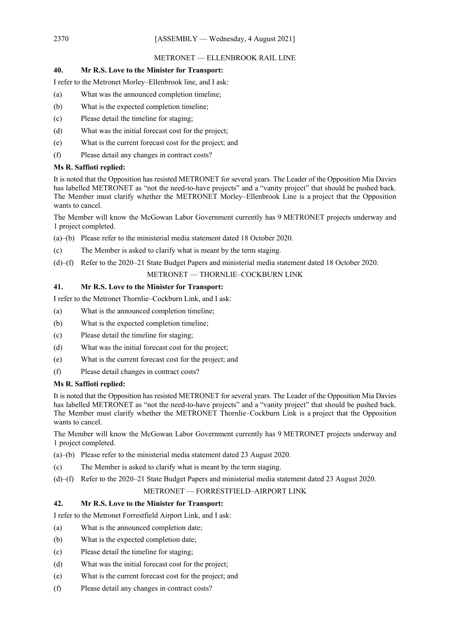#### METRONET — ELLENBROOK RAIL LINE

## **40. Mr R.S. Love to the Minister for Transport:**

I refer to the Metronet Morley–Ellenbrook line, and I ask:

- (a) What was the announced completion timeline;
- (b) What is the expected completion timeline;
- (c) Please detail the timeline for staging;
- (d) What was the initial forecast cost for the project;
- (e) What is the current forecast cost for the project; and
- (f) Please detail any changes in contract costs?

#### **Ms R. Saffioti replied:**

It is noted that the Opposition has resisted METRONET for several years. The Leader of the Opposition Mia Davies has labelled METRONET as "not the need-to-have projects" and a "vanity project" that should be pushed back. The Member must clarify whether the METRONET Morley–Ellenbrook Line is a project that the Opposition wants to cancel.

The Member will know the McGowan Labor Government currently has 9 METRONET projects underway and 1 project completed.

- (a)–(b) Please refer to the ministerial media statement dated 18 October 2020.
- (c) The Member is asked to clarify what is meant by the term staging.
- (d)–(f) Refer to the 2020–21 State Budget Papers and ministerial media statement dated 18 October 2020.

## METRONET — THORNLIE–COCKBURN LINK

## **41. Mr R.S. Love to the Minister for Transport:**

I refer to the Metronet Thornlie–Cockburn Link, and I ask:

- (a) What is the announced completion timeline;
- (b) What is the expected completion timeline;
- (c) Please detail the timeline for staging;
- (d) What was the initial forecast cost for the project;
- (e) What is the current forecast cost for the project; and
- (f) Please detail changes in contract costs?

#### **Ms R. Saffioti replied:**

It is noted that the Opposition has resisted METRONET for several years. The Leader of the Opposition Mia Davies has labelled METRONET as "not the need-to-have projects" and a "vanity project" that should be pushed back. The Member must clarify whether the METRONET Thornlie–Cockburn Link is a project that the Opposition wants to cancel.

The Member will know the McGowan Labor Government currently has 9 METRONET projects underway and 1 project completed.

- (a)–(b) Please refer to the ministerial media statement dated 23 August 2020.
- (c) The Member is asked to clarify what is meant by the term staging.
- (d)–(f) Refer to the 2020–21 State Budget Papers and ministerial media statement dated 23 August 2020.

## METRONET — FORRESTFIELD–AIRPORT LINK

## **42. Mr R.S. Love to the Minister for Transport:**

I refer to the Metronet Forrestfield Airport Link, and I ask:

- (a) What is the announced completion date;
- (b) What is the expected completion date;
- (c) Please detail the timeline for staging;
- (d) What was the initial forecast cost for the project;
- (e) What is the current forecast cost for the project; and
- (f) Please detail any changes in contract costs?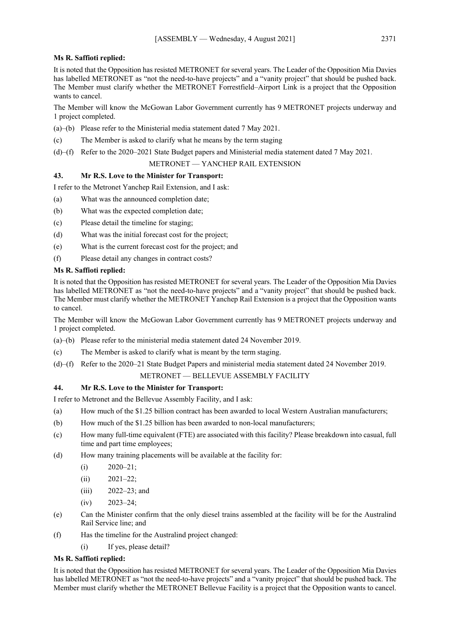## **Ms R. Saffioti replied:**

It is noted that the Opposition has resisted METRONET for several years. The Leader of the Opposition Mia Davies has labelled METRONET as "not the need-to-have projects" and a "vanity project" that should be pushed back. The Member must clarify whether the METRONET Forrestfield–Airport Link is a project that the Opposition wants to cancel.

The Member will know the McGowan Labor Government currently has 9 METRONET projects underway and 1 project completed.

- (a)–(b) Please refer to the Ministerial media statement dated 7 May 2021.
- (c) The Member is asked to clarify what he means by the term staging
- (d)–(f) Refer to the 2020–2021 State Budget papers and Ministerial media statement dated 7 May 2021.

## METRONET — YANCHEP RAIL EXTENSION

## **43. Mr R.S. Love to the Minister for Transport:**

I refer to the Metronet Yanchep Rail Extension, and I ask:

- (a) What was the announced completion date;
- (b) What was the expected completion date;
- (c) Please detail the timeline for staging;
- (d) What was the initial forecast cost for the project;
- (e) What is the current forecast cost for the project; and
- (f) Please detail any changes in contract costs?

## **Ms R. Saffioti replied:**

It is noted that the Opposition has resisted METRONET for several years. The Leader of the Opposition Mia Davies has labelled METRONET as "not the need-to-have projects" and a "vanity project" that should be pushed back. The Member must clarify whether the METRONET Yanchep Rail Extension is a project that the Opposition wants to cancel.

The Member will know the McGowan Labor Government currently has 9 METRONET projects underway and 1 project completed.

- (a)–(b) Please refer to the ministerial media statement dated 24 November 2019.
- (c) The Member is asked to clarify what is meant by the term staging.
- (d)–(f) Refer to the 2020–21 State Budget Papers and ministerial media statement dated 24 November 2019.

# METRONET — BELLEVUE ASSEMBLY FACILITY

## **44. Mr R.S. Love to the Minister for Transport:**

I refer to Metronet and the Bellevue Assembly Facility, and I ask:

- (a) How much of the \$1.25 billion contract has been awarded to local Western Australian manufacturers;
- (b) How much of the \$1.25 billion has been awarded to non-local manufacturers;
- (c) How many full-time equivalent (FTE) are associated with this facility? Please breakdown into casual, full time and part time employees;
- (d) How many training placements will be available at the facility for:
	- $(i)$  2020–21;
	- $(ii)$  2021–22;
	- (iii) 2022–23; and
	- $(iv)$  2023–24;
- (e) Can the Minister confirm that the only diesel trains assembled at the facility will be for the Australind Rail Service line; and
- (f) Has the timeline for the Australind project changed:
	- (i) If yes, please detail?

## **Ms R. Saffioti replied:**

It is noted that the Opposition has resisted METRONET for several years. The Leader of the Opposition Mia Davies has labelled METRONET as "not the need-to-have projects" and a "vanity project" that should be pushed back. The Member must clarify whether the METRONET Bellevue Facility is a project that the Opposition wants to cancel.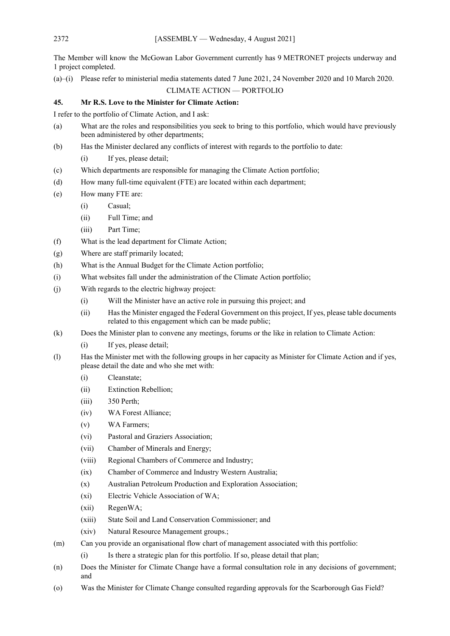The Member will know the McGowan Labor Government currently has 9 METRONET projects underway and 1 project completed.

(a)–(i) Please refer to ministerial media statements dated 7 June 2021, 24 November 2020 and 10 March 2020.

# CLIMATE ACTION — PORTFOLIO

## **45. Mr R.S. Love to the Minister for Climate Action:**

I refer to the portfolio of Climate Action, and I ask:

- (a) What are the roles and responsibilities you seek to bring to this portfolio, which would have previously been administered by other departments;
- (b) Has the Minister declared any conflicts of interest with regards to the portfolio to date:
	- (i) If yes, please detail;
- (c) Which departments are responsible for managing the Climate Action portfolio;
- (d) How many full-time equivalent (FTE) are located within each department;
- (e) How many FTE are:
	- (i) Casual;
	- (ii) Full Time; and
	- (iii) Part Time;
- (f) What is the lead department for Climate Action;
- (g) Where are staff primarily located;
- (h) What is the Annual Budget for the Climate Action portfolio;
- (i) What websites fall under the administration of the Climate Action portfolio;
- (j) With regards to the electric highway project:
	- (i) Will the Minister have an active role in pursuing this project; and
	- (ii) Has the Minister engaged the Federal Government on this project, If yes, please table documents related to this engagement which can be made public;
- (k) Does the Minister plan to convene any meetings, forums or the like in relation to Climate Action:
	- (i) If yes, please detail;
- (l) Has the Minister met with the following groups in her capacity as Minister for Climate Action and if yes, please detail the date and who she met with:
	- (i) Cleanstate;
	- (ii) Extinction Rebellion;
	- (iii) 350 Perth;
	- (iv) WA Forest Alliance;
	- (v) WA Farmers;
	- (vi) Pastoral and Graziers Association;
	- (vii) Chamber of Minerals and Energy;
	- (viii) Regional Chambers of Commerce and Industry;
	- (ix) Chamber of Commerce and Industry Western Australia;
	- (x) Australian Petroleum Production and Exploration Association;
	- (xi) Electric Vehicle Association of WA;
	- (xii) RegenWA;
	- (xiii) State Soil and Land Conservation Commissioner; and
	- (xiv) Natural Resource Management groups.;
- (m) Can you provide an organisational flow chart of management associated with this portfolio:
	- (i) Is there a strategic plan for this portfolio. If so, please detail that plan;
- (n) Does the Minister for Climate Change have a formal consultation role in any decisions of government; and
- (o) Was the Minister for Climate Change consulted regarding approvals for the Scarborough Gas Field?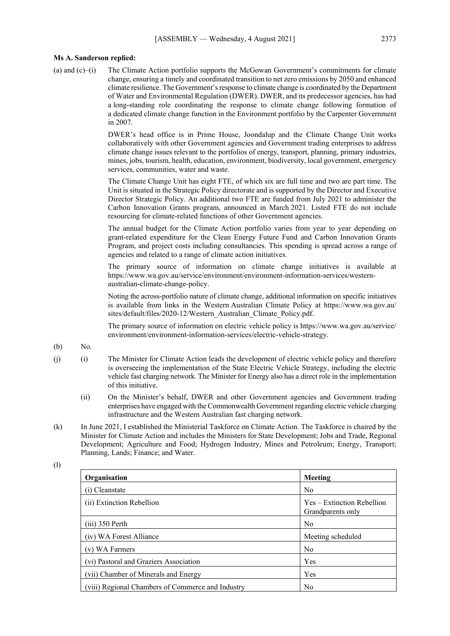## **Ms A. Sanderson replied:**

(a) and (c)–(i) The Climate Action portfolio supports the McGowan Government's commitments for climate change, ensuring a timely and coordinated transition to net zero emissions by 2050 and enhanced climate resilience. The Government's response to climate change is coordinated by the Department of Water and Environmental Regulation (DWER). DWER, and its predecessor agencies, has had a long-standing role coordinating the response to climate change following formation of a dedicated climate change function in the Environment portfolio by the Carpenter Government in 2007.

> DWER's head office is in Prime House, Joondalup and the Climate Change Unit works collaboratively with other Government agencies and Government trading enterprises to address climate change issues relevant to the portfolios of energy, transport, planning, primary industries, mines, jobs, tourism, health, education, environment, biodiversity, local government, emergency services, communities, water and waste.

> The Climate Change Unit has eight FTE, of which six are full time and two are part time. The Unit is situated in the Strategic Policy directorate and is supported by the Director and Executive Director Strategic Policy. An additional two FTE are funded from July 2021 to administer the Carbon Innovation Grants program, announced in March 2021. Listed FTE do not include resourcing for climate-related functions of other Government agencies.

> The annual budget for the Climate Action portfolio varies from year to year depending on grant-related expenditure for the Clean Energy Future Fund and Carbon Innovation Grants Program, and project costs including consultancies. This spending is spread across a range of agencies and related to a range of climate action initiatives.

> The primary source of information on climate change initiatives is available at https://www.wa.gov.au/service/environment/environment-information-services/westernaustralian-climate-change-policy.

> Noting the across-portfolio nature of climate change, additional information on specific initiatives is available from links in the Western Australian Climate Policy at https://www.wa.gov.au/ sites/default/files/2020-12/Western\_Australian\_Climate\_Policy.pdf.

> The primary source of information on electric vehicle policy is https://www.wa.gov.au/service/ environment/environment-information-services/electric-vehicle-strategy.

- (b) No.
- (j) (i) The Minister for Climate Action leads the development of electric vehicle policy and therefore is overseeing the implementation of the State Electric Vehicle Strategy, including the electric vehicle fast charging network. The Minister for Energy also has a direct role in the implementation of this initiative.
	- (ii) On the Minister's behalf, DWER and other Government agencies and Government trading enterprises have engaged with the Commonwealth Government regarding electric vehicle charging infrastructure and the Western Australian fast charging network.
- (k) In June 2021, I established the Ministerial Taskforce on Climate Action. The Taskforce is chaired by the Minister for Climate Action and includes the Ministers for State Development; Jobs and Trade, Regional Development; Agriculture and Food; Hydrogen Industry, Mines and Petroleum; Energy, Transport; Planning, Lands; Finance; and Water.

| Organisation                                      | Meeting                                         |
|---------------------------------------------------|-------------------------------------------------|
| (i) Cleanstate                                    | N <sub>0</sub>                                  |
| (ii) Extinction Rebellion                         | Yes – Extinction Rebellion<br>Grandparents only |
| $(iii)$ 350 Perth                                 | N <sub>0</sub>                                  |
| (iv) WA Forest Alliance                           | Meeting scheduled                               |
| (v) WA Farmers                                    | N <sub>0</sub>                                  |
| (vi) Pastoral and Graziers Association            | Yes                                             |
| (vii) Chamber of Minerals and Energy              | Yes                                             |
| (viii) Regional Chambers of Commerce and Industry | N <sub>0</sub>                                  |

(l)